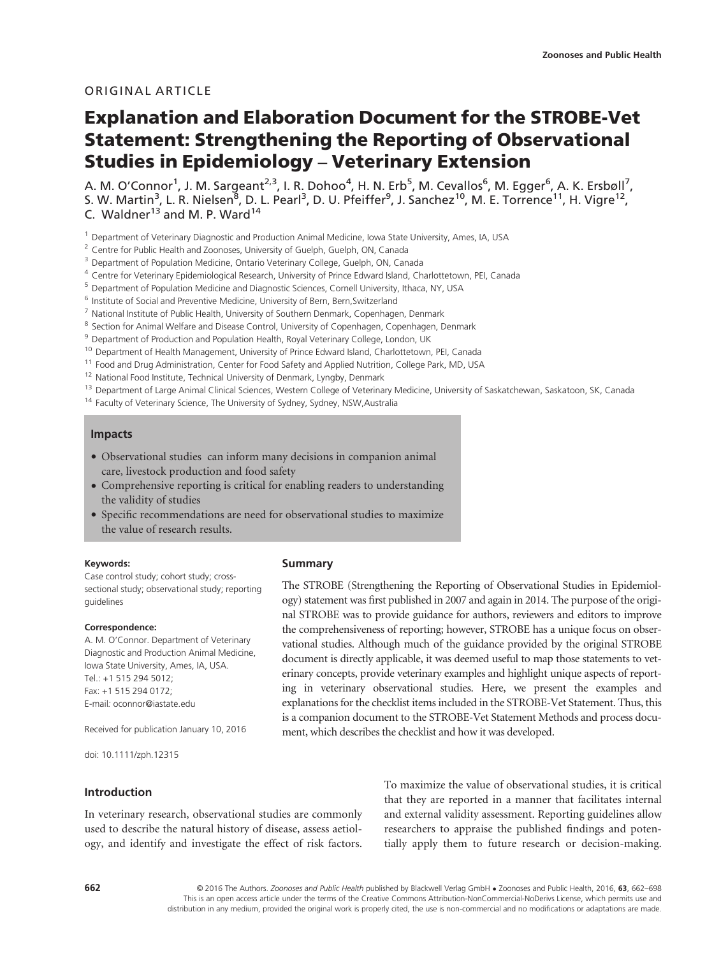# ORIGINAL ARTICLE

# Explanation and Elaboration Document for the STROBE-Vet Statement: Strengthening the Reporting of Observational Studies in Epidemiology – Veterinary Extension

A. M. O'Connor<sup>1</sup>, J. M. Sargeant<sup>2,3</sup>, I. R. Dohoo<sup>4</sup>, H. N. Erb<sup>5</sup>, M. Cevallos<sup>6</sup>, M. Egger<sup>6</sup>, A. K. Ersbøll<sup>7</sup>, S. W. Martin<sup>3</sup>, L. R. Nielsen<sup>8</sup>, D. L. Pearl<sup>3</sup>, D. U. Pfeiffer<sup>9</sup>, J. Sanchez<sup>10</sup>, M. E. Torrence<sup>11</sup>, H. Vigre<sup>12</sup>, C. Waldner<sup>13</sup> and M. P. Ward<sup>14</sup>

<sup>1</sup> Department of Veterinary Diagnostic and Production Animal Medicine, Iowa State University, Ames, IA, USA

- <sup>2</sup> Centre for Public Health and Zoonoses, University of Guelph, Guelph, ON, Canada
- <sup>3</sup> Department of Population Medicine, Ontario Veterinary College, Guelph, ON, Canada

<sup>4</sup> Centre for Veterinary Epidemiological Research, University of Prince Edward Island, Charlottetown, PEI, Canada

- <sup>5</sup> Department of Population Medicine and Diagnostic Sciences, Cornell University, Ithaca, NY, USA
- <sup>6</sup> Institute of Social and Preventive Medicine, University of Bern, Bern,Switzerland
- <sup>7</sup> National Institute of Public Health, University of Southern Denmark, Copenhagen, Denmark
- <sup>8</sup> Section for Animal Welfare and Disease Control, University of Copenhagen, Copenhagen, Denmark

<sup>9</sup> Department of Production and Population Health, Royal Veterinary College, London, UK

- <sup>10</sup> Department of Health Management, University of Prince Edward Island, Charlottetown, PEI, Canada
- <sup>11</sup> Food and Drug Administration, Center for Food Safety and Applied Nutrition, College Park, MD, USA
- <sup>12</sup> National Food Institute, Technical University of Denmark, Lyngby, Denmark

<sup>13</sup> Department of Large Animal Clinical Sciences, Western College of Veterinary Medicine, University of Saskatchewan, Saskatoon, SK, Canada

<sup>14</sup> Faculty of Veterinary Science, The University of Sydney, Sydney, NSW, Australia

### Impacts

- Observational studies can inform many decisions in companion animal care, livestock production and food safety
- Comprehensive reporting is critical for enabling readers to understanding the validity of studies
- Specific recommendations are need for observational studies to maximize the value of research results.

#### Keywords:

Case control study; cohort study; crosssectional study; observational study; reporting guidelines

#### Correspondence:

A. M. O'Connor. Department of Veterinary Diagnostic and Production Animal Medicine, Iowa State University, Ames, IA, USA. Tel.: +1 515 294 5012; Fax: +1 515 294 0172; E-mail: oconnor@iastate.edu

Received for publication January 10, 2016

doi: 10.1111/zph.12315

Introduction

# Summary

The STROBE (Strengthening the Reporting of Observational Studies in Epidemiology) statement was first published in 2007 and again in 2014. The purpose of the original STROBE was to provide guidance for authors, reviewers and editors to improve the comprehensiveness of reporting; however, STROBE has a unique focus on observational studies. Although much of the guidance provided by the original STROBE document is directly applicable, it was deemed useful to map those statements to veterinary concepts, provide veterinary examples and highlight unique aspects of reporting in veterinary observational studies. Here, we present the examples and explanations for the checklist items included in the STROBE-Vet Statement. Thus, this is a companion document to the STROBE-Vet Statement Methods and process document, which describes the checklist and how it was developed.

In veterinary research, observational studies are commonly used to describe the natural history of disease, assess aetiology, and identify and investigate the effect of risk factors.

To maximize the value of observational studies, it is critical that they are reported in a manner that facilitates internal and external validity assessment. Reporting guidelines allow researchers to appraise the published findings and potentially apply them to future research or decision-making.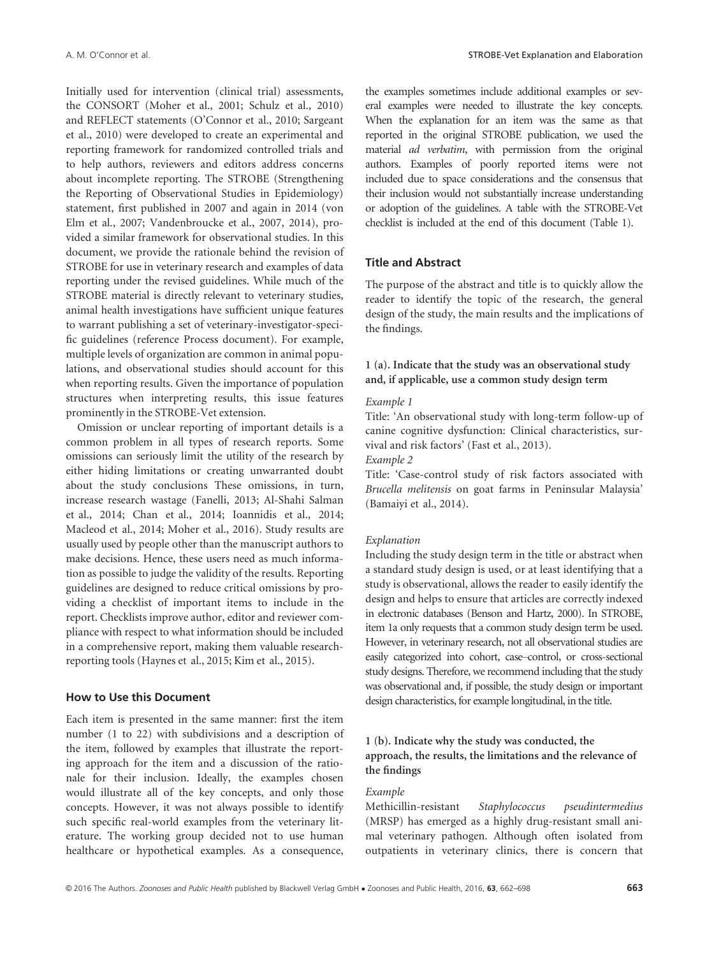Initially used for intervention (clinical trial) assessments, the CONSORT (Moher et al., 2001; Schulz et al., 2010) and REFLECT statements (O'Connor et al., 2010; Sargeant et al., 2010) were developed to create an experimental and reporting framework for randomized controlled trials and to help authors, reviewers and editors address concerns about incomplete reporting. The STROBE (Strengthening the Reporting of Observational Studies in Epidemiology) statement, first published in 2007 and again in 2014 (von Elm et al., 2007; Vandenbroucke et al., 2007, 2014), provided a similar framework for observational studies. In this document, we provide the rationale behind the revision of STROBE for use in veterinary research and examples of data reporting under the revised guidelines. While much of the STROBE material is directly relevant to veterinary studies, animal health investigations have sufficient unique features to warrant publishing a set of veterinary-investigator-specific guidelines (reference Process document). For example, multiple levels of organization are common in animal populations, and observational studies should account for this when reporting results. Given the importance of population structures when interpreting results, this issue features prominently in the STROBE-Vet extension.

Omission or unclear reporting of important details is a common problem in all types of research reports. Some omissions can seriously limit the utility of the research by either hiding limitations or creating unwarranted doubt about the study conclusions These omissions, in turn, increase research wastage (Fanelli, 2013; Al-Shahi Salman et al., 2014; Chan et al., 2014; Ioannidis et al., 2014; Macleod et al., 2014; Moher et al., 2016). Study results are usually used by people other than the manuscript authors to make decisions. Hence, these users need as much information as possible to judge the validity of the results. Reporting guidelines are designed to reduce critical omissions by providing a checklist of important items to include in the report. Checklists improve author, editor and reviewer compliance with respect to what information should be included in a comprehensive report, making them valuable researchreporting tools (Haynes et al., 2015; Kim et al., 2015).

#### How to Use this Document

Each item is presented in the same manner: first the item number (1 to 22) with subdivisions and a description of the item, followed by examples that illustrate the reporting approach for the item and a discussion of the rationale for their inclusion. Ideally, the examples chosen would illustrate all of the key concepts, and only those concepts. However, it was not always possible to identify such specific real-world examples from the veterinary literature. The working group decided not to use human healthcare or hypothetical examples. As a consequence,

the examples sometimes include additional examples or several examples were needed to illustrate the key concepts. When the explanation for an item was the same as that reported in the original STROBE publication, we used the material ad verbatim, with permission from the original authors. Examples of poorly reported items were not included due to space considerations and the consensus that their inclusion would not substantially increase understanding or adoption of the guidelines. A table with the STROBE-Vet checklist is included at the end of this document (Table 1).

### Title and Abstract

The purpose of the abstract and title is to quickly allow the reader to identify the topic of the research, the general design of the study, the main results and the implications of the findings.

# 1 (a). Indicate that the study was an observational study and, if applicable, use a common study design term

#### Example 1

Title: 'An observational study with long-term follow-up of canine cognitive dysfunction: Clinical characteristics, survival and risk factors' (Fast et al., 2013).

Example 2

Title: 'Case-control study of risk factors associated with Brucella melitensis on goat farms in Peninsular Malaysia' (Bamaiyi et al., 2014).

#### Explanation

Including the study design term in the title or abstract when a standard study design is used, or at least identifying that a study is observational, allows the reader to easily identify the design and helps to ensure that articles are correctly indexed in electronic databases (Benson and Hartz, 2000). In STROBE, item 1a only requests that a common study design term be used. However, in veterinary research, not all observational studies are easily categorized into cohort, case–control, or cross-sectional study designs. Therefore, we recommend including that the study was observational and, if possible, the study design or important design characteristics, for example longitudinal, in the title.

# 1 (b). Indicate why the study was conducted, the approach, the results, the limitations and the relevance of the findings

### Example

Methicillin-resistant Staphylococcus pseudintermedius (MRSP) has emerged as a highly drug-resistant small animal veterinary pathogen. Although often isolated from outpatients in veterinary clinics, there is concern that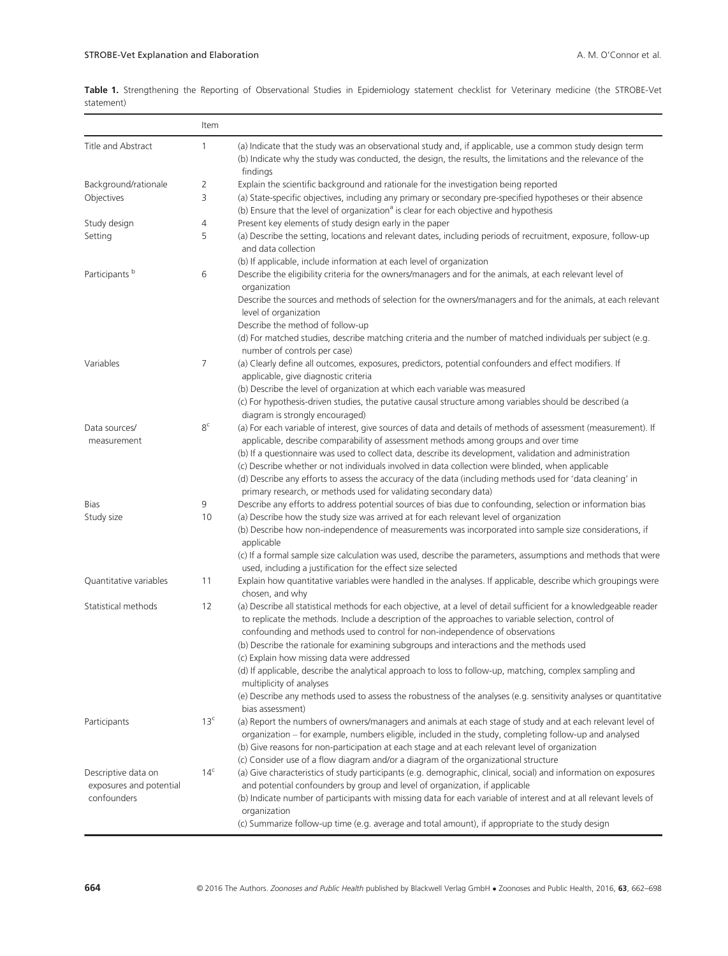|            | Table 1. Strengthening the Reporting of Observational Studies in Epidemiology statement checklist for Veterinary medicine (the STROBE-Vet |  |  |  |  |  |  |  |
|------------|-------------------------------------------------------------------------------------------------------------------------------------------|--|--|--|--|--|--|--|
| statement) |                                                                                                                                           |  |  |  |  |  |  |  |

|                                                               | Item            |                                                                                                                                                                                                                                                                                                                                                                                                                                                                                                                                                                                                          |
|---------------------------------------------------------------|-----------------|----------------------------------------------------------------------------------------------------------------------------------------------------------------------------------------------------------------------------------------------------------------------------------------------------------------------------------------------------------------------------------------------------------------------------------------------------------------------------------------------------------------------------------------------------------------------------------------------------------|
| Title and Abstract                                            | 1               | (a) Indicate that the study was an observational study and, if applicable, use a common study design term<br>(b) Indicate why the study was conducted, the design, the results, the limitations and the relevance of the<br>findings                                                                                                                                                                                                                                                                                                                                                                     |
| Background/rationale                                          | 2               | Explain the scientific background and rationale for the investigation being reported                                                                                                                                                                                                                                                                                                                                                                                                                                                                                                                     |
| Objectives                                                    | 3               | (a) State-specific objectives, including any primary or secondary pre-specified hypotheses or their absence<br>(b) Ensure that the level of organization <sup>a</sup> is clear for each objective and hypothesis                                                                                                                                                                                                                                                                                                                                                                                         |
| Study design                                                  | 4               | Present key elements of study design early in the paper                                                                                                                                                                                                                                                                                                                                                                                                                                                                                                                                                  |
| Setting                                                       | 5               | (a) Describe the setting, locations and relevant dates, including periods of recruitment, exposure, follow-up<br>and data collection                                                                                                                                                                                                                                                                                                                                                                                                                                                                     |
| Participants <sup>b</sup>                                     | 6               | (b) If applicable, include information at each level of organization<br>Describe the eligibility criteria for the owners/managers and for the animals, at each relevant level of<br>organization<br>Describe the sources and methods of selection for the owners/managers and for the animals, at each relevant<br>level of organization<br>Describe the method of follow-up                                                                                                                                                                                                                             |
|                                                               |                 | (d) For matched studies, describe matching criteria and the number of matched individuals per subject (e.g.<br>number of controls per case)                                                                                                                                                                                                                                                                                                                                                                                                                                                              |
| Variables                                                     | 7               | (a) Clearly define all outcomes, exposures, predictors, potential confounders and effect modifiers. If<br>applicable, give diagnostic criteria<br>(b) Describe the level of organization at which each variable was measured                                                                                                                                                                                                                                                                                                                                                                             |
|                                                               |                 | (c) For hypothesis-driven studies, the putative causal structure among variables should be described (a<br>diagram is strongly encouraged)                                                                                                                                                                                                                                                                                                                                                                                                                                                               |
| Data sources/<br>measurement                                  | 8 <sup>c</sup>  | (a) For each variable of interest, give sources of data and details of methods of assessment (measurement). If<br>applicable, describe comparability of assessment methods among groups and over time<br>(b) If a questionnaire was used to collect data, describe its development, validation and administration<br>(c) Describe whether or not individuals involved in data collection were blinded, when applicable<br>(d) Describe any efforts to assess the accuracy of the data (including methods used for 'data cleaning' in<br>primary research, or methods used for validating secondary data) |
| <b>Bias</b>                                                   | 9               | Describe any efforts to address potential sources of bias due to confounding, selection or information bias                                                                                                                                                                                                                                                                                                                                                                                                                                                                                              |
| Study size                                                    | 10              | (a) Describe how the study size was arrived at for each relevant level of organization<br>(b) Describe how non-independence of measurements was incorporated into sample size considerations, if<br>applicable<br>(c) If a formal sample size calculation was used, describe the parameters, assumptions and methods that were<br>used, including a justification for the effect size selected                                                                                                                                                                                                           |
| Quantitative variables                                        | 11              | Explain how quantitative variables were handled in the analyses. If applicable, describe which groupings were<br>chosen, and why                                                                                                                                                                                                                                                                                                                                                                                                                                                                         |
| Statistical methods                                           | 12              | (a) Describe all statistical methods for each objective, at a level of detail sufficient for a knowledgeable reader<br>to replicate the methods. Include a description of the approaches to variable selection, control of<br>confounding and methods used to control for non-independence of observations<br>(b) Describe the rationale for examining subgroups and interactions and the methods used<br>(c) Explain how missing data were addressed                                                                                                                                                    |
|                                                               |                 | (d) If applicable, describe the analytical approach to loss to follow-up, matching, complex sampling and<br>multiplicity of analyses<br>(e) Describe any methods used to assess the robustness of the analyses (e.g. sensitivity analyses or quantitative<br>bias assessment)                                                                                                                                                                                                                                                                                                                            |
| Participants                                                  | 13 <sup>c</sup> | (a) Report the numbers of owners/managers and animals at each stage of study and at each relevant level of<br>organization - for example, numbers eligible, included in the study, completing follow-up and analysed<br>(b) Give reasons for non-participation at each stage and at each relevant level of organization<br>(c) Consider use of a flow diagram and/or a diagram of the organizational structure                                                                                                                                                                                           |
| Descriptive data on<br>exposures and potential<br>confounders | 14 <sup>c</sup> | (a) Give characteristics of study participants (e.g. demographic, clinical, social) and information on exposures<br>and potential confounders by group and level of organization, if applicable<br>(b) Indicate number of participants with missing data for each variable of interest and at all relevant levels of<br>organization<br>(c) Summarize follow-up time (e.g. average and total amount), if appropriate to the study design                                                                                                                                                                 |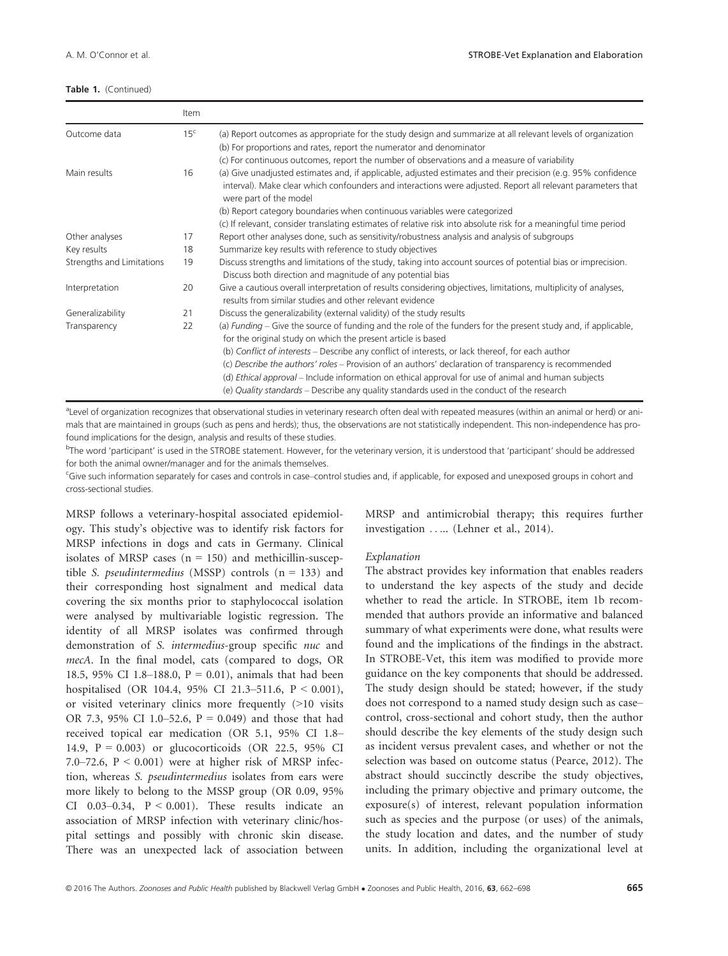### Table 1. (Continued)

|                           | Item            |                                                                                                                                                                                                                                                                                    |
|---------------------------|-----------------|------------------------------------------------------------------------------------------------------------------------------------------------------------------------------------------------------------------------------------------------------------------------------------|
| Outcome data              | 15 <sup>c</sup> | (a) Report outcomes as appropriate for the study design and summarize at all relevant levels of organization<br>(b) For proportions and rates, report the numerator and denominator<br>(c) For continuous outcomes, report the number of observations and a measure of variability |
| Main results              | 16              | (a) Give unadjusted estimates and, if applicable, adjusted estimates and their precision (e.g. 95% confidence<br>interval). Make clear which confounders and interactions were adjusted. Report all relevant parameters that<br>were part of the model                             |
|                           |                 | (b) Report category boundaries when continuous variables were categorized                                                                                                                                                                                                          |
|                           |                 | (c) If relevant, consider translating estimates of relative risk into absolute risk for a meaningful time period                                                                                                                                                                   |
| Other analyses            | 17              | Report other analyses done, such as sensitivity/robustness analysis and analysis of subgroups                                                                                                                                                                                      |
| Key results               | 18              | Summarize key results with reference to study objectives                                                                                                                                                                                                                           |
| Strengths and Limitations | 19              | Discuss strengths and limitations of the study, taking into account sources of potential bias or imprecision.<br>Discuss both direction and magnitude of any potential bias                                                                                                        |
| Interpretation            | 20              | Give a cautious overall interpretation of results considering objectives, limitations, multiplicity of analyses,<br>results from similar studies and other relevant evidence                                                                                                       |
| Generalizability          | 21              | Discuss the generalizability (external validity) of the study results                                                                                                                                                                                                              |
| Transparency              | 22              | (a) Funding $-$ Give the source of funding and the role of the funders for the present study and, if applicable,<br>for the original study on which the present article is based                                                                                                   |
|                           |                 | (b) Conflict of interests – Describe any conflict of interests, or lack thereof, for each author                                                                                                                                                                                   |
|                           |                 | (c) Describe the authors' roles – Provision of an authors' declaration of transparency is recommended                                                                                                                                                                              |
|                           |                 | (d) <i>Ethical approval</i> – Include information on ethical approval for use of animal and human subjects                                                                                                                                                                         |
|                           |                 | (e) <i>Quality standards</i> – Describe any quality standards used in the conduct of the research                                                                                                                                                                                  |

aLevel of organization recognizes that observational studies in veterinary research often deal with repeated measures (within an animal or herd) or animals that are maintained in groups (such as pens and herds); thus, the observations are not statistically independent. This non-independence has profound implications for the design, analysis and results of these studies.

<sup>b</sup>The word 'participant' is used in the STROBE statement. However, for the veterinary version, it is understood that 'participant' should be addressed for both the animal owner/manager and for the animals themselves.

<sup>c</sup>Give such information separately for cases and controls in case–control studies and, if applicable, for exposed and unexposed groups in cohort and cross-sectional studies.

MRSP follows a veterinary-hospital associated epidemiology. This study's objective was to identify risk factors for MRSP infections in dogs and cats in Germany. Clinical isolates of MRSP cases  $(n = 150)$  and methicillin-susceptible S. pseudintermedius (MSSP) controls  $(n = 133)$  and their corresponding host signalment and medical data covering the six months prior to staphylococcal isolation were analysed by multivariable logistic regression. The identity of all MRSP isolates was confirmed through demonstration of S. intermedius-group specific nuc and mecA. In the final model, cats (compared to dogs, OR 18.5, 95% CI 1.8–188.0,  $P = 0.01$ ), animals that had been hospitalised (OR 104.4, 95% CI 21.3–511.6, P < 0.001), or visited veterinary clinics more frequently (>10 visits OR 7.3, 95% CI 1.0–52.6,  $P = 0.049$ ) and those that had received topical ear medication (OR 5.1, 95% CI 1.8– 14.9, P = 0.003) or glucocorticoids (OR 22.5, 95% CI 7.0–72.6,  $P < 0.001$ ) were at higher risk of MRSP infection, whereas S. pseudintermedius isolates from ears were more likely to belong to the MSSP group (OR 0.09, 95% CI 0.03–0.34,  $P < 0.001$ ). These results indicate an association of MRSP infection with veterinary clinic/hospital settings and possibly with chronic skin disease. There was an unexpected lack of association between

MRSP and antimicrobial therapy; this requires further investigation ..... (Lehner et al., 2014).

#### Explanation

The abstract provides key information that enables readers to understand the key aspects of the study and decide whether to read the article. In STROBE, item 1b recommended that authors provide an informative and balanced summary of what experiments were done, what results were found and the implications of the findings in the abstract. In STROBE-Vet, this item was modified to provide more guidance on the key components that should be addressed. The study design should be stated; however, if the study does not correspond to a named study design such as case– control, cross-sectional and cohort study, then the author should describe the key elements of the study design such as incident versus prevalent cases, and whether or not the selection was based on outcome status (Pearce, 2012). The abstract should succinctly describe the study objectives, including the primary objective and primary outcome, the exposure(s) of interest, relevant population information such as species and the purpose (or uses) of the animals, the study location and dates, and the number of study units. In addition, including the organizational level at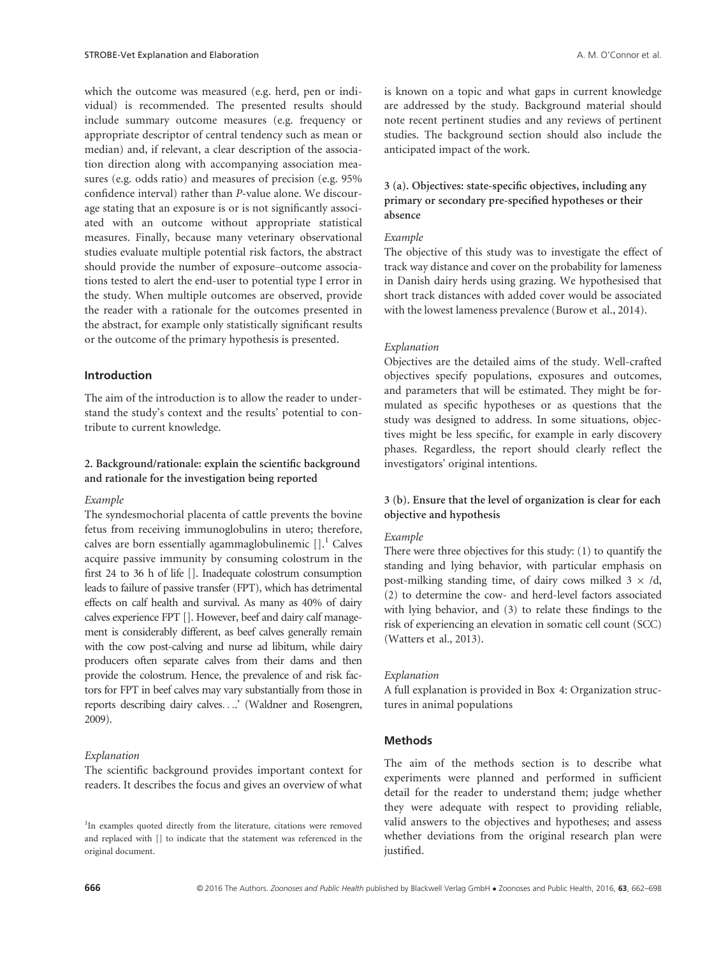which the outcome was measured (e.g. herd, pen or individual) is recommended. The presented results should include summary outcome measures (e.g. frequency or appropriate descriptor of central tendency such as mean or median) and, if relevant, a clear description of the association direction along with accompanying association measures (e.g. odds ratio) and measures of precision (e.g. 95% confidence interval) rather than P-value alone. We discourage stating that an exposure is or is not significantly associated with an outcome without appropriate statistical measures. Finally, because many veterinary observational studies evaluate multiple potential risk factors, the abstract should provide the number of exposure–outcome associations tested to alert the end-user to potential type I error in the study. When multiple outcomes are observed, provide the reader with a rationale for the outcomes presented in the abstract, for example only statistically significant results or the outcome of the primary hypothesis is presented.

### Introduction

The aim of the introduction is to allow the reader to understand the study's context and the results' potential to contribute to current knowledge.

# 2. Background/rationale: explain the scientific background and rationale for the investigation being reported

#### Example

The syndesmochorial placenta of cattle prevents the bovine fetus from receiving immunoglobulins in utero; therefore, calves are born essentially agammaglobulinemic  $[]$ .<sup>1</sup> Calves acquire passive immunity by consuming colostrum in the first 24 to 36 h of life []. Inadequate colostrum consumption leads to failure of passive transfer (FPT), which has detrimental effects on calf health and survival. As many as 40% of dairy calves experience FPT []. However, beef and dairy calf management is considerably different, as beef calves generally remain with the cow post-calving and nurse ad libitum, while dairy producers often separate calves from their dams and then provide the colostrum. Hence, the prevalence of and risk factors for FPT in beef calves may vary substantially from those in reports describing dairy calves....' (Waldner and Rosengren, 2009).

#### Explanation

The scientific background provides important context for readers. It describes the focus and gives an overview of what

is known on a topic and what gaps in current knowledge are addressed by the study. Background material should note recent pertinent studies and any reviews of pertinent studies. The background section should also include the anticipated impact of the work.

# 3 (a). Objectives: state-specific objectives, including any primary or secondary pre-specified hypotheses or their absence

#### Example

The objective of this study was to investigate the effect of track way distance and cover on the probability for lameness in Danish dairy herds using grazing. We hypothesised that short track distances with added cover would be associated with the lowest lameness prevalence (Burow et al., 2014).

#### Explanation

Objectives are the detailed aims of the study. Well-crafted objectives specify populations, exposures and outcomes, and parameters that will be estimated. They might be formulated as specific hypotheses or as questions that the study was designed to address. In some situations, objectives might be less specific, for example in early discovery phases. Regardless, the report should clearly reflect the investigators' original intentions.

# 3 (b). Ensure that the level of organization is clear for each objective and hypothesis

### Example

There were three objectives for this study: (1) to quantify the standing and lying behavior, with particular emphasis on post-milking standing time, of dairy cows milked  $3 \times /d$ , (2) to determine the cow- and herd-level factors associated with lying behavior, and (3) to relate these findings to the risk of experiencing an elevation in somatic cell count (SCC) (Watters et al., 2013).

# Explanation

A full explanation is provided in Box 4: Organization structures in animal populations

# Methods

The aim of the methods section is to describe what experiments were planned and performed in sufficient detail for the reader to understand them; judge whether they were adequate with respect to providing reliable, valid answers to the objectives and hypotheses; and assess whether deviations from the original research plan were justified.

<sup>&</sup>lt;sup>1</sup>In examples quoted directly from the literature, citations were removed and replaced with [] to indicate that the statement was referenced in the original document.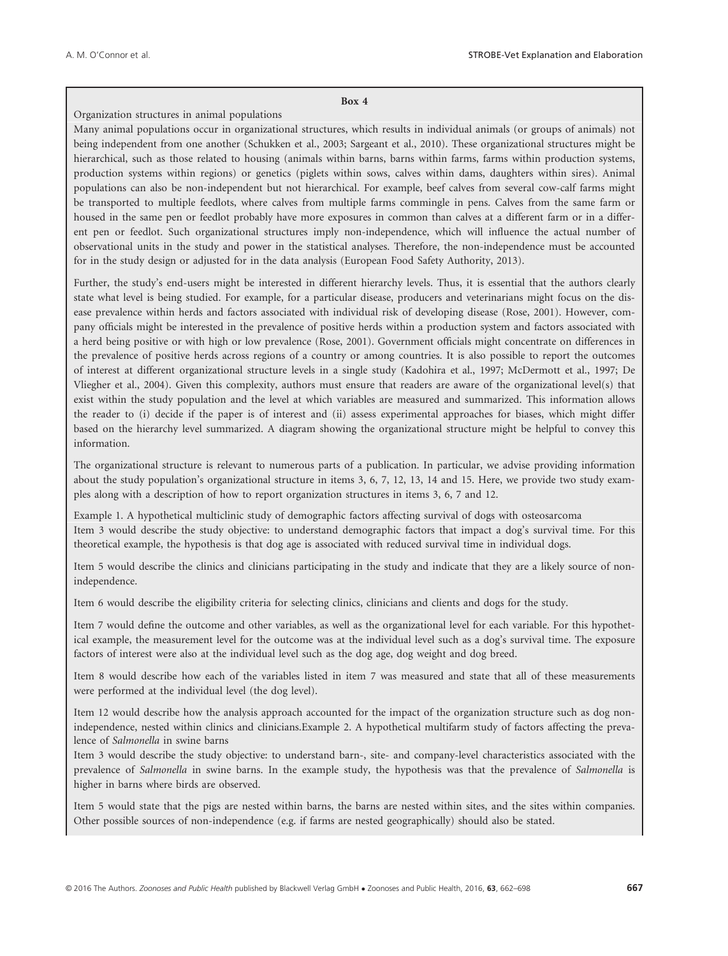#### Box 4

Organization structures in animal populations

Many animal populations occur in organizational structures, which results in individual animals (or groups of animals) not being independent from one another (Schukken et al., 2003; Sargeant et al., 2010). These organizational structures might be hierarchical, such as those related to housing (animals within barns, barns within farms, farms within production systems, production systems within regions) or genetics (piglets within sows, calves within dams, daughters within sires). Animal populations can also be non-independent but not hierarchical. For example, beef calves from several cow-calf farms might be transported to multiple feedlots, where calves from multiple farms commingle in pens. Calves from the same farm or housed in the same pen or feedlot probably have more exposures in common than calves at a different farm or in a different pen or feedlot. Such organizational structures imply non-independence, which will influence the actual number of observational units in the study and power in the statistical analyses. Therefore, the non-independence must be accounted for in the study design or adjusted for in the data analysis (European Food Safety Authority, 2013).

Further, the study's end-users might be interested in different hierarchy levels. Thus, it is essential that the authors clearly state what level is being studied. For example, for a particular disease, producers and veterinarians might focus on the disease prevalence within herds and factors associated with individual risk of developing disease (Rose, 2001). However, company officials might be interested in the prevalence of positive herds within a production system and factors associated with a herd being positive or with high or low prevalence (Rose, 2001). Government officials might concentrate on differences in the prevalence of positive herds across regions of a country or among countries. It is also possible to report the outcomes of interest at different organizational structure levels in a single study (Kadohira et al., 1997; McDermott et al., 1997; De Vliegher et al., 2004). Given this complexity, authors must ensure that readers are aware of the organizational level(s) that exist within the study population and the level at which variables are measured and summarized. This information allows the reader to (i) decide if the paper is of interest and (ii) assess experimental approaches for biases, which might differ based on the hierarchy level summarized. A diagram showing the organizational structure might be helpful to convey this information.

The organizational structure is relevant to numerous parts of a publication. In particular, we advise providing information about the study population's organizational structure in items 3, 6, 7, 12, 13, 14 and 15. Here, we provide two study examples along with a description of how to report organization structures in items 3, 6, 7 and 12.

Example 1. A hypothetical multiclinic study of demographic factors affecting survival of dogs with osteosarcoma Item 3 would describe the study objective: to understand demographic factors that impact a dog's survival time. For this theoretical example, the hypothesis is that dog age is associated with reduced survival time in individual dogs.

Item 5 would describe the clinics and clinicians participating in the study and indicate that they are a likely source of nonindependence.

Item 6 would describe the eligibility criteria for selecting clinics, clinicians and clients and dogs for the study.

Item 7 would define the outcome and other variables, as well as the organizational level for each variable. For this hypothetical example, the measurement level for the outcome was at the individual level such as a dog's survival time. The exposure factors of interest were also at the individual level such as the dog age, dog weight and dog breed.

Item 8 would describe how each of the variables listed in item 7 was measured and state that all of these measurements were performed at the individual level (the dog level).

Item 12 would describe how the analysis approach accounted for the impact of the organization structure such as dog nonindependence, nested within clinics and clinicians.Example 2. A hypothetical multifarm study of factors affecting the prevalence of Salmonella in swine barns

Item 3 would describe the study objective: to understand barn-, site- and company-level characteristics associated with the prevalence of Salmonella in swine barns. In the example study, the hypothesis was that the prevalence of Salmonella is higher in barns where birds are observed.

Item 5 would state that the pigs are nested within barns, the barns are nested within sites, and the sites within companies. Other possible sources of non-independence (e.g. if farms are nested geographically) should also be stated.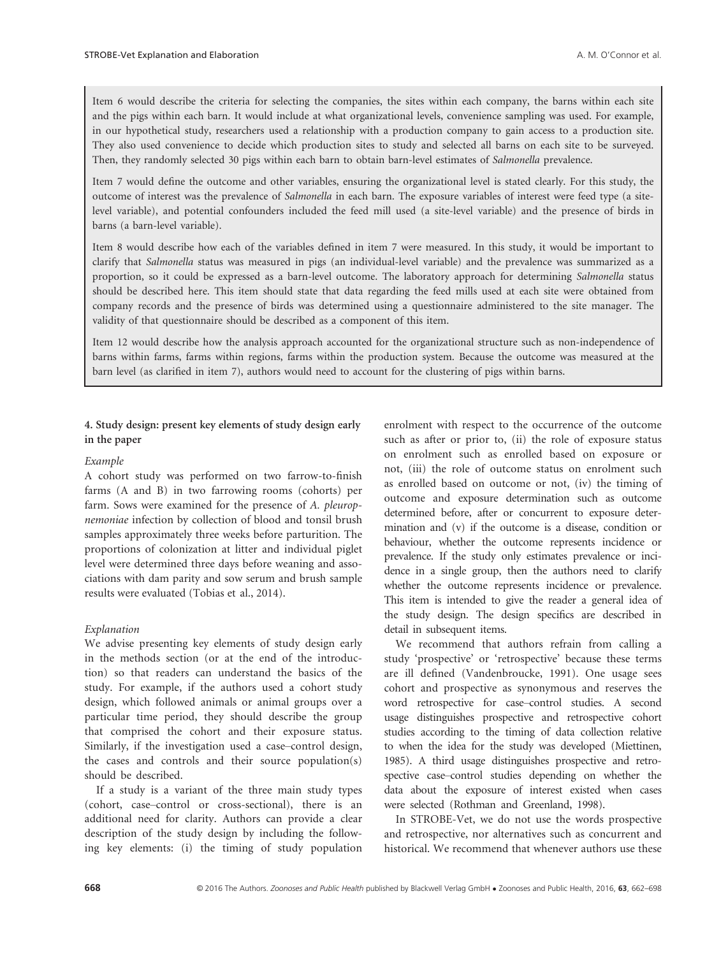Item 6 would describe the criteria for selecting the companies, the sites within each company, the barns within each site and the pigs within each barn. It would include at what organizational levels, convenience sampling was used. For example, in our hypothetical study, researchers used a relationship with a production company to gain access to a production site. They also used convenience to decide which production sites to study and selected all barns on each site to be surveyed. Then, they randomly selected 30 pigs within each barn to obtain barn-level estimates of Salmonella prevalence.

Item 7 would define the outcome and other variables, ensuring the organizational level is stated clearly. For this study, the outcome of interest was the prevalence of Salmonella in each barn. The exposure variables of interest were feed type (a sitelevel variable), and potential confounders included the feed mill used (a site-level variable) and the presence of birds in barns (a barn-level variable).

Item 8 would describe how each of the variables defined in item 7 were measured. In this study, it would be important to clarify that Salmonella status was measured in pigs (an individual-level variable) and the prevalence was summarized as a proportion, so it could be expressed as a barn-level outcome. The laboratory approach for determining Salmonella status should be described here. This item should state that data regarding the feed mills used at each site were obtained from company records and the presence of birds was determined using a questionnaire administered to the site manager. The validity of that questionnaire should be described as a component of this item.

Item 12 would describe how the analysis approach accounted for the organizational structure such as non-independence of barns within farms, farms within regions, farms within the production system. Because the outcome was measured at the barn level (as clarified in item 7), authors would need to account for the clustering of pigs within barns.

# 4. Study design: present key elements of study design early in the paper

#### Example

A cohort study was performed on two farrow-to-finish farms (A and B) in two farrowing rooms (cohorts) per farm. Sows were examined for the presence of A. pleuropnemoniae infection by collection of blood and tonsil brush samples approximately three weeks before parturition. The proportions of colonization at litter and individual piglet level were determined three days before weaning and associations with dam parity and sow serum and brush sample results were evaluated (Tobias et al., 2014).

#### Explanation

We advise presenting key elements of study design early in the methods section (or at the end of the introduction) so that readers can understand the basics of the study. For example, if the authors used a cohort study design, which followed animals or animal groups over a particular time period, they should describe the group that comprised the cohort and their exposure status. Similarly, if the investigation used a case–control design, the cases and controls and their source population(s) should be described.

If a study is a variant of the three main study types (cohort, case–control or cross-sectional), there is an additional need for clarity. Authors can provide a clear description of the study design by including the following key elements: (i) the timing of study population enrolment with respect to the occurrence of the outcome such as after or prior to, (ii) the role of exposure status on enrolment such as enrolled based on exposure or not, (iii) the role of outcome status on enrolment such as enrolled based on outcome or not, (iv) the timing of outcome and exposure determination such as outcome determined before, after or concurrent to exposure determination and (v) if the outcome is a disease, condition or behaviour, whether the outcome represents incidence or prevalence. If the study only estimates prevalence or incidence in a single group, then the authors need to clarify whether the outcome represents incidence or prevalence. This item is intended to give the reader a general idea of the study design. The design specifics are described in detail in subsequent items.

We recommend that authors refrain from calling a study 'prospective' or 'retrospective' because these terms are ill defined (Vandenbroucke, 1991). One usage sees cohort and prospective as synonymous and reserves the word retrospective for case–control studies. A second usage distinguishes prospective and retrospective cohort studies according to the timing of data collection relative to when the idea for the study was developed (Miettinen, 1985). A third usage distinguishes prospective and retrospective case–control studies depending on whether the data about the exposure of interest existed when cases were selected (Rothman and Greenland, 1998).

In STROBE-Vet, we do not use the words prospective and retrospective, nor alternatives such as concurrent and historical. We recommend that whenever authors use these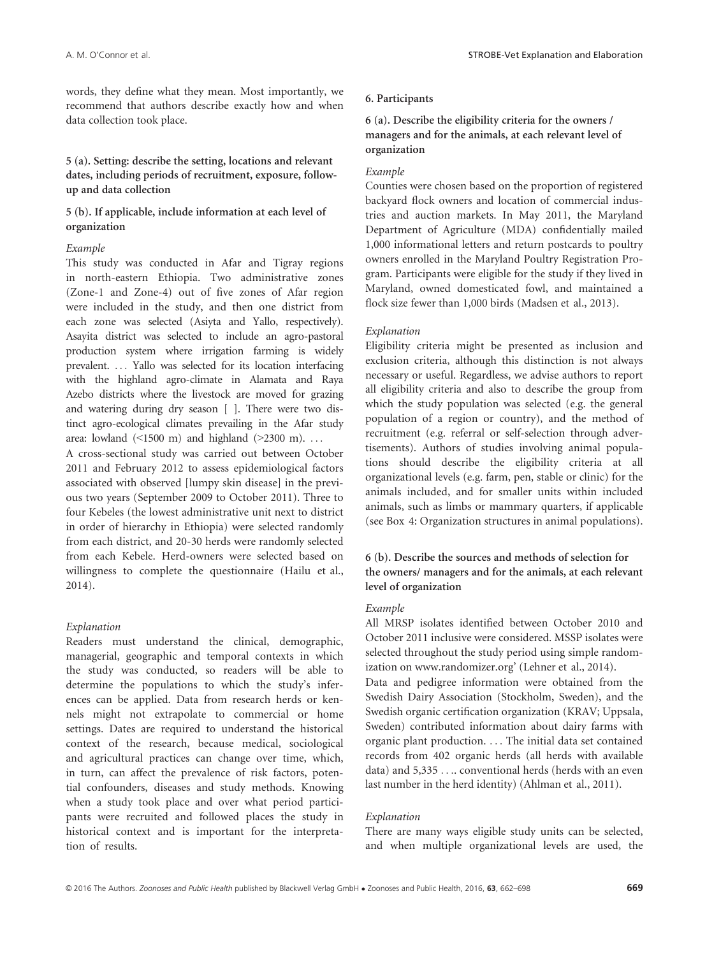words, they define what they mean. Most importantly, we recommend that authors describe exactly how and when data collection took place.

# 5 (a). Setting: describe the setting, locations and relevant dates, including periods of recruitment, exposure, followup and data collection

# 5 (b). If applicable, include information at each level of organization

#### Example

This study was conducted in Afar and Tigray regions in north-eastern Ethiopia. Two administrative zones (Zone-1 and Zone-4) out of five zones of Afar region were included in the study, and then one district from each zone was selected (Asiyta and Yallo, respectively). Asayita district was selected to include an agro-pastoral production system where irrigation farming is widely prevalent. ... Yallo was selected for its location interfacing with the highland agro-climate in Alamata and Raya Azebo districts where the livestock are moved for grazing and watering during dry season [ ]. There were two distinct agro-ecological climates prevailing in the Afar study area: lowland  $(\leq 1500 \text{ m})$  and highland  $(\geq 2300 \text{ m})$ ...

A cross-sectional study was carried out between October 2011 and February 2012 to assess epidemiological factors associated with observed [lumpy skin disease] in the previous two years (September 2009 to October 2011). Three to four Kebeles (the lowest administrative unit next to district in order of hierarchy in Ethiopia) were selected randomly from each district, and 20-30 herds were randomly selected from each Kebele. Herd-owners were selected based on willingness to complete the questionnaire (Hailu et al., 2014).

### Explanation

Readers must understand the clinical, demographic, managerial, geographic and temporal contexts in which the study was conducted, so readers will be able to determine the populations to which the study's inferences can be applied. Data from research herds or kennels might not extrapolate to commercial or home settings. Dates are required to understand the historical context of the research, because medical, sociological and agricultural practices can change over time, which, in turn, can affect the prevalence of risk factors, potential confounders, diseases and study methods. Knowing when a study took place and over what period participants were recruited and followed places the study in historical context and is important for the interpretation of results.

### 6. Participants

6 (a). Describe the eligibility criteria for the owners / managers and for the animals, at each relevant level of organization

#### Example

Counties were chosen based on the proportion of registered backyard flock owners and location of commercial industries and auction markets. In May 2011, the Maryland Department of Agriculture (MDA) confidentially mailed 1,000 informational letters and return postcards to poultry owners enrolled in the Maryland Poultry Registration Program. Participants were eligible for the study if they lived in Maryland, owned domesticated fowl, and maintained a flock size fewer than 1,000 birds (Madsen et al., 2013).

### Explanation

Eligibility criteria might be presented as inclusion and exclusion criteria, although this distinction is not always necessary or useful. Regardless, we advise authors to report all eligibility criteria and also to describe the group from which the study population was selected (e.g. the general population of a region or country), and the method of recruitment (e.g. referral or self-selection through advertisements). Authors of studies involving animal populations should describe the eligibility criteria at all organizational levels (e.g. farm, pen, stable or clinic) for the animals included, and for smaller units within included animals, such as limbs or mammary quarters, if applicable (see Box 4: Organization structures in animal populations).

# 6 (b). Describe the sources and methods of selection for the owners/ managers and for the animals, at each relevant level of organization

#### Example

All MRSP isolates identified between October 2010 and October 2011 inclusive were considered. MSSP isolates were selected throughout the study period using simple randomization on [www.randomizer.org](http://www.randomizer.org)' (Lehner et al., 2014). Data and pedigree information were obtained from the Swedish Dairy Association (Stockholm, Sweden), and the

Swedish organic certification organization (KRAV; Uppsala, Sweden) contributed information about dairy farms with organic plant production. ... The initial data set contained records from 402 organic herds (all herds with available data) and 5,335 .... conventional herds (herds with an even last number in the herd identity) (Ahlman et al., 2011).

### Explanation

There are many ways eligible study units can be selected, and when multiple organizational levels are used, the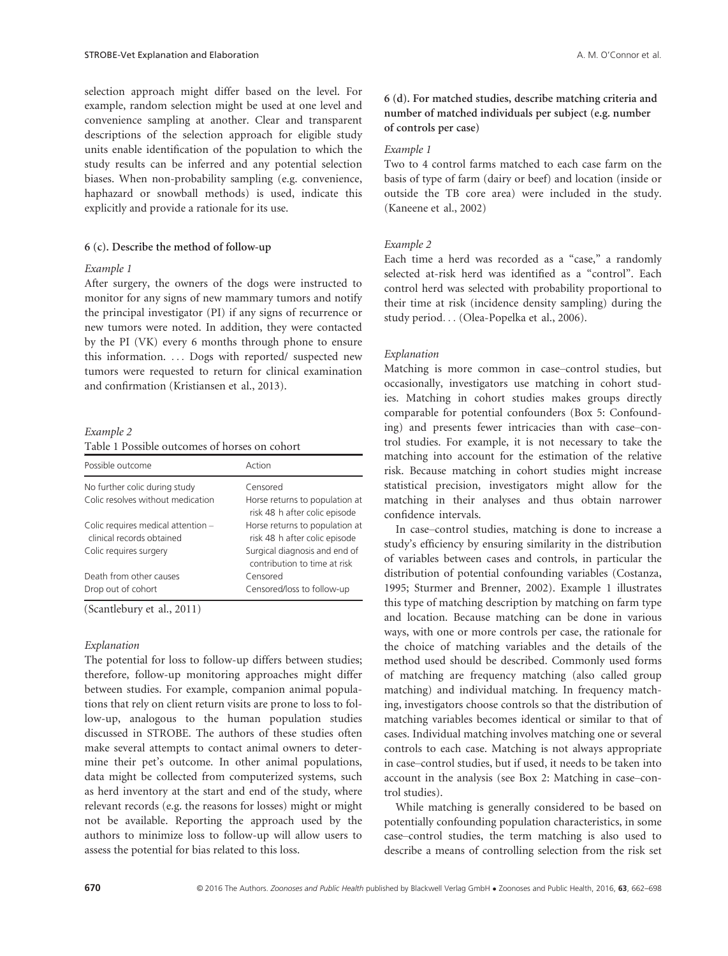selection approach might differ based on the level. For example, random selection might be used at one level and convenience sampling at another. Clear and transparent descriptions of the selection approach for eligible study units enable identification of the population to which the study results can be inferred and any potential selection biases. When non-probability sampling (e.g. convenience, haphazard or snowball methods) is used, indicate this explicitly and provide a rationale for its use.

### 6 (c). Describe the method of follow-up

#### Example 1

After surgery, the owners of the dogs were instructed to monitor for any signs of new mammary tumors and notify the principal investigator (PI) if any signs of recurrence or new tumors were noted. In addition, they were contacted by the PI (VK) every 6 months through phone to ensure this information. ... Dogs with reported/ suspected new tumors were requested to return for clinical examination and confirmation (Kristiansen et al., 2013).

Example 2 Table 1 Possible outcomes of horses on cohort

| Possible outcome                                                | Action                                                          |
|-----------------------------------------------------------------|-----------------------------------------------------------------|
| No further colic during study                                   | Censored                                                        |
| Colic resolves without medication                               | Horse returns to population at<br>risk 48 h after colic episode |
| Colic requires medical attention -<br>clinical records obtained | Horse returns to population at<br>risk 48 h after colic episode |
| Colic requires surgery                                          | Surgical diagnosis and end of<br>contribution to time at risk   |
| Death from other causes                                         | Censored                                                        |
| Drop out of cohort                                              | Censored/loss to follow-up                                      |

(Scantlebury et al., 2011)

#### Explanation

The potential for loss to follow-up differs between studies; therefore, follow-up monitoring approaches might differ between studies. For example, companion animal populations that rely on client return visits are prone to loss to follow-up, analogous to the human population studies discussed in STROBE. The authors of these studies often make several attempts to contact animal owners to determine their pet's outcome. In other animal populations, data might be collected from computerized systems, such as herd inventory at the start and end of the study, where relevant records (e.g. the reasons for losses) might or might not be available. Reporting the approach used by the authors to minimize loss to follow-up will allow users to assess the potential for bias related to this loss.

6 (d). For matched studies, describe matching criteria and number of matched individuals per subject (e.g. number of controls per case)

#### Example 1

Two to 4 control farms matched to each case farm on the basis of type of farm (dairy or beef) and location (inside or outside the TB core area) were included in the study. (Kaneene et al., 2002)

### Example 2

Each time a herd was recorded as a "case," a randomly selected at-risk herd was identified as a "control". Each control herd was selected with probability proportional to their time at risk (incidence density sampling) during the study period... (Olea-Popelka et al., 2006).

### Explanation

Matching is more common in case–control studies, but occasionally, investigators use matching in cohort studies. Matching in cohort studies makes groups directly comparable for potential confounders (Box 5: Confounding) and presents fewer intricacies than with case–control studies. For example, it is not necessary to take the matching into account for the estimation of the relative risk. Because matching in cohort studies might increase statistical precision, investigators might allow for the matching in their analyses and thus obtain narrower confidence intervals.

In case–control studies, matching is done to increase a study's efficiency by ensuring similarity in the distribution of variables between cases and controls, in particular the distribution of potential confounding variables (Costanza, 1995; Sturmer and Brenner, 2002). Example 1 illustrates this type of matching description by matching on farm type and location. Because matching can be done in various ways, with one or more controls per case, the rationale for the choice of matching variables and the details of the method used should be described. Commonly used forms of matching are frequency matching (also called group matching) and individual matching. In frequency matching, investigators choose controls so that the distribution of matching variables becomes identical or similar to that of cases. Individual matching involves matching one or several controls to each case. Matching is not always appropriate in case–control studies, but if used, it needs to be taken into account in the analysis (see Box 2: Matching in case–control studies).

While matching is generally considered to be based on potentially confounding population characteristics, in some case–control studies, the term matching is also used to describe a means of controlling selection from the risk set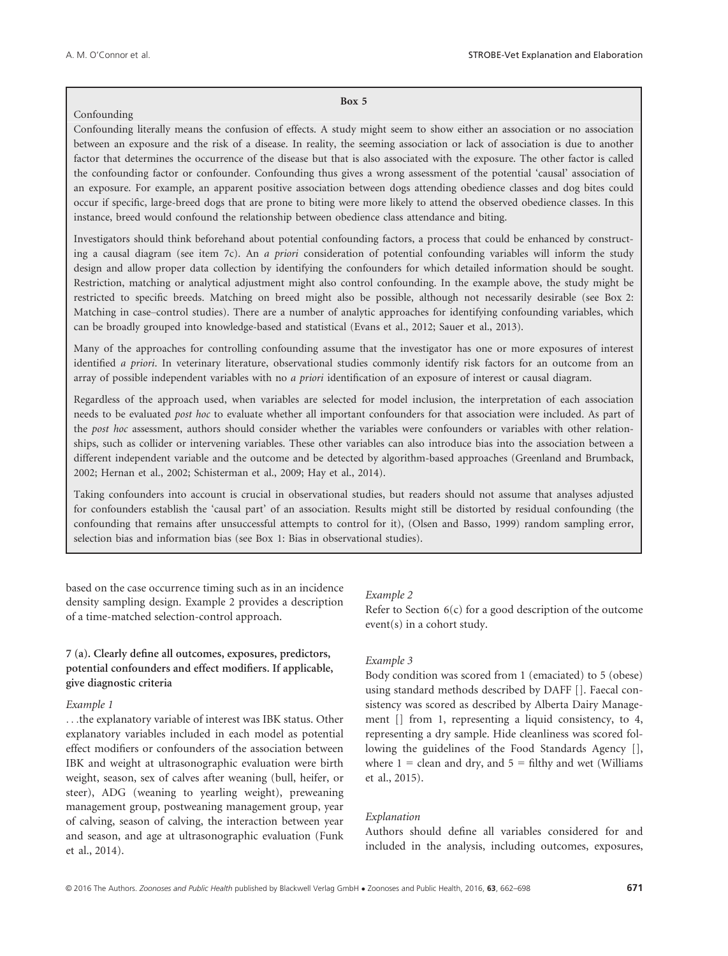#### Box 5

### Confounding

Confounding literally means the confusion of effects. A study might seem to show either an association or no association between an exposure and the risk of a disease. In reality, the seeming association or lack of association is due to another factor that determines the occurrence of the disease but that is also associated with the exposure. The other factor is called the confounding factor or confounder. Confounding thus gives a wrong assessment of the potential 'causal' association of an exposure. For example, an apparent positive association between dogs attending obedience classes and dog bites could occur if specific, large-breed dogs that are prone to biting were more likely to attend the observed obedience classes. In this instance, breed would confound the relationship between obedience class attendance and biting.

Investigators should think beforehand about potential confounding factors, a process that could be enhanced by constructing a causal diagram (see item 7c). An a priori consideration of potential confounding variables will inform the study design and allow proper data collection by identifying the confounders for which detailed information should be sought. Restriction, matching or analytical adjustment might also control confounding. In the example above, the study might be restricted to specific breeds. Matching on breed might also be possible, although not necessarily desirable (see Box 2: Matching in case–control studies). There are a number of analytic approaches for identifying confounding variables, which can be broadly grouped into knowledge-based and statistical (Evans et al., 2012; Sauer et al., 2013).

Many of the approaches for controlling confounding assume that the investigator has one or more exposures of interest identified *a priori*. In veterinary literature, observational studies commonly identify risk factors for an outcome from an array of possible independent variables with no a priori identification of an exposure of interest or causal diagram.

Regardless of the approach used, when variables are selected for model inclusion, the interpretation of each association needs to be evaluated post hoc to evaluate whether all important confounders for that association were included. As part of the post hoc assessment, authors should consider whether the variables were confounders or variables with other relationships, such as collider or intervening variables. These other variables can also introduce bias into the association between a different independent variable and the outcome and be detected by algorithm-based approaches (Greenland and Brumback, 2002; Hernan et al., 2002; Schisterman et al., 2009; Hay et al., 2014).

Taking confounders into account is crucial in observational studies, but readers should not assume that analyses adjusted for confounders establish the 'causal part' of an association. Results might still be distorted by residual confounding (the confounding that remains after unsuccessful attempts to control for it), (Olsen and Basso, 1999) random sampling error, selection bias and information bias (see Box 1: Bias in observational studies).

based on the case occurrence timing such as in an incidence density sampling design. Example 2 provides a description of a time-matched selection-control approach.

# 7 (a). Clearly define all outcomes, exposures, predictors, potential confounders and effect modifiers. If applicable, give diagnostic criteria

### Example 1

...the explanatory variable of interest was IBK status. Other explanatory variables included in each model as potential effect modifiers or confounders of the association between IBK and weight at ultrasonographic evaluation were birth weight, season, sex of calves after weaning (bull, heifer, or steer), ADG (weaning to yearling weight), preweaning management group, postweaning management group, year of calving, season of calving, the interaction between year and season, and age at ultrasonographic evaluation (Funk et al., 2014).

# Example 2

Refer to Section  $6(c)$  for a good description of the outcome event(s) in a cohort study.

# Example 3

Body condition was scored from 1 (emaciated) to 5 (obese) using standard methods described by DAFF []. Faecal consistency was scored as described by Alberta Dairy Management [] from 1, representing a liquid consistency, to 4, representing a dry sample. Hide cleanliness was scored following the guidelines of the Food Standards Agency [], where  $1 =$  clean and dry, and  $5 =$  filthy and wet (Williams et al., 2015).

### Explanation

Authors should define all variables considered for and included in the analysis, including outcomes, exposures,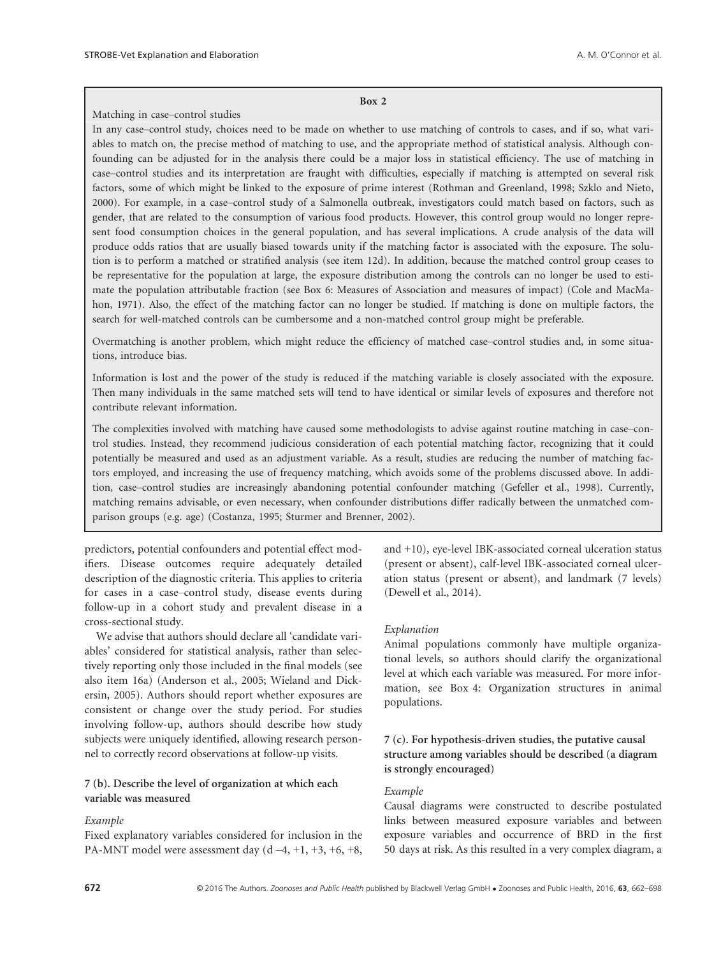#### Box 2

Matching in case–control studies

In any case–control study, choices need to be made on whether to use matching of controls to cases, and if so, what variables to match on, the precise method of matching to use, and the appropriate method of statistical analysis. Although confounding can be adjusted for in the analysis there could be a major loss in statistical efficiency. The use of matching in case–control studies and its interpretation are fraught with difficulties, especially if matching is attempted on several risk factors, some of which might be linked to the exposure of prime interest (Rothman and Greenland, 1998; Szklo and Nieto, 2000). For example, in a case–control study of a Salmonella outbreak, investigators could match based on factors, such as gender, that are related to the consumption of various food products. However, this control group would no longer represent food consumption choices in the general population, and has several implications. A crude analysis of the data will produce odds ratios that are usually biased towards unity if the matching factor is associated with the exposure. The solution is to perform a matched or stratified analysis (see item 12d). In addition, because the matched control group ceases to be representative for the population at large, the exposure distribution among the controls can no longer be used to estimate the population attributable fraction (see Box 6: Measures of Association and measures of impact) (Cole and MacMahon, 1971). Also, the effect of the matching factor can no longer be studied. If matching is done on multiple factors, the search for well-matched controls can be cumbersome and a non-matched control group might be preferable.

Overmatching is another problem, which might reduce the efficiency of matched case–control studies and, in some situations, introduce bias.

Information is lost and the power of the study is reduced if the matching variable is closely associated with the exposure. Then many individuals in the same matched sets will tend to have identical or similar levels of exposures and therefore not contribute relevant information.

The complexities involved with matching have caused some methodologists to advise against routine matching in case–control studies. Instead, they recommend judicious consideration of each potential matching factor, recognizing that it could potentially be measured and used as an adjustment variable. As a result, studies are reducing the number of matching factors employed, and increasing the use of frequency matching, which avoids some of the problems discussed above. In addition, case–control studies are increasingly abandoning potential confounder matching (Gefeller et al., 1998). Currently, matching remains advisable, or even necessary, when confounder distributions differ radically between the unmatched comparison groups (e.g. age) (Costanza, 1995; Sturmer and Brenner, 2002).

predictors, potential confounders and potential effect modifiers. Disease outcomes require adequately detailed description of the diagnostic criteria. This applies to criteria for cases in a case–control study, disease events during follow-up in a cohort study and prevalent disease in a cross-sectional study.

We advise that authors should declare all 'candidate variables' considered for statistical analysis, rather than selectively reporting only those included in the final models (see also item 16a) (Anderson et al., 2005; Wieland and Dickersin, 2005). Authors should report whether exposures are consistent or change over the study period. For studies involving follow-up, authors should describe how study subjects were uniquely identified, allowing research personnel to correctly record observations at follow-up visits.

# 7 (b). Describe the level of organization at which each variable was measured

#### Example

Fixed explanatory variables considered for inclusion in the PA-MNT model were assessment day  $(d-4, +1, +3, +6, +8,$  and +10), eye-level IBK-associated corneal ulceration status (present or absent), calf-level IBK-associated corneal ulceration status (present or absent), and landmark (7 levels) (Dewell et al., 2014).

#### Explanation

Animal populations commonly have multiple organizational levels, so authors should clarify the organizational level at which each variable was measured. For more information, see Box 4: Organization structures in animal populations.

# 7 (c). For hypothesis-driven studies, the putative causal structure among variables should be described (a diagram is strongly encouraged)

#### Example

Causal diagrams were constructed to describe postulated links between measured exposure variables and between exposure variables and occurrence of BRD in the first 50 days at risk. As this resulted in a very complex diagram, a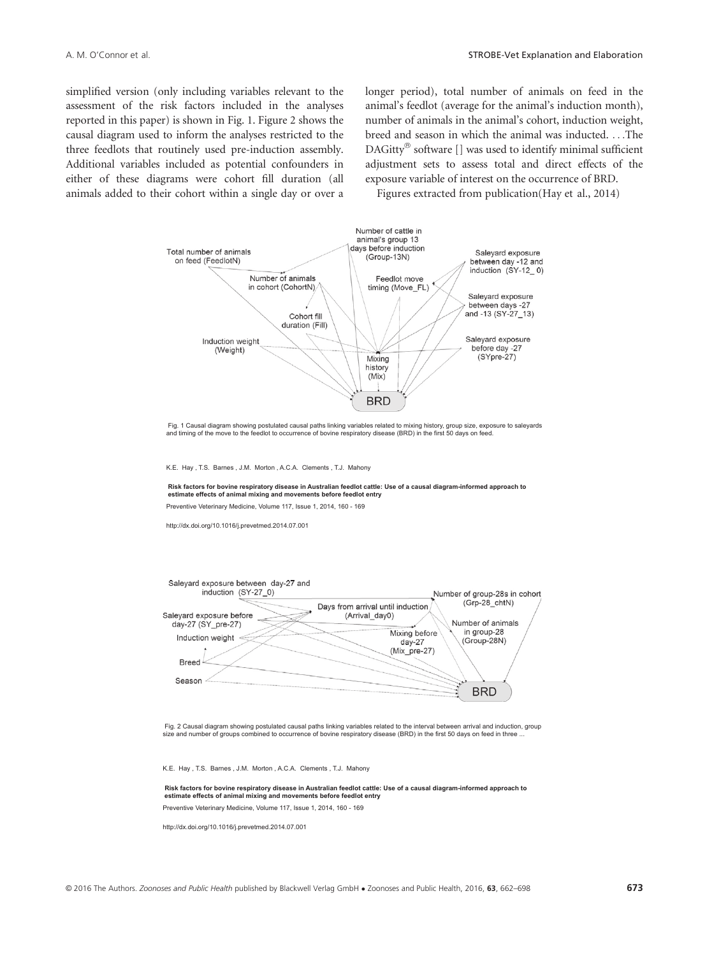simplified version (only including variables relevant to the assessment of the risk factors included in the analyses reported in this paper) is shown in Fig. 1. Figure 2 shows the causal diagram used to inform the analyses restricted to the three feedlots that routinely used pre-induction assembly. Additional variables included as potential confounders in either of these diagrams were cohort fill duration (all animals added to their cohort within a single day or over a longer period), total number of animals on feed in the animal's feedlot (average for the animal's induction month), number of animals in the animal's cohort, induction weight, breed and season in which the animal was inducted. ...The  $DAGittv^{\circledR}$  software  $\Box$  was used to identify minimal sufficient adjustment sets to assess total and direct effects of the exposure variable of interest on the occurrence of BRD.

Figures extracted from publication(Hay et al., 2014)



Fig. 1 Causal diagram showing postulated causal paths linking variables related to mixing history, group size, exposure to saleyards<br>and timing of the move to the feedlot to occurrence of bovine respiratory disease (BRD) i

K.E. Hay , T.S. Barnes , J.M. Morton , A.C.A. Clements , T.J. Mahony

**Risk factors for bovine respiratory disease in Australian feedlot cattle: Use of a causal diagram-informed approach to estimate effects of animal mixing and movements before feedlot entry** Preventive Veterinary Medicine, Volume 117, Issue 1, 2014, 160 - 169

http://dx.doi.org/10.1016/j.prevetmed.2014.07.001



Fig. 2 Causal diagram showing postulated causal paths linking variables related to the interval between arrival and induction, group size and number of groups combined to occurrence of bovine respiratory disease (BRD) in the first 50 days on feed in three  $\sin \theta$ 

K.E. Hay , T.S. Barnes , J.M. Morton , A.C.A. Clements , T.J. Mahony

**Risk factors for bovine respiratory disease in Australian feedlot cattle: Use of a causal diagram-informed approach to estimate effects of animal mixing and movements before feedlot entry** Preventive Veterinary Medicine, Volume 117, Issue 1, 2014, 160 - 169

http://dx.doi.org/10.1016/j.prevetmed.2014.07.001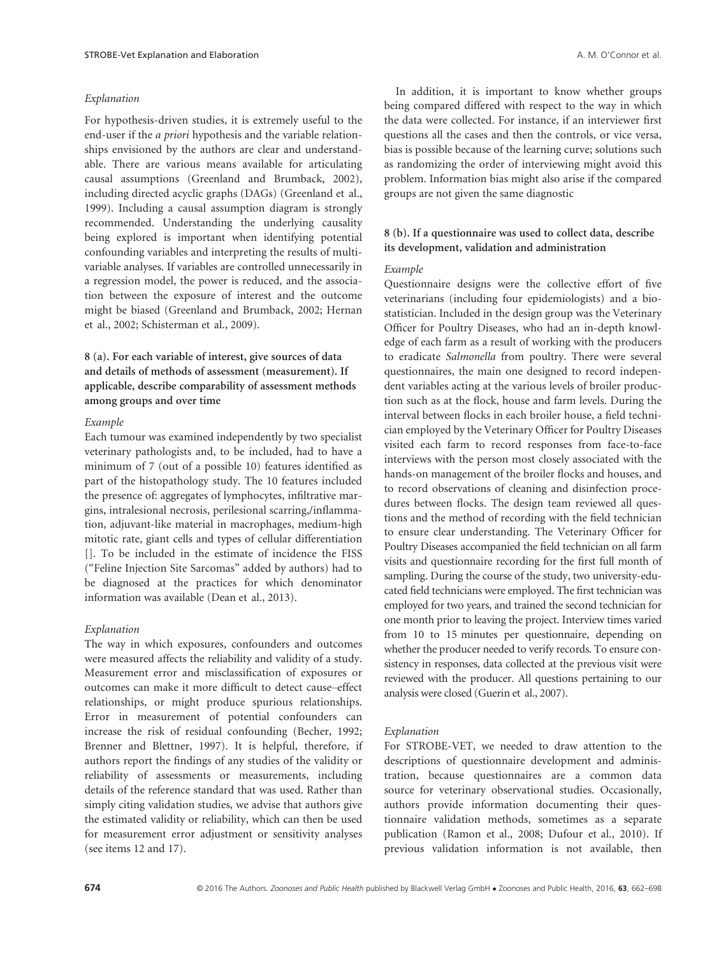# Explanation

For hypothesis-driven studies, it is extremely useful to the end-user if the a priori hypothesis and the variable relationships envisioned by the authors are clear and understandable. There are various means available for articulating causal assumptions (Greenland and Brumback, 2002), including directed acyclic graphs (DAGs) (Greenland et al., 1999). Including a causal assumption diagram is strongly recommended. Understanding the underlying causality being explored is important when identifying potential confounding variables and interpreting the results of multivariable analyses. If variables are controlled unnecessarily in a regression model, the power is reduced, and the association between the exposure of interest and the outcome might be biased (Greenland and Brumback, 2002; Hernan et al., 2002; Schisterman et al., 2009).

8 (a). For each variable of interest, give sources of data and details of methods of assessment (measurement). If applicable, describe comparability of assessment methods among groups and over time

#### Example

Each tumour was examined independently by two specialist veterinary pathologists and, to be included, had to have a minimum of 7 (out of a possible 10) features identified as part of the histopathology study. The 10 features included the presence of: aggregates of lymphocytes, infiltrative margins, intralesional necrosis, perilesional scarring,/inflammation, adjuvant-like material in macrophages, medium-high mitotic rate, giant cells and types of cellular differentiation []. To be included in the estimate of incidence the FISS ("Feline Injection Site Sarcomas" added by authors) had to be diagnosed at the practices for which denominator information was available (Dean et al., 2013).

#### Explanation

The way in which exposures, confounders and outcomes were measured affects the reliability and validity of a study. Measurement error and misclassification of exposures or outcomes can make it more difficult to detect cause–effect relationships, or might produce spurious relationships. Error in measurement of potential confounders can increase the risk of residual confounding (Becher, 1992; Brenner and Blettner, 1997). It is helpful, therefore, if authors report the findings of any studies of the validity or reliability of assessments or measurements, including details of the reference standard that was used. Rather than simply citing validation studies, we advise that authors give the estimated validity or reliability, which can then be used for measurement error adjustment or sensitivity analyses (see items 12 and 17).

In addition, it is important to know whether groups being compared differed with respect to the way in which the data were collected. For instance, if an interviewer first questions all the cases and then the controls, or vice versa, bias is possible because of the learning curve; solutions such as randomizing the order of interviewing might avoid this problem. Information bias might also arise if the compared groups are not given the same diagnostic

# 8 (b). If a questionnaire was used to collect data, describe its development, validation and administration

### Example

Questionnaire designs were the collective effort of five veterinarians (including four epidemiologists) and a biostatistician. Included in the design group was the Veterinary Officer for Poultry Diseases, who had an in-depth knowledge of each farm as a result of working with the producers to eradicate Salmonella from poultry. There were several questionnaires, the main one designed to record independent variables acting at the various levels of broiler production such as at the flock, house and farm levels. During the interval between flocks in each broiler house, a field technician employed by the Veterinary Officer for Poultry Diseases visited each farm to record responses from face-to-face interviews with the person most closely associated with the hands-on management of the broiler flocks and houses, and to record observations of cleaning and disinfection procedures between flocks. The design team reviewed all questions and the method of recording with the field technician to ensure clear understanding. The Veterinary Officer for Poultry Diseases accompanied the field technician on all farm visits and questionnaire recording for the first full month of sampling. During the course of the study, two university-educated field technicians were employed. The first technician was employed for two years, and trained the second technician for one month prior to leaving the project. Interview times varied from 10 to 15 minutes per questionnaire, depending on whether the producer needed to verify records. To ensure consistency in responses, data collected at the previous visit were reviewed with the producer. All questions pertaining to our analysis were closed (Guerin et al., 2007).

#### Explanation

For STROBE-VET, we needed to draw attention to the descriptions of questionnaire development and administration, because questionnaires are a common data source for veterinary observational studies. Occasionally, authors provide information documenting their questionnaire validation methods, sometimes as a separate publication (Ramon et al., 2008; Dufour et al., 2010). If previous validation information is not available, then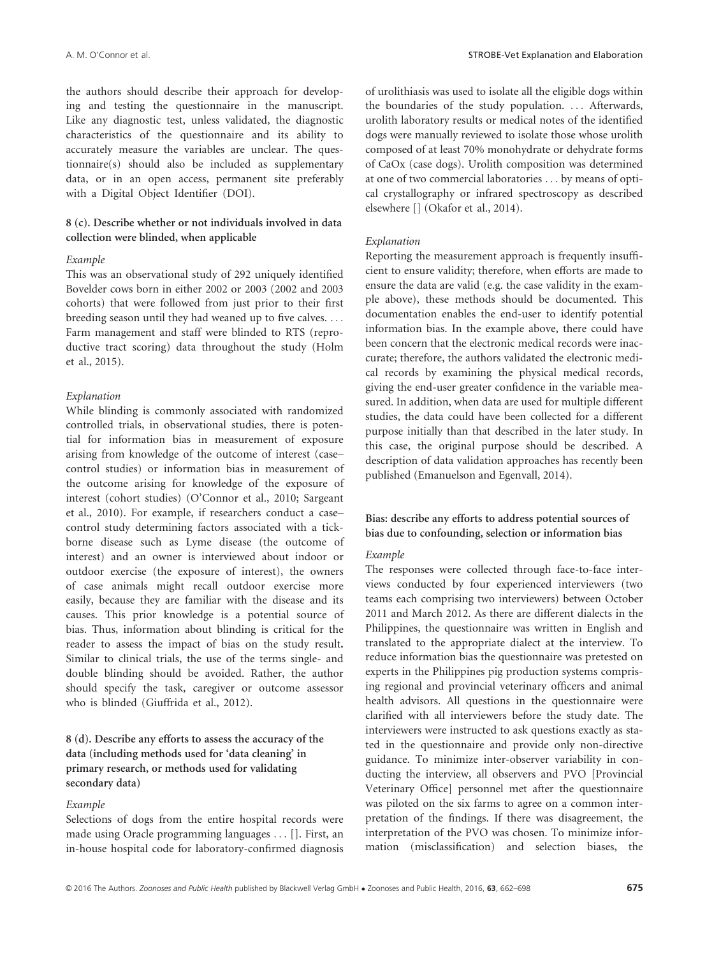the authors should describe their approach for developing and testing the questionnaire in the manuscript. Like any diagnostic test, unless validated, the diagnostic characteristics of the questionnaire and its ability to accurately measure the variables are unclear. The questionnaire(s) should also be included as supplementary data, or in an open access, permanent site preferably with a Digital Object Identifier (DOI).

# 8 (c). Describe whether or not individuals involved in data collection were blinded, when applicable

#### Example

This was an observational study of 292 uniquely identified Bovelder cows born in either 2002 or 2003 (2002 and 2003 cohorts) that were followed from just prior to their first breeding season until they had weaned up to five calves. ... Farm management and staff were blinded to RTS (reproductive tract scoring) data throughout the study (Holm et al., 2015).

### Explanation

While blinding is commonly associated with randomized controlled trials, in observational studies, there is potential for information bias in measurement of exposure arising from knowledge of the outcome of interest (case– control studies) or information bias in measurement of the outcome arising for knowledge of the exposure of interest (cohort studies) (O'Connor et al., 2010; Sargeant et al., 2010). For example, if researchers conduct a case– control study determining factors associated with a tickborne disease such as Lyme disease (the outcome of interest) and an owner is interviewed about indoor or outdoor exercise (the exposure of interest), the owners of case animals might recall outdoor exercise more easily, because they are familiar with the disease and its causes. This prior knowledge is a potential source of bias. Thus, information about blinding is critical for the reader to assess the impact of bias on the study result. Similar to clinical trials, the use of the terms single- and double blinding should be avoided. Rather, the author should specify the task, caregiver or outcome assessor who is blinded (Giuffrida et al., 2012).

# 8 (d). Describe any efforts to assess the accuracy of the data (including methods used for 'data cleaning' in primary research, or methods used for validating secondary data)

#### Example

Selections of dogs from the entire hospital records were made using Oracle programming languages ... []. First, an in-house hospital code for laboratory-confirmed diagnosis

of urolithiasis was used to isolate all the eligible dogs within the boundaries of the study population. ... Afterwards, urolith laboratory results or medical notes of the identified dogs were manually reviewed to isolate those whose urolith composed of at least 70% monohydrate or dehydrate forms of CaOx (case dogs). Urolith composition was determined at one of two commercial laboratories ... by means of optical crystallography or infrared spectroscopy as described elsewhere [] (Okafor et al., 2014).

#### Explanation

Reporting the measurement approach is frequently insufficient to ensure validity; therefore, when efforts are made to ensure the data are valid (e.g. the case validity in the example above), these methods should be documented. This documentation enables the end-user to identify potential information bias. In the example above, there could have been concern that the electronic medical records were inaccurate; therefore, the authors validated the electronic medical records by examining the physical medical records, giving the end-user greater confidence in the variable measured. In addition, when data are used for multiple different studies, the data could have been collected for a different purpose initially than that described in the later study. In this case, the original purpose should be described. A description of data validation approaches has recently been published (Emanuelson and Egenvall, 2014).

# Bias: describe any efforts to address potential sources of bias due to confounding, selection or information bias

#### Example

The responses were collected through face-to-face interviews conducted by four experienced interviewers (two teams each comprising two interviewers) between October 2011 and March 2012. As there are different dialects in the Philippines, the questionnaire was written in English and translated to the appropriate dialect at the interview. To reduce information bias the questionnaire was pretested on experts in the Philippines pig production systems comprising regional and provincial veterinary officers and animal health advisors. All questions in the questionnaire were clarified with all interviewers before the study date. The interviewers were instructed to ask questions exactly as stated in the questionnaire and provide only non-directive guidance. To minimize inter-observer variability in conducting the interview, all observers and PVO [Provincial Veterinary Office] personnel met after the questionnaire was piloted on the six farms to agree on a common interpretation of the findings. If there was disagreement, the interpretation of the PVO was chosen. To minimize information (misclassification) and selection biases, the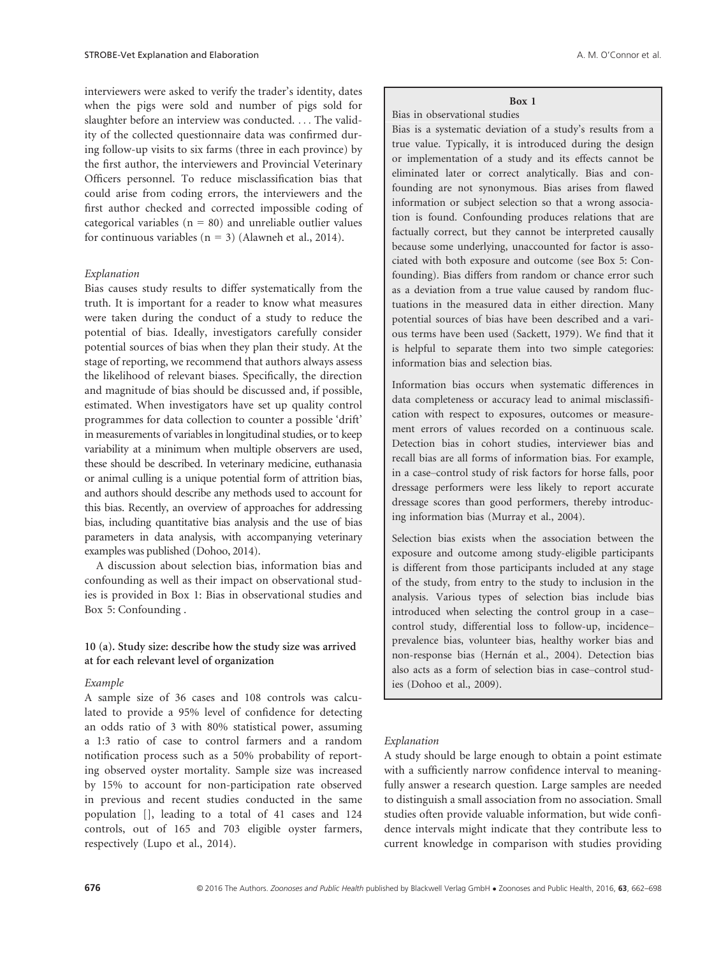interviewers were asked to verify the trader's identity, dates when the pigs were sold and number of pigs sold for slaughter before an interview was conducted. ... The validity of the collected questionnaire data was confirmed during follow-up visits to six farms (three in each province) by the first author, the interviewers and Provincial Veterinary Officers personnel. To reduce misclassification bias that could arise from coding errors, the interviewers and the first author checked and corrected impossible coding of categorical variables ( $n = 80$ ) and unreliable outlier values for continuous variables ( $n = 3$ ) (Alawneh et al., 2014).

### Explanation

Bias causes study results to differ systematically from the truth. It is important for a reader to know what measures were taken during the conduct of a study to reduce the potential of bias. Ideally, investigators carefully consider potential sources of bias when they plan their study. At the stage of reporting, we recommend that authors always assess the likelihood of relevant biases. Specifically, the direction and magnitude of bias should be discussed and, if possible, estimated. When investigators have set up quality control programmes for data collection to counter a possible 'drift' in measurements of variables in longitudinal studies, or to keep variability at a minimum when multiple observers are used, these should be described. In veterinary medicine, euthanasia or animal culling is a unique potential form of attrition bias, and authors should describe any methods used to account for this bias. Recently, an overview of approaches for addressing bias, including quantitative bias analysis and the use of bias parameters in data analysis, with accompanying veterinary examples was published (Dohoo, 2014).

A discussion about selection bias, information bias and confounding as well as their impact on observational studies is provided in Box 1: Bias in observational studies and Box 5: Confounding .

# 10 (a). Study size: describe how the study size was arrived at for each relevant level of organization

#### Example

A sample size of 36 cases and 108 controls was calculated to provide a 95% level of confidence for detecting an odds ratio of 3 with 80% statistical power, assuming a 1:3 ratio of case to control farmers and a random notification process such as a 50% probability of reporting observed oyster mortality. Sample size was increased by 15% to account for non-participation rate observed in previous and recent studies conducted in the same population [], leading to a total of 41 cases and 124 controls, out of 165 and 703 eligible oyster farmers, respectively (Lupo et al., 2014).

# Box 1

### Bias in observational studies

Bias is a systematic deviation of a study's results from a true value. Typically, it is introduced during the design or implementation of a study and its effects cannot be eliminated later or correct analytically. Bias and confounding are not synonymous. Bias arises from flawed information or subject selection so that a wrong association is found. Confounding produces relations that are factually correct, but they cannot be interpreted causally because some underlying, unaccounted for factor is associated with both exposure and outcome (see Box 5: Confounding). Bias differs from random or chance error such as a deviation from a true value caused by random fluctuations in the measured data in either direction. Many potential sources of bias have been described and a various terms have been used (Sackett, 1979). We find that it is helpful to separate them into two simple categories: information bias and selection bias.

Information bias occurs when systematic differences in data completeness or accuracy lead to animal misclassification with respect to exposures, outcomes or measurement errors of values recorded on a continuous scale. Detection bias in cohort studies, interviewer bias and recall bias are all forms of information bias. For example, in a case–control study of risk factors for horse falls, poor dressage performers were less likely to report accurate dressage scores than good performers, thereby introducing information bias (Murray et al., 2004).

Selection bias exists when the association between the exposure and outcome among study-eligible participants is different from those participants included at any stage of the study, from entry to the study to inclusion in the analysis. Various types of selection bias include bias introduced when selecting the control group in a case– control study, differential loss to follow-up, incidence– prevalence bias, volunteer bias, healthy worker bias and non-response bias (Hernán et al., 2004). Detection bias also acts as a form of selection bias in case–control studies (Dohoo et al., 2009).

#### Explanation

A study should be large enough to obtain a point estimate with a sufficiently narrow confidence interval to meaningfully answer a research question. Large samples are needed to distinguish a small association from no association. Small studies often provide valuable information, but wide confidence intervals might indicate that they contribute less to current knowledge in comparison with studies providing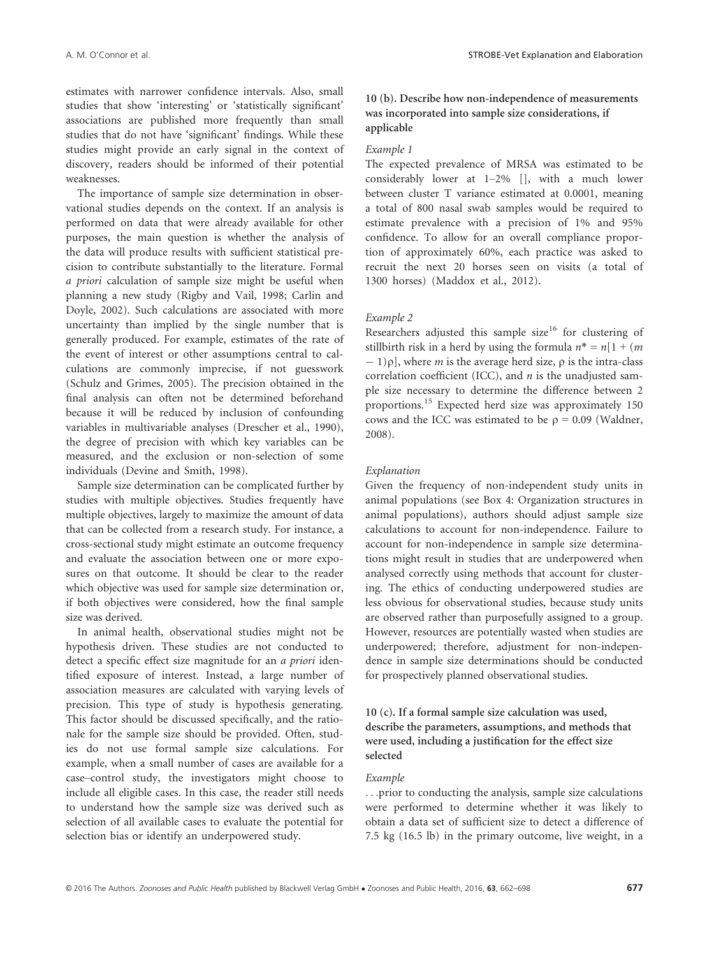estimates with narrower confidence intervals. Also, small studies that show 'interesting' or 'statistically significant' associations are published more frequently than small studies that do not have 'significant' findings. While these studies might provide an early signal in the context of discovery, readers should be informed of their potential weaknesses.

The importance of sample size determination in observational studies depends on the context. If an analysis is performed on data that were already available for other purposes, the main question is whether the analysis of the data will produce results with sufficient statistical precision to contribute substantially to the literature. Formal a priori calculation of sample size might be useful when planning a new study (Rigby and Vail, 1998; Carlin and Doyle, 2002). Such calculations are associated with more uncertainty than implied by the single number that is generally produced. For example, estimates of the rate of the event of interest or other assumptions central to calculations are commonly imprecise, if not guesswork (Schulz and Grimes, 2005). The precision obtained in the final analysis can often not be determined beforehand because it will be reduced by inclusion of confounding variables in multivariable analyses (Drescher et al., 1990), the degree of precision with which key variables can be measured, and the exclusion or non-selection of some individuals (Devine and Smith, 1998).

Sample size determination can be complicated further by studies with multiple objectives. Studies frequently have multiple objectives, largely to maximize the amount of data that can be collected from a research study. For instance, a cross-sectional study might estimate an outcome frequency and evaluate the association between one or more exposures on that outcome. It should be clear to the reader which objective was used for sample size determination or, if both objectives were considered, how the final sample size was derived.

In animal health, observational studies might not be hypothesis driven. These studies are not conducted to detect a specific effect size magnitude for an a priori identified exposure of interest. Instead, a large number of association measures are calculated with varying levels of precision. This type of study is hypothesis generating. This factor should be discussed specifically, and the rationale for the sample size should be provided. Often, studies do not use formal sample size calculations. For example, when a small number of cases are available for a case–control study, the investigators might choose to include all eligible cases. In this case, the reader still needs to understand how the sample size was derived such as selection of all available cases to evaluate the potential for selection bias or identify an underpowered study.

# 10 (b). Describe how non-independence of measurements was incorporated into sample size considerations, if applicable

#### Example 1

The expected prevalence of MRSA was estimated to be considerably lower at 1–2% [], with a much lower between cluster T variance estimated at 0.0001, meaning a total of 800 nasal swab samples would be required to estimate prevalence with a precision of 1% and 95% confidence. To allow for an overall compliance proportion of approximately 60%, each practice was asked to recruit the next 20 horses seen on visits (a total of 1300 horses) (Maddox et al., 2012).

#### Example 2

Researchers adjusted this sample size<sup>16</sup> for clustering of stillbirth risk in a herd by using the formula  $n^* = n[1 + (m)]$  $(-1)\rho$ , where *m* is the average herd size,  $\rho$  is the intra-class correlation coefficient (ICC), and  $n$  is the unadjusted sample size necessary to determine the difference between 2 proportions.<sup>15</sup> Expected herd size was approximately 150 cows and the ICC was estimated to be  $\rho = 0.09$  (Waldner, 2008).

#### Explanation

Given the frequency of non-independent study units in animal populations (see Box 4: Organization structures in animal populations), authors should adjust sample size calculations to account for non-independence. Failure to account for non-independence in sample size determinations might result in studies that are underpowered when analysed correctly using methods that account for clustering. The ethics of conducting underpowered studies are less obvious for observational studies, because study units are observed rather than purposefully assigned to a group. However, resources are potentially wasted when studies are underpowered; therefore, adjustment for non-independence in sample size determinations should be conducted for prospectively planned observational studies.

# 10 (c). If a formal sample size calculation was used, describe the parameters, assumptions, and methods that were used, including a justification for the effect size selected

#### Example

...prior to conducting the analysis, sample size calculations were performed to determine whether it was likely to obtain a data set of sufficient size to detect a difference of 7.5 kg (16.5 lb) in the primary outcome, live weight, in a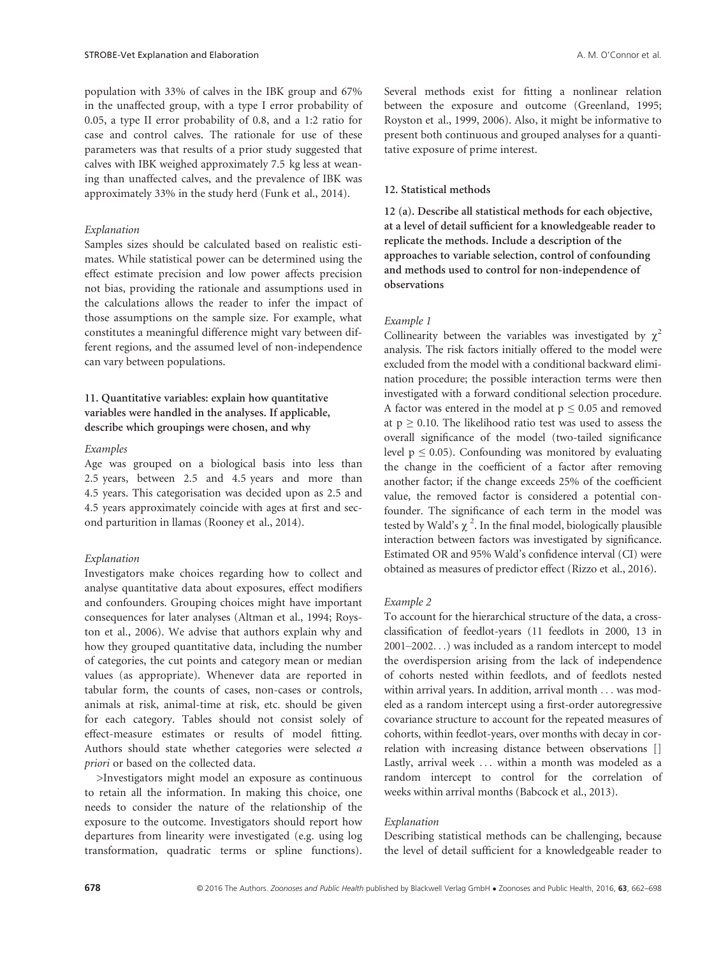population with 33% of calves in the IBK group and 67% in the unaffected group, with a type I error probability of 0.05, a type II error probability of 0.8, and a 1:2 ratio for case and control calves. The rationale for use of these parameters was that results of a prior study suggested that calves with IBK weighed approximately 7.5 kg less at weaning than unaffected calves, and the prevalence of IBK was approximately 33% in the study herd (Funk et al., 2014).

#### Explanation

Samples sizes should be calculated based on realistic estimates. While statistical power can be determined using the effect estimate precision and low power affects precision not bias, providing the rationale and assumptions used in the calculations allows the reader to infer the impact of those assumptions on the sample size. For example, what constitutes a meaningful difference might vary between different regions, and the assumed level of non-independence can vary between populations.

# 11. Quantitative variables: explain how quantitative variables were handled in the analyses. If applicable, describe which groupings were chosen, and why

#### Examples

Age was grouped on a biological basis into less than 2.5 years, between 2.5 and 4.5 years and more than 4.5 years. This categorisation was decided upon as 2.5 and 4.5 years approximately coincide with ages at first and second parturition in llamas (Rooney et al., 2014).

#### Explanation

Investigators make choices regarding how to collect and analyse quantitative data about exposures, effect modifiers and confounders. Grouping choices might have important consequences for later analyses (Altman et al., 1994; Royston et al., 2006). We advise that authors explain why and how they grouped quantitative data, including the number of categories, the cut points and category mean or median values (as appropriate). Whenever data are reported in tabular form, the counts of cases, non-cases or controls, animals at risk, animal-time at risk, etc. should be given for each category. Tables should not consist solely of effect-measure estimates or results of model fitting. Authors should state whether categories were selected a priori or based on the collected data.

>Investigators might model an exposure as continuous to retain all the information. In making this choice, one needs to consider the nature of the relationship of the exposure to the outcome. Investigators should report how departures from linearity were investigated (e.g. using log transformation, quadratic terms or spline functions). Several methods exist for fitting a nonlinear relation between the exposure and outcome (Greenland, 1995; Royston et al., 1999, 2006). Also, it might be informative to present both continuous and grouped analyses for a quantitative exposure of prime interest.

# 12. Statistical methods

12 (a). Describe all statistical methods for each objective, at a level of detail sufficient for a knowledgeable reader to replicate the methods. Include a description of the approaches to variable selection, control of confounding and methods used to control for non-independence of observations

### Example 1

Collinearity between the variables was investigated by  $\gamma^2$ analysis. The risk factors initially offered to the model were excluded from the model with a conditional backward elimination procedure; the possible interaction terms were then investigated with a forward conditional selection procedure. A factor was entered in the model at  $p \le 0.05$  and removed at  $p \geq 0.10$ . The likelihood ratio test was used to assess the overall significance of the model (two-tailed significance level  $p \leq 0.05$ ). Confounding was monitored by evaluating the change in the coefficient of a factor after removing another factor; if the change exceeds 25% of the coefficient value, the removed factor is considered a potential confounder. The significance of each term in the model was tested by Wald's  $\chi$  <sup>2</sup>. In the final model, biologically plausible interaction between factors was investigated by significance. Estimated OR and 95% Wald's confidence interval (CI) were obtained as measures of predictor effect (Rizzo et al., 2016).

#### Example 2

To account for the hierarchical structure of the data, a crossclassification of feedlot-years (11 feedlots in 2000, 13 in 2001–2002...) was included as a random intercept to model the overdispersion arising from the lack of independence of cohorts nested within feedlots, and of feedlots nested within arrival years. In addition, arrival month ... was modeled as a random intercept using a first-order autoregressive covariance structure to account for the repeated measures of cohorts, within feedlot-years, over months with decay in correlation with increasing distance between observations [] Lastly, arrival week ... within a month was modeled as a random intercept to control for the correlation of weeks within arrival months (Babcock et al., 2013).

#### Explanation

Describing statistical methods can be challenging, because the level of detail sufficient for a knowledgeable reader to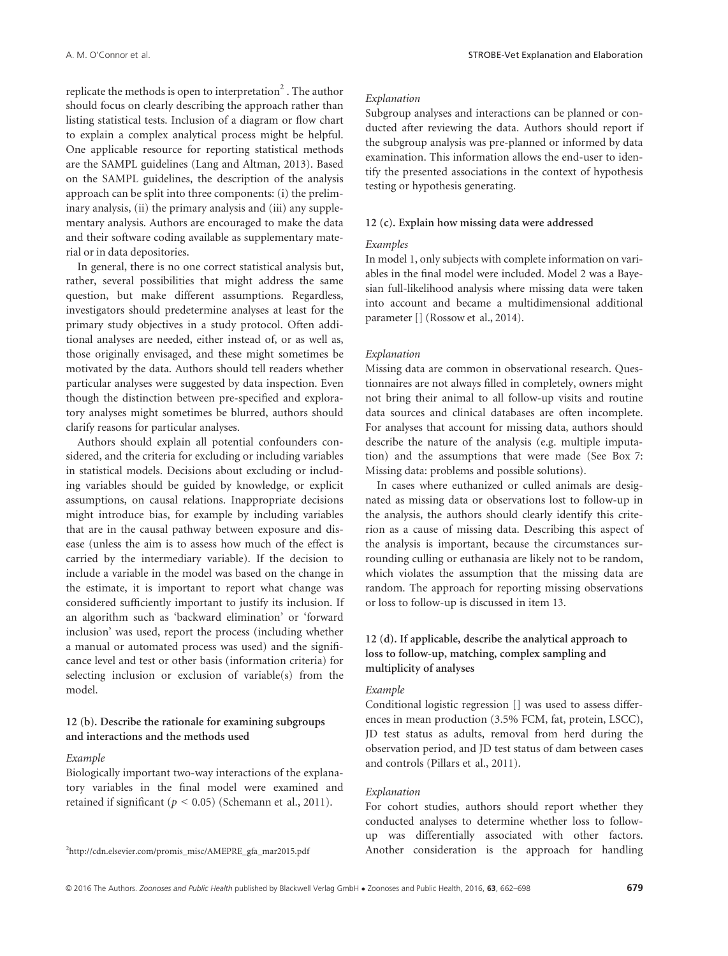replicate the methods is open to interpretation<sup>2</sup>. The author should focus on clearly describing the approach rather than listing statistical tests. Inclusion of a diagram or flow chart to explain a complex analytical process might be helpful. One applicable resource for reporting statistical methods are the SAMPL guidelines (Lang and Altman, 2013). Based on the SAMPL guidelines, the description of the analysis approach can be split into three components: (i) the preliminary analysis, (ii) the primary analysis and (iii) any supplementary analysis. Authors are encouraged to make the data and their software coding available as supplementary material or in data depositories.

In general, there is no one correct statistical analysis but, rather, several possibilities that might address the same question, but make different assumptions. Regardless, investigators should predetermine analyses at least for the primary study objectives in a study protocol. Often additional analyses are needed, either instead of, or as well as, those originally envisaged, and these might sometimes be motivated by the data. Authors should tell readers whether particular analyses were suggested by data inspection. Even though the distinction between pre-specified and exploratory analyses might sometimes be blurred, authors should clarify reasons for particular analyses.

Authors should explain all potential confounders considered, and the criteria for excluding or including variables in statistical models. Decisions about excluding or including variables should be guided by knowledge, or explicit assumptions, on causal relations. Inappropriate decisions might introduce bias, for example by including variables that are in the causal pathway between exposure and disease (unless the aim is to assess how much of the effect is carried by the intermediary variable). If the decision to include a variable in the model was based on the change in the estimate, it is important to report what change was considered sufficiently important to justify its inclusion. If an algorithm such as 'backward elimination' or 'forward inclusion' was used, report the process (including whether a manual or automated process was used) and the significance level and test or other basis (information criteria) for selecting inclusion or exclusion of variable(s) from the model.

# 12 (b). Describe the rationale for examining subgroups and interactions and the methods used

#### Example

Biologically important two-way interactions of the explanatory variables in the final model were examined and retained if significant ( $p < 0.05$ ) (Schemann et al., 2011).

[http://cdn.elsevier.com/promis\\_misc/AMEPRE\\_gfa\\_mar2015.pdf](http://cdn.elsevier.com/promis_misc/AMEPRE_gfa_mar2015.pdf)

### Explanation

Subgroup analyses and interactions can be planned or conducted after reviewing the data. Authors should report if the subgroup analysis was pre-planned or informed by data examination. This information allows the end-user to identify the presented associations in the context of hypothesis testing or hypothesis generating.

#### 12 (c). Explain how missing data were addressed

#### Examples

In model 1, only subjects with complete information on variables in the final model were included. Model 2 was a Bayesian full-likelihood analysis where missing data were taken into account and became a multidimensional additional parameter [] (Rossow et al., 2014).

### Explanation

Missing data are common in observational research. Questionnaires are not always filled in completely, owners might not bring their animal to all follow-up visits and routine data sources and clinical databases are often incomplete. For analyses that account for missing data, authors should describe the nature of the analysis (e.g. multiple imputation) and the assumptions that were made (See Box 7: Missing data: problems and possible solutions).

In cases where euthanized or culled animals are designated as missing data or observations lost to follow-up in the analysis, the authors should clearly identify this criterion as a cause of missing data. Describing this aspect of the analysis is important, because the circumstances surrounding culling or euthanasia are likely not to be random, which violates the assumption that the missing data are random. The approach for reporting missing observations or loss to follow-up is discussed in item 13.

# 12 (d). If applicable, describe the analytical approach to loss to follow-up, matching, complex sampling and multiplicity of analyses

#### Example

Conditional logistic regression [] was used to assess differences in mean production (3.5% FCM, fat, protein, LSCC), JD test status as adults, removal from herd during the observation period, and JD test status of dam between cases and controls (Pillars et al., 2011).

#### Explanation

For cohort studies, authors should report whether they conducted analyses to determine whether loss to followup was differentially associated with other factors. Another consideration is the approach for handling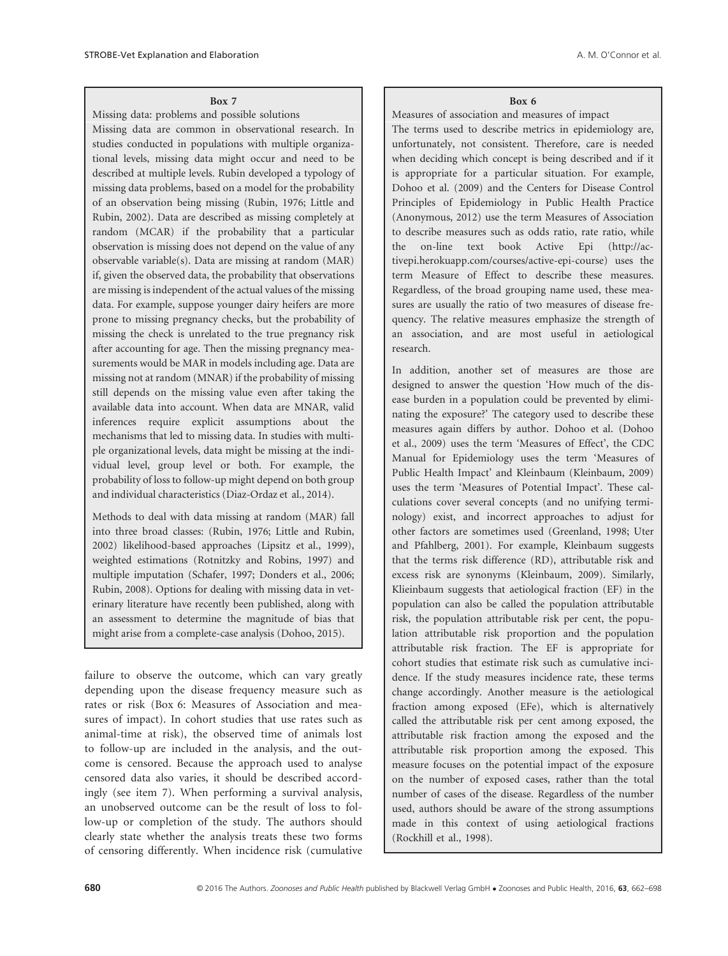#### Box 7

Missing data: problems and possible solutions Missing data are common in observational research. In studies conducted in populations with multiple organizational levels, missing data might occur and need to be described at multiple levels. Rubin developed a typology of missing data problems, based on a model for the probability of an observation being missing (Rubin, 1976; Little and Rubin, 2002). Data are described as missing completely at random (MCAR) if the probability that a particular observation is missing does not depend on the value of any observable variable(s). Data are missing at random (MAR) if, given the observed data, the probability that observations are missing is independent of the actual values of the missing data. For example, suppose younger dairy heifers are more prone to missing pregnancy checks, but the probability of missing the check is unrelated to the true pregnancy risk after accounting for age. Then the missing pregnancy measurements would be MAR in models including age. Data are missing not at random (MNAR) if the probability of missing still depends on the missing value even after taking the available data into account. When data are MNAR, valid inferences require explicit assumptions about the mechanisms that led to missing data. In studies with multiple organizational levels, data might be missing at the individual level, group level or both. For example, the probability of loss to follow-up might depend on both group and individual characteristics (Diaz-Ordaz et al., 2014).

Methods to deal with data missing at random (MAR) fall into three broad classes: (Rubin, 1976; Little and Rubin, 2002) likelihood-based approaches (Lipsitz et al., 1999), weighted estimations (Rotnitzky and Robins, 1997) and multiple imputation (Schafer, 1997; Donders et al., 2006; Rubin, 2008). Options for dealing with missing data in veterinary literature have recently been published, along with an assessment to determine the magnitude of bias that might arise from a complete-case analysis (Dohoo, 2015).

failure to observe the outcome, which can vary greatly depending upon the disease frequency measure such as rates or risk (Box 6: Measures of Association and measures of impact). In cohort studies that use rates such as animal-time at risk), the observed time of animals lost to follow-up are included in the analysis, and the outcome is censored. Because the approach used to analyse censored data also varies, it should be described accordingly (see item 7). When performing a survival analysis, an unobserved outcome can be the result of loss to follow-up or completion of the study. The authors should clearly state whether the analysis treats these two forms of censoring differently. When incidence risk (cumulative

#### Box 6

Measures of association and measures of impact

The terms used to describe metrics in epidemiology are, unfortunately, not consistent. Therefore, care is needed when deciding which concept is being described and if it is appropriate for a particular situation. For example, Dohoo et al. (2009) and the Centers for Disease Control Principles of Epidemiology in Public Health Practice (Anonymous, 2012) use the term Measures of Association to describe measures such as odds ratio, rate ratio, while the on-line text book Active Epi ([http://ac](http://activepi.herokuapp.com/courses/active-epi-course)[tivepi.herokuapp.com/courses/active-epi-course](http://activepi.herokuapp.com/courses/active-epi-course)) uses the term Measure of Effect to describe these measures. Regardless, of the broad grouping name used, these measures are usually the ratio of two measures of disease frequency. The relative measures emphasize the strength of an association, and are most useful in aetiological research.

In addition, another set of measures are those are designed to answer the question 'How much of the disease burden in a population could be prevented by eliminating the exposure?' The category used to describe these measures again differs by author. Dohoo et al. (Dohoo et al., 2009) uses the term 'Measures of Effect', the CDC Manual for Epidemiology uses the term 'Measures of Public Health Impact' and Kleinbaum (Kleinbaum, 2009) uses the term 'Measures of Potential Impact'. These calculations cover several concepts (and no unifying terminology) exist, and incorrect approaches to adjust for other factors are sometimes used (Greenland, 1998; Uter and Pfahlberg, 2001). For example, Kleinbaum suggests that the terms risk difference (RD), attributable risk and excess risk are synonyms (Kleinbaum, 2009). Similarly, Klieinbaum suggests that aetiological fraction (EF) in the population can also be called the population attributable risk, the population attributable risk per cent, the population attributable risk proportion and the population attributable risk fraction. The EF is appropriate for cohort studies that estimate risk such as cumulative incidence. If the study measures incidence rate, these terms change accordingly. Another measure is the aetiological fraction among exposed (EFe), which is alternatively called the attributable risk per cent among exposed, the attributable risk fraction among the exposed and the attributable risk proportion among the exposed. This measure focuses on the potential impact of the exposure on the number of exposed cases, rather than the total number of cases of the disease. Regardless of the number used, authors should be aware of the strong assumptions made in this context of using aetiological fractions (Rockhill et al., 1998).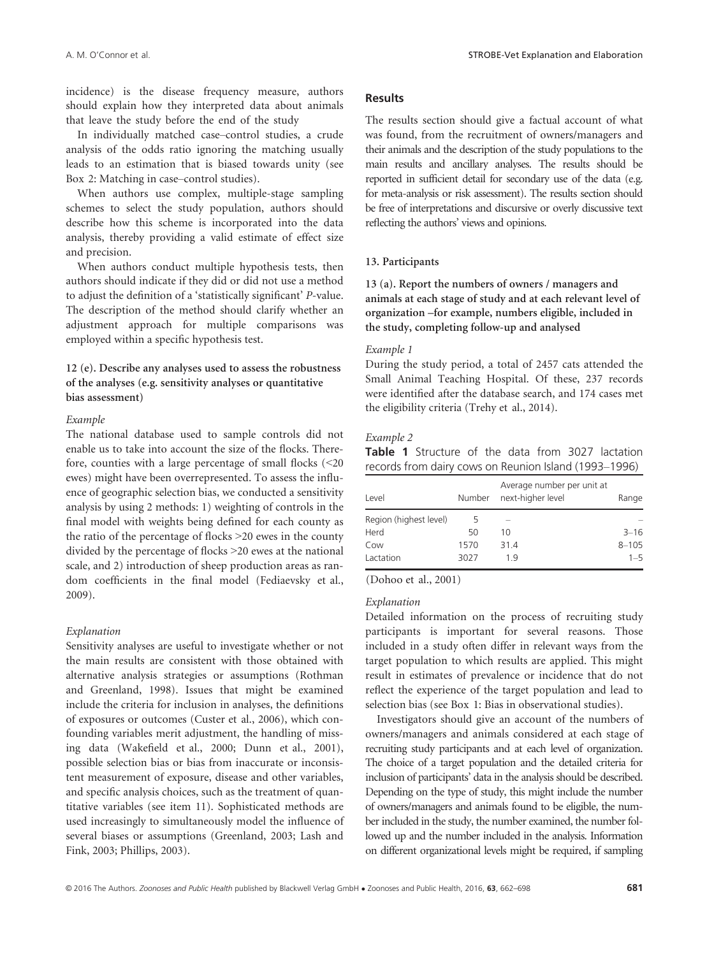incidence) is the disease frequency measure, authors should explain how they interpreted data about animals that leave the study before the end of the study

In individually matched case–control studies, a crude analysis of the odds ratio ignoring the matching usually leads to an estimation that is biased towards unity (see Box 2: Matching in case–control studies).

When authors use complex, multiple-stage sampling schemes to select the study population, authors should describe how this scheme is incorporated into the data analysis, thereby providing a valid estimate of effect size and precision.

When authors conduct multiple hypothesis tests, then authors should indicate if they did or did not use a method to adjust the definition of a 'statistically significant' P-value. The description of the method should clarify whether an adjustment approach for multiple comparisons was employed within a specific hypothesis test.

12 (e). Describe any analyses used to assess the robustness of the analyses (e.g. sensitivity analyses or quantitative bias assessment)

#### Example

The national database used to sample controls did not enable us to take into account the size of the flocks. Therefore, counties with a large percentage of small flocks (<20 ewes) might have been overrepresented. To assess the influence of geographic selection bias, we conducted a sensitivity analysis by using 2 methods: 1) weighting of controls in the final model with weights being defined for each county as the ratio of the percentage of flocks >20 ewes in the county divided by the percentage of flocks >20 ewes at the national scale, and 2) introduction of sheep production areas as random coefficients in the final model (Fediaevsky et al., 2009).

### Explanation

Sensitivity analyses are useful to investigate whether or not the main results are consistent with those obtained with alternative analysis strategies or assumptions (Rothman and Greenland, 1998). Issues that might be examined include the criteria for inclusion in analyses, the definitions of exposures or outcomes (Custer et al., 2006), which confounding variables merit adjustment, the handling of missing data (Wakefield et al., 2000; Dunn et al., 2001), possible selection bias or bias from inaccurate or inconsistent measurement of exposure, disease and other variables, and specific analysis choices, such as the treatment of quantitative variables (see item 11). Sophisticated methods are used increasingly to simultaneously model the influence of several biases or assumptions (Greenland, 2003; Lash and Fink, 2003; Phillips, 2003).

# **Results**

The results section should give a factual account of what was found, from the recruitment of owners/managers and their animals and the description of the study populations to the main results and ancillary analyses. The results should be reported in sufficient detail for secondary use of the data (e.g. for meta-analysis or risk assessment). The results section should be free of interpretations and discursive or overly discussive text reflecting the authors' views and opinions.

#### 13. Participants

13 (a). Report the numbers of owners / managers and animals at each stage of study and at each relevant level of organization –for example, numbers eligible, included in the study, completing follow-up and analysed

#### Example 1

During the study period, a total of 2457 cats attended the Small Animal Teaching Hospital. Of these, 237 records were identified after the database search, and 174 cases met the eligibility criteria (Trehy et al., 2014).

### Example 2

Table 1 Structure of the data from 3027 lactation records from dairy cows on Reunion Island (1993–1996)

| Level                  | <b>Number</b> | Average number per unit at<br>next-higher level | Range     |
|------------------------|---------------|-------------------------------------------------|-----------|
| Region (highest level) | 5             |                                                 |           |
| Herd                   | 50            | 10                                              | $3 - 16$  |
| Cow                    | 1570          | 31.4                                            | $8 - 105$ |
| Lactation              | 3027          | 19                                              | $1 - 5$   |

(Dohoo et al., 2001)

### Explanation

Detailed information on the process of recruiting study participants is important for several reasons. Those included in a study often differ in relevant ways from the target population to which results are applied. This might result in estimates of prevalence or incidence that do not reflect the experience of the target population and lead to selection bias (see Box 1: Bias in observational studies).

Investigators should give an account of the numbers of owners/managers and animals considered at each stage of recruiting study participants and at each level of organization. The choice of a target population and the detailed criteria for inclusion of participants' data in the analysis should be described. Depending on the type of study, this might include the number of owners/managers and animals found to be eligible, the number included in the study, the number examined, the number followed up and the number included in the analysis. Information on different organizational levels might be required, if sampling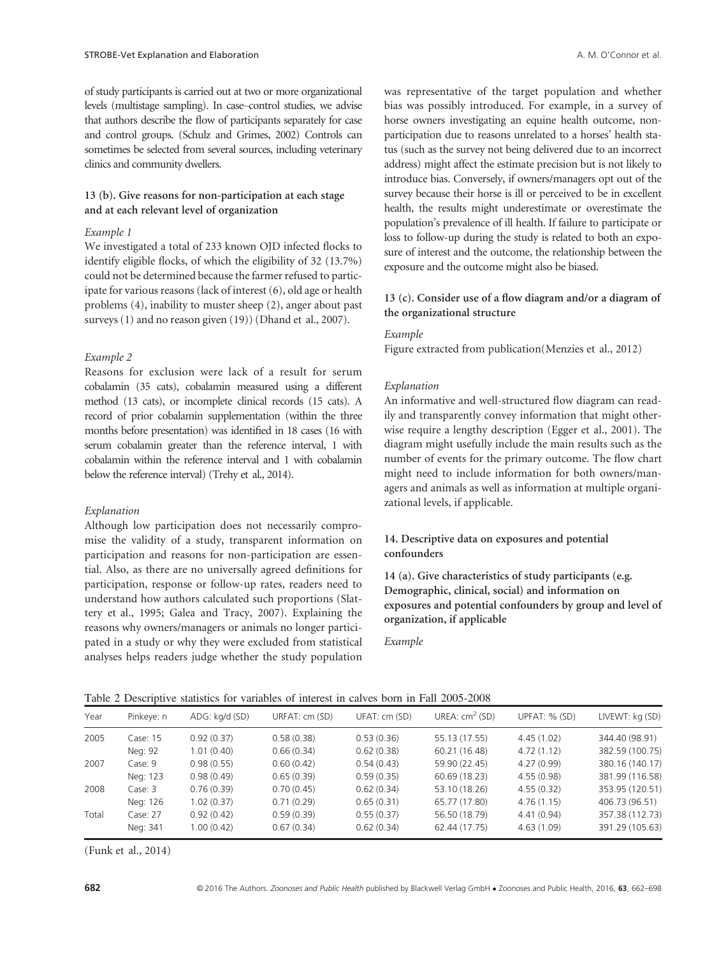of study participants is carried out at two or more organizational levels (multistage sampling). In case–control studies, we advise that authors describe the flow of participants separately for case and control groups. (Schulz and Grimes, 2002) Controls can sometimes be selected from several sources, including veterinary clinics and community dwellers.

# 13 (b). Give reasons for non-participation at each stage and at each relevant level of organization

### Example 1

We investigated a total of 233 known OID infected flocks to identify eligible flocks, of which the eligibility of 32 (13.7%) could not be determined because the farmer refused to participate for various reasons (lack of interest (6), old age or health problems (4), inability to muster sheep (2), anger about past surveys (1) and no reason given (19)) (Dhand et al., 2007).

#### Example 2

Reasons for exclusion were lack of a result for serum cobalamin (35 cats), cobalamin measured using a different method (13 cats), or incomplete clinical records (15 cats). A record of prior cobalamin supplementation (within the three months before presentation) was identified in 18 cases (16 with serum cobalamin greater than the reference interval, 1 with cobalamin within the reference interval and 1 with cobalamin below the reference interval) (Trehy et al., 2014).

#### Explanation

Although low participation does not necessarily compromise the validity of a study, transparent information on participation and reasons for non-participation are essential. Also, as there are no universally agreed definitions for participation, response or follow-up rates, readers need to understand how authors calculated such proportions (Slattery et al., 1995; Galea and Tracy, 2007). Explaining the reasons why owners/managers or animals no longer participated in a study or why they were excluded from statistical analyses helps readers judge whether the study population was representative of the target population and whether bias was possibly introduced. For example, in a survey of horse owners investigating an equine health outcome, nonparticipation due to reasons unrelated to a horses' health status (such as the survey not being delivered due to an incorrect address) might affect the estimate precision but is not likely to introduce bias. Conversely, if owners/managers opt out of the survey because their horse is ill or perceived to be in excellent health, the results might underestimate or overestimate the population's prevalence of ill health. If failure to participate or loss to follow-up during the study is related to both an exposure of interest and the outcome, the relationship between the exposure and the outcome might also be biased.

# 13 (c). Consider use of a flow diagram and/or a diagram of the organizational structure

#### Example

Figure extracted from publication(Menzies et al., 2012)

### Explanation

An informative and well-structured flow diagram can readily and transparently convey information that might otherwise require a lengthy description (Egger et al., 2001). The diagram might usefully include the main results such as the number of events for the primary outcome. The flow chart might need to include information for both owners/managers and animals as well as information at multiple organizational levels, if applicable.

# 14. Descriptive data on exposures and potential confounders

14 (a). Give characteristics of study participants (e.g. Demographic, clinical, social) and information on exposures and potential confounders by group and level of organization, if applicable

Example

| Table 2 Descriptive statistics for variables of interest in calves born in Fall 2005-2008 |  |  |  |
|-------------------------------------------------------------------------------------------|--|--|--|
|-------------------------------------------------------------------------------------------|--|--|--|

| Year  | Pinkeye: n | ADG: kg/d (SD) | URFAT: cm (SD) | UFAT: cm (SD) | UREA: $cm2$ (SD) | UPFAT: % (SD) | LIVEWT: kg (SD) |
|-------|------------|----------------|----------------|---------------|------------------|---------------|-----------------|
| 2005  | Case: 15   | 0.92(0.37)     | 0.58(0.38)     | 0.53(0.36)    | 55.13 (17.55)    | 4.45(1.02)    | 344.40 (98.91)  |
|       | Neg: 92    | 1.01(0.40)     | 0.66(0.34)     | 0.62(0.38)    | 60.21 (16.48)    | 4.72(1.12)    | 382.59 (100.75) |
| 2007  | Case: 9    | 0.98(0.55)     | 0.60(0.42)     | 0.54(0.43)    | 59.90 (22.45)    | 4.27(0.99)    | 380.16 (140.17) |
|       | Neg: 123   | 0.98(0.49)     | 0.65(0.39)     | 0.59(0.35)    | 60.69 (18.23)    | 4.55(0.98)    | 381.99 (116.58) |
| 2008  | Case: 3    | 0.76(0.39)     | 0.70(0.45)     | 0.62(0.34)    | 53.10 (18.26)    | 4.55(0.32)    | 353.95 (120.51) |
|       | Neg: 126   | 1.02(0.37)     | 0.71(0.29)     | 0.65(0.31)    | 65.77 (17.80)    | 4.76(1.15)    | 406.73 (96.51)  |
| Total | Case: 27   | 0.92(0.42)     | 0.59(0.39)     | 0.55(0.37)    | 56.50 (18.79)    | 4.41(0.94)    | 357.38 (112.73) |
|       | Neg: 341   | 1.00(0.42)     | 0.67(0.34)     | 0.62(0.34)    | 62.44 (17.75)    | 4.63(1.09)    | 391.29 (105.63) |

(Funk et al., 2014)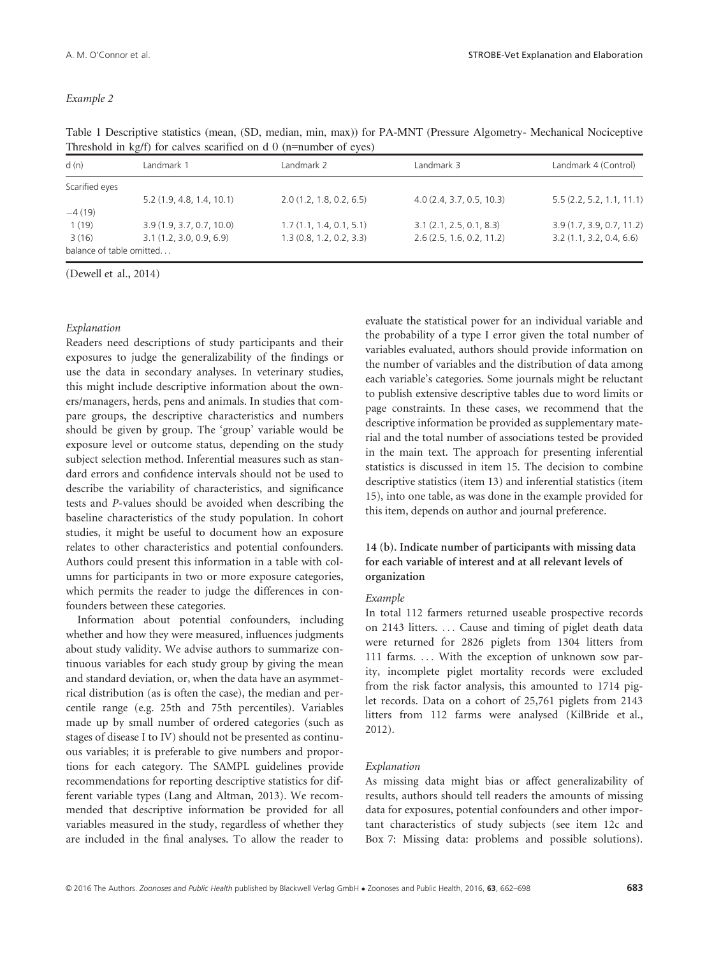#### Example 2

| Table 1 Descriptive statistics (mean, (SD, median, min, max)) for PA-MNT (Pressure Algometry- Mechanical Nociceptive |  |  |
|----------------------------------------------------------------------------------------------------------------------|--|--|
| Threshold in $\text{kg/f}$ for calves scarified on d 0 (n=number of eyes)                                            |  |  |

| d(n)           | Landmark 1               | Landmark 2              | Landmark 3                 | Landmark 4 (Control)     |
|----------------|--------------------------|-------------------------|----------------------------|--------------------------|
| Scarified eyes |                          |                         |                            |                          |
|                | 5.2(1.9, 4.8, 1.4, 10.1) | 2.0(1.2, 1.8, 0.2, 6.5) | 4.0(2.4, 3.7, 0.5, 10.3)   | 5.5(2.2, 5.2, 1.1, 11.1) |
| $-4(19)$       |                          |                         |                            |                          |
| 1 (19)         | 3.9(1.9, 3.7, 0.7, 10.0) | 1.7(1.1, 1.4, 0.1, 5.1) | $3.1$ (2.1, 2.5, 0.1, 8.3) | 3.9(1.7, 3.9, 0.7, 11.2) |
| 3(16)          | 3.1(1.2, 3.0, 0.9, 6.9)  | 1.3(0.8, 1.2, 0.2, 3.3) | 2.6(2.5, 1.6, 0.2, 11.2)   | 3.2(1.1, 3.2, 0.4, 6.6)  |
|                | balance of table omitted |                         |                            |                          |

(Dewell et al., 2014)

### Explanation

Readers need descriptions of study participants and their exposures to judge the generalizability of the findings or use the data in secondary analyses. In veterinary studies, this might include descriptive information about the owners/managers, herds, pens and animals. In studies that compare groups, the descriptive characteristics and numbers should be given by group. The 'group' variable would be exposure level or outcome status, depending on the study subject selection method. Inferential measures such as standard errors and confidence intervals should not be used to describe the variability of characteristics, and significance tests and P-values should be avoided when describing the baseline characteristics of the study population. In cohort studies, it might be useful to document how an exposure relates to other characteristics and potential confounders. Authors could present this information in a table with columns for participants in two or more exposure categories, which permits the reader to judge the differences in confounders between these categories.

Information about potential confounders, including whether and how they were measured, influences judgments about study validity. We advise authors to summarize continuous variables for each study group by giving the mean and standard deviation, or, when the data have an asymmetrical distribution (as is often the case), the median and percentile range (e.g. 25th and 75th percentiles). Variables made up by small number of ordered categories (such as stages of disease I to IV) should not be presented as continuous variables; it is preferable to give numbers and proportions for each category. The SAMPL guidelines provide recommendations for reporting descriptive statistics for different variable types (Lang and Altman, 2013). We recommended that descriptive information be provided for all variables measured in the study, regardless of whether they are included in the final analyses. To allow the reader to

evaluate the statistical power for an individual variable and the probability of a type I error given the total number of variables evaluated, authors should provide information on the number of variables and the distribution of data among each variable's categories. Some journals might be reluctant to publish extensive descriptive tables due to word limits or page constraints. In these cases, we recommend that the descriptive information be provided as supplementary material and the total number of associations tested be provided in the main text. The approach for presenting inferential statistics is discussed in item 15. The decision to combine descriptive statistics (item 13) and inferential statistics (item 15), into one table, as was done in the example provided for this item, depends on author and journal preference.

# 14 (b). Indicate number of participants with missing data for each variable of interest and at all relevant levels of organization

### Example

In total 112 farmers returned useable prospective records on 2143 litters. ... Cause and timing of piglet death data were returned for 2826 piglets from 1304 litters from 111 farms. ... With the exception of unknown sow parity, incomplete piglet mortality records were excluded from the risk factor analysis, this amounted to 1714 piglet records. Data on a cohort of 25,761 piglets from 2143 litters from 112 farms were analysed (KilBride et al., 2012).

### Explanation

As missing data might bias or affect generalizability of results, authors should tell readers the amounts of missing data for exposures, potential confounders and other important characteristics of study subjects (see item 12c and Box 7: Missing data: problems and possible solutions).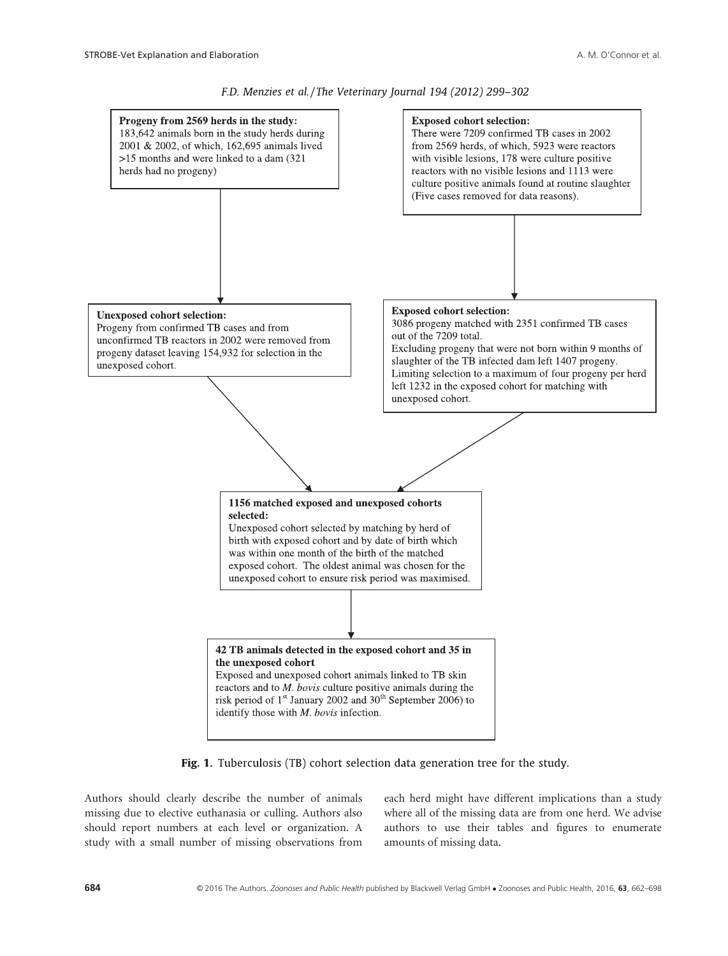F.D. Menzies et al./The Veterinary Journal 194 (2012) 299-302



Fig. 1. Tuberculosis (TB) cohort selection data generation tree for the study.

Authors should clearly describe the number of animals missing due to elective euthanasia or culling. Authors also should report numbers at each level or organization. A study with a small number of missing observations from each herd might have different implications than a study where all of the missing data are from one herd. We advise authors to use their tables and figures to enumerate amounts of missing data.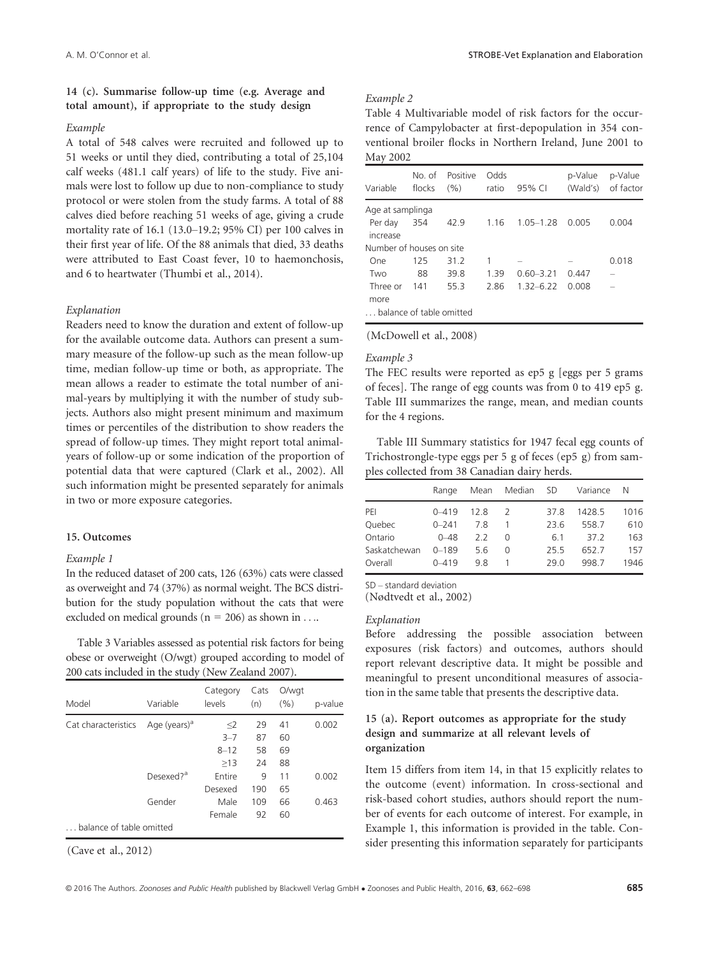# 14 (c). Summarise follow-up time (e.g. Average and total amount), if appropriate to the study design

### Example

A total of 548 calves were recruited and followed up to 51 weeks or until they died, contributing a total of 25,104 calf weeks (481.1 calf years) of life to the study. Five animals were lost to follow up due to non-compliance to study protocol or were stolen from the study farms. A total of 88 calves died before reaching 51 weeks of age, giving a crude mortality rate of 16.1 (13.0–19.2; 95% CI) per 100 calves in their first year of life. Of the 88 animals that died, 33 deaths were attributed to East Coast fever, 10 to haemonchosis, and 6 to heartwater (Thumbi et al., 2014).

### Explanation

Readers need to know the duration and extent of follow-up for the available outcome data. Authors can present a summary measure of the follow-up such as the mean follow-up time, median follow-up time or both, as appropriate. The mean allows a reader to estimate the total number of animal-years by multiplying it with the number of study subjects. Authors also might present minimum and maximum times or percentiles of the distribution to show readers the spread of follow-up times. They might report total animalyears of follow-up or some indication of the proportion of potential data that were captured (Clark et al., 2002). All such information might be presented separately for animals in two or more exposure categories.

### 15. Outcomes

### Example 1

In the reduced dataset of 200 cats, 126 (63%) cats were classed as overweight and 74 (37%) as normal weight. The BCS distribution for the study population without the cats that were excluded on medical grounds ( $n = 206$ ) as shown in ....

Table 3 Variables assessed as potential risk factors for being obese or overweight (O/wgt) grouped according to model of 200 cats included in the study (New Zealand 2007).

| Model                    | Variable                 | Category<br>levels | Cats<br>(n) | O/wgt<br>(9/0) | p-value |
|--------------------------|--------------------------|--------------------|-------------|----------------|---------|
| Cat characteristics      | Age (years) <sup>a</sup> | $\leq$             | 29          | 41             | 0.002   |
|                          |                          | $3 - 7$            | 87          | 60             |         |
|                          |                          | $8 - 12$           | 58          | 69             |         |
|                          |                          | >13                | 24          | 88             |         |
|                          | Desexed <sup>2ª</sup>    | Entire             | 9           | 11             | 0.002   |
|                          |                          | Desexed            | 190         | 65             |         |
|                          | Gender                   | Male               | 109         | 66             | 0.463   |
|                          |                          | Female             | 92          | 60             |         |
| balance of table omitted |                          |                    |             |                |         |

(Cave et al., 2012)

# Example 2

Table 4 Multivariable model of risk factors for the occurrence of Campylobacter at first-depopulation in 354 conventional broiler flocks in Northern Ireland, June 2001 to May 2002

| Variable                                     | No. of<br>flocks | Positive<br>(% ) | Odds<br>ratio | 95% CI        | p-Value<br>(Wald's) | p-Value<br>of factor |  |
|----------------------------------------------|------------------|------------------|---------------|---------------|---------------------|----------------------|--|
| Age at samplinga                             |                  |                  |               |               |                     |                      |  |
| Per day<br>increase                          | 354              | 42.9             | 1.16          | $105 - 128$   | 0.005               | 0.004                |  |
| Number of houses on site                     |                  |                  |               |               |                     |                      |  |
| One                                          | 125              | 31.2             | 1             |               |                     | 0.018                |  |
| Two                                          | 88               | 39.8             | 1.39          | $0.60 - 3.21$ | 0.447               |                      |  |
| Three or<br>more<br>halance of table omitted | 141              | 55.3             | 286           | $1, 32-6, 22$ | 0.008               |                      |  |

(McDowell et al., 2008)

### Example 3

The FEC results were reported as ep5 g [eggs per 5 grams of feces]. The range of egg counts was from 0 to 419 ep5 g. Table III summarizes the range, mean, and median counts for the 4 regions.

Table III Summary statistics for 1947 fecal egg counts of Trichostrongle-type eggs per 5 g of feces (ep5 g) from samples collected from 38 Canadian dairy herds.

| Range     |      |               |      | Variance       | N    |
|-----------|------|---------------|------|----------------|------|
| $0 - 419$ | 12 S | $\mathcal{L}$ | 37.8 | 1428.5         | 1016 |
| $0 - 241$ | 7.8  |               | 236  | 558.7          | 610  |
| $0 - 48$  | 2.2  | 0             | 61   | 372            | 163  |
| $0 - 189$ | 5.6  | 0             | 255  | 6527           | 157  |
| $0 - 419$ | 98   |               | 29 Q | 9987           | 1946 |
|           |      |               |      | Mean Median SD |      |

SD – standard deviation (Nødtvedt et al., 2002)

### Explanation

Before addressing the possible association between exposures (risk factors) and outcomes, authors should report relevant descriptive data. It might be possible and meaningful to present unconditional measures of association in the same table that presents the descriptive data.

# 15 (a). Report outcomes as appropriate for the study design and summarize at all relevant levels of organization

Item 15 differs from item 14, in that 15 explicitly relates to the outcome (event) information. In cross-sectional and risk-based cohort studies, authors should report the number of events for each outcome of interest. For example, in Example 1, this information is provided in the table. Consider presenting this information separately for participants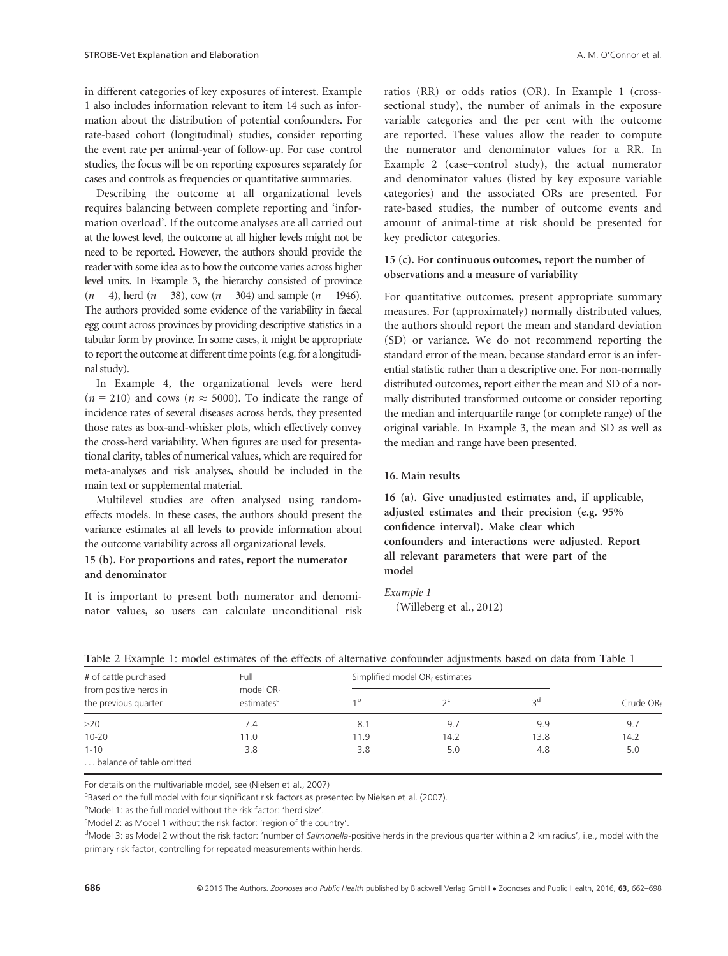in different categories of key exposures of interest. Example 1 also includes information relevant to item 14 such as information about the distribution of potential confounders. For rate-based cohort (longitudinal) studies, consider reporting the event rate per animal-year of follow-up. For case–control studies, the focus will be on reporting exposures separately for cases and controls as frequencies or quantitative summaries.

Describing the outcome at all organizational levels requires balancing between complete reporting and 'information overload'. If the outcome analyses are all carried out at the lowest level, the outcome at all higher levels might not be need to be reported. However, the authors should provide the reader with some idea as to how the outcome varies across higher level units. In Example 3, the hierarchy consisted of province  $(n = 4)$ , herd  $(n = 38)$ , cow  $(n = 304)$  and sample  $(n = 1946)$ . The authors provided some evidence of the variability in faecal egg count across provinces by providing descriptive statistics in a tabular form by province. In some cases, it might be appropriate to report the outcome at different time points (e.g. for a longitudinal study).

In Example 4, the organizational levels were herd  $(n = 210)$  and cows  $(n \approx 5000)$ . To indicate the range of incidence rates of several diseases across herds, they presented those rates as box-and-whisker plots, which effectively convey the cross-herd variability. When figures are used for presentational clarity, tables of numerical values, which are required for meta-analyses and risk analyses, should be included in the main text or supplemental material.

Multilevel studies are often analysed using randomeffects models. In these cases, the authors should present the variance estimates at all levels to provide information about the outcome variability across all organizational levels.

# 15 (b). For proportions and rates, report the numerator and denominator

It is important to present both numerator and denominator values, so users can calculate unconditional risk ratios (RR) or odds ratios (OR). In Example 1 (crosssectional study), the number of animals in the exposure variable categories and the per cent with the outcome are reported. These values allow the reader to compute the numerator and denominator values for a RR. In Example 2 (case–control study), the actual numerator and denominator values (listed by key exposure variable categories) and the associated ORs are presented. For rate-based studies, the number of outcome events and amount of animal-time at risk should be presented for key predictor categories.

# 15 (c). For continuous outcomes, report the number of observations and a measure of variability

For quantitative outcomes, present appropriate summary measures. For (approximately) normally distributed values, the authors should report the mean and standard deviation (SD) or variance. We do not recommend reporting the standard error of the mean, because standard error is an inferential statistic rather than a descriptive one. For non-normally distributed outcomes, report either the mean and SD of a normally distributed transformed outcome or consider reporting the median and interquartile range (or complete range) of the original variable. In Example 3, the mean and SD as well as the median and range have been presented.

# 16. Main results

16 (a). Give unadjusted estimates and, if applicable, adjusted estimates and their precision (e.g. 95% confidence interval). Make clear which confounders and interactions were adjusted. Report all relevant parameters that were part of the model

### Example 1

(Willeberg et al., 2012)

| # of cattle purchased<br>from positive herds in<br>the previous quarter | Full<br>model $OR_f$<br>estimates <sup>a</sup> | Simplified model $OR_f$ estimates |      |                |           |
|-------------------------------------------------------------------------|------------------------------------------------|-----------------------------------|------|----------------|-----------|
|                                                                         |                                                | 1 D                               |      | 2 <sub>d</sub> | Crude ORf |
| >20                                                                     | 7.4                                            | 8.1                               | 9.7  | 9.9            | 9.7       |
| $10 - 20$                                                               | 11.0                                           | 11.9                              | 14.2 | 13.8           | 14.2      |
| $1 - 10$<br>balance of table omitted                                    | 3.8                                            | 3.8                               | 5.0  | 4.8            | 5.0       |

Table 2 Example 1: model estimates of the effects of alternative confounder adjustments based on data from Table 1

For details on the multivariable model, see (Nielsen et al., 2007)

<sup>a</sup>Based on the full model with four significant risk factors as presented by Nielsen et al. (2007).

bModel 1: as the full model without the risk factor: 'herd size'.

<sup>c</sup>Model 2: as Model 1 without the risk factor: 'region of the country'.

<sup>d</sup>Model 3: as Model 2 without the risk factor: 'number of Salmonella-positive herds in the previous quarter within a 2 km radius', i.e., model with the primary risk factor, controlling for repeated measurements within herds.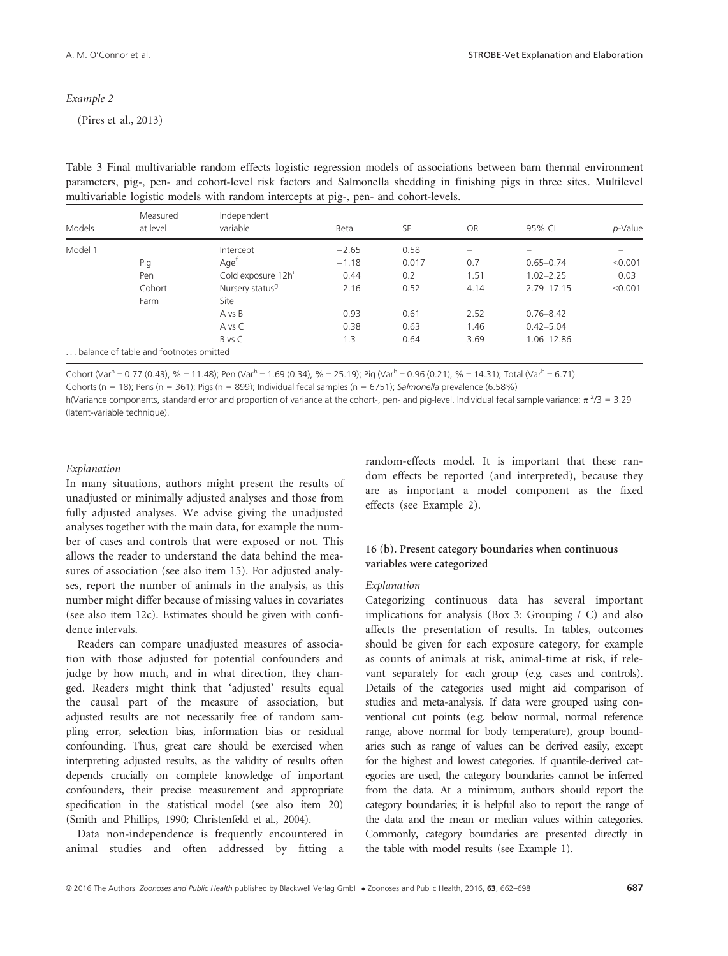(Pires et al., 2013)

| Table 3 Final multivariable random effects logistic regression models of associations between barn thermal environment    |  |  |  |  |  |
|---------------------------------------------------------------------------------------------------------------------------|--|--|--|--|--|
| parameters, pig-, pen- and cohort-level risk factors and Salmonella shedding in finishing pigs in three sites. Multilevel |  |  |  |  |  |
| multivariable logistic models with random intercepts at pig-, pen- and cohort-levels.                                     |  |  |  |  |  |

| Models  | Measured<br>at level                   | Independent<br>variable     | Beta    | <b>SE</b> | <b>OR</b> | 95% CI        | p-Value |
|---------|----------------------------------------|-----------------------------|---------|-----------|-----------|---------------|---------|
| Model 1 |                                        | Intercept                   | $-2.65$ | 0.58      |           |               |         |
|         | Pig                                    | $Aqe^{\dagger}$             | $-1.18$ | 0.017     | 0.7       | $0.65 - 0.74$ | < 0.001 |
|         | Pen                                    | Cold exposure 12h'          | 0.44    | 0.2       | 1.51      | $1.02 - 2.25$ | 0.03    |
|         | Cohort                                 | Nursery status <sup>9</sup> | 2.16    | 0.52      | 4.14      | 2.79-17.15    | < 0.001 |
|         | Farm                                   | Site                        |         |           |           |               |         |
|         |                                        | A vs B                      | 0.93    | 0.61      | 2.52      | $0.76 - 8.42$ |         |
|         |                                        | A vs C                      | 0.38    | 0.63      | 1.46      | $0.42 - 5.04$ |         |
|         |                                        | B vs C                      | 1.3     | 0.64      | 3.69      | 1.06-12.86    |         |
|         | balance of table and footnotes omitted |                             |         |           |           |               |         |

Cohort (Var<sup>h</sup> = 0.77 (0.43), % = 11.48); Pen (Var<sup>h</sup> = 1.69 (0.34), % = 25.19); Pig (Var<sup>h</sup> = 0.96 (0.21), % = 14.31); Total (Var<sup>h</sup> = 6.71)

Cohorts (n = 18); Pens (n = 361); Pigs (n = 899); Individual fecal samples (n = 6751); Salmonella prevalence (6.58%)

h(Variance components, standard error and proportion of variance at the cohort-, pen- and pig-level. Individual fecal sample variance:  $\pi^2/3 = 3.29$ (latent-variable technique).

#### Explanation

In many situations, authors might present the results of unadjusted or minimally adjusted analyses and those from fully adjusted analyses. We advise giving the unadjusted analyses together with the main data, for example the number of cases and controls that were exposed or not. This allows the reader to understand the data behind the measures of association (see also item 15). For adjusted analyses, report the number of animals in the analysis, as this number might differ because of missing values in covariates (see also item 12c). Estimates should be given with confidence intervals.

Readers can compare unadjusted measures of association with those adjusted for potential confounders and judge by how much, and in what direction, they changed. Readers might think that 'adjusted' results equal the causal part of the measure of association, but adjusted results are not necessarily free of random sampling error, selection bias, information bias or residual confounding. Thus, great care should be exercised when interpreting adjusted results, as the validity of results often depends crucially on complete knowledge of important confounders, their precise measurement and appropriate specification in the statistical model (see also item 20) (Smith and Phillips, 1990; Christenfeld et al., 2004).

Data non-independence is frequently encountered in animal studies and often addressed by fitting a

random-effects model. It is important that these random effects be reported (and interpreted), because they are as important a model component as the fixed effects (see Example 2).

# 16 (b). Present category boundaries when continuous variables were categorized

#### Explanation

Categorizing continuous data has several important implications for analysis (Box 3: Grouping / C) and also affects the presentation of results. In tables, outcomes should be given for each exposure category, for example as counts of animals at risk, animal-time at risk, if relevant separately for each group (e.g. cases and controls). Details of the categories used might aid comparison of studies and meta-analysis. If data were grouped using conventional cut points (e.g. below normal, normal reference range, above normal for body temperature), group boundaries such as range of values can be derived easily, except for the highest and lowest categories. If quantile-derived categories are used, the category boundaries cannot be inferred from the data. At a minimum, authors should report the category boundaries; it is helpful also to report the range of the data and the mean or median values within categories. Commonly, category boundaries are presented directly in the table with model results (see Example 1).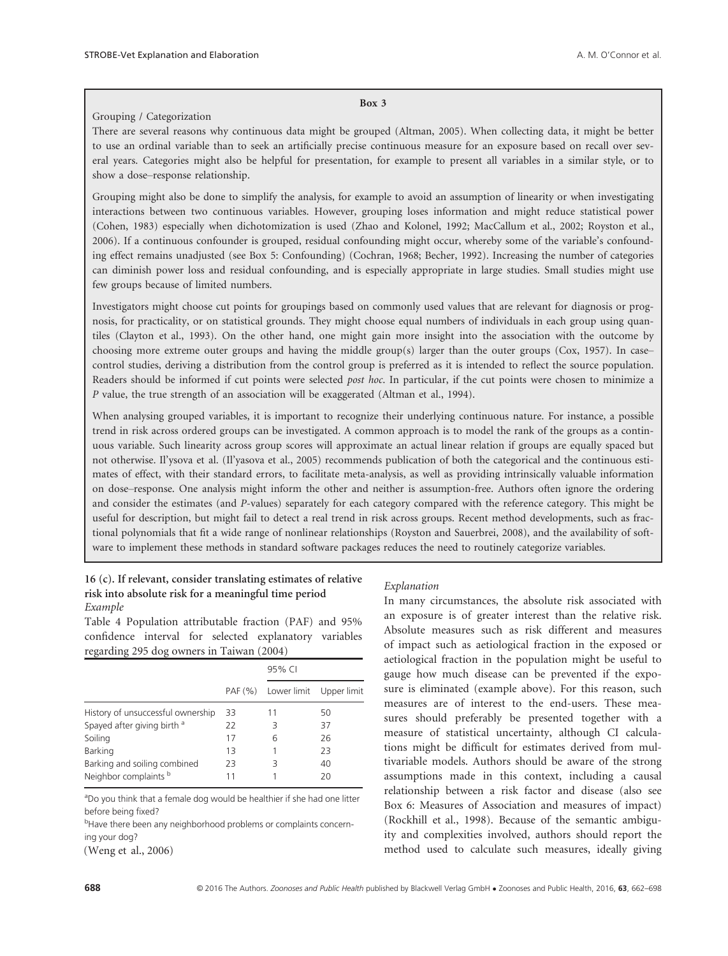#### Box 3

### Grouping / Categorization

There are several reasons why continuous data might be grouped (Altman, 2005). When collecting data, it might be better to use an ordinal variable than to seek an artificially precise continuous measure for an exposure based on recall over several years. Categories might also be helpful for presentation, for example to present all variables in a similar style, or to show a dose–response relationship.

Grouping might also be done to simplify the analysis, for example to avoid an assumption of linearity or when investigating interactions between two continuous variables. However, grouping loses information and might reduce statistical power (Cohen, 1983) especially when dichotomization is used (Zhao and Kolonel, 1992; MacCallum et al., 2002; Royston et al., 2006). If a continuous confounder is grouped, residual confounding might occur, whereby some of the variable's confounding effect remains unadjusted (see Box 5: Confounding) (Cochran, 1968; Becher, 1992). Increasing the number of categories can diminish power loss and residual confounding, and is especially appropriate in large studies. Small studies might use few groups because of limited numbers.

Investigators might choose cut points for groupings based on commonly used values that are relevant for diagnosis or prognosis, for practicality, or on statistical grounds. They might choose equal numbers of individuals in each group using quantiles (Clayton et al., 1993). On the other hand, one might gain more insight into the association with the outcome by choosing more extreme outer groups and having the middle group(s) larger than the outer groups ( $Cox$ , 1957). In case– control studies, deriving a distribution from the control group is preferred as it is intended to reflect the source population. Readers should be informed if cut points were selected post hoc. In particular, if the cut points were chosen to minimize a P value, the true strength of an association will be exaggerated (Altman et al., 1994).

When analysing grouped variables, it is important to recognize their underlying continuous nature. For instance, a possible trend in risk across ordered groups can be investigated. A common approach is to model the rank of the groups as a continuous variable. Such linearity across group scores will approximate an actual linear relation if groups are equally spaced but not otherwise. Il'ysova et al. (Il'yasova et al., 2005) recommends publication of both the categorical and the continuous estimates of effect, with their standard errors, to facilitate meta-analysis, as well as providing intrinsically valuable information on dose–response. One analysis might inform the other and neither is assumption-free. Authors often ignore the ordering and consider the estimates (and P-values) separately for each category compared with the reference category. This might be useful for description, but might fail to detect a real trend in risk across groups. Recent method developments, such as fractional polynomials that fit a wide range of nonlinear relationships (Royston and Sauerbrei, 2008), and the availability of software to implement these methods in standard software packages reduces the need to routinely categorize variables.

### 16 (c). If relevant, consider translating estimates of relative risk into absolute risk for a meaningful time period Example

Table 4 Population attributable fraction (PAF) and 95% confidence interval for selected explanatory variables regarding 295 dog owners in Taiwan (2004)

|                                        |    | 95% CI                          |    |  |
|----------------------------------------|----|---------------------------------|----|--|
|                                        |    | PAF (%) Lower limit Upper limit |    |  |
| History of unsuccessful ownership      | 33 | 11                              | 50 |  |
| Spayed after giving birth <sup>a</sup> | 22 | 3                               | 37 |  |
| Soiling                                | 17 | 6                               | 26 |  |
| <b>Barking</b>                         | 13 |                                 | 23 |  |
| Barking and soiling combined           | 23 | 3                               | 40 |  |
| Neighbor complaints b                  | 11 |                                 | 20 |  |

<sup>a</sup>Do you think that a female dog would be healthier if she had one litter before being fixed?

<sup>b</sup>Have there been any neighborhood problems or complaints concerning your dog?

(Weng et al., 2006)

### Explanation

In many circumstances, the absolute risk associated with an exposure is of greater interest than the relative risk. Absolute measures such as risk different and measures of impact such as aetiological fraction in the exposed or aetiological fraction in the population might be useful to gauge how much disease can be prevented if the exposure is eliminated (example above). For this reason, such measures are of interest to the end-users. These measures should preferably be presented together with a measure of statistical uncertainty, although CI calculations might be difficult for estimates derived from multivariable models. Authors should be aware of the strong assumptions made in this context, including a causal relationship between a risk factor and disease (also see Box 6: Measures of Association and measures of impact) (Rockhill et al., 1998). Because of the semantic ambiguity and complexities involved, authors should report the method used to calculate such measures, ideally giving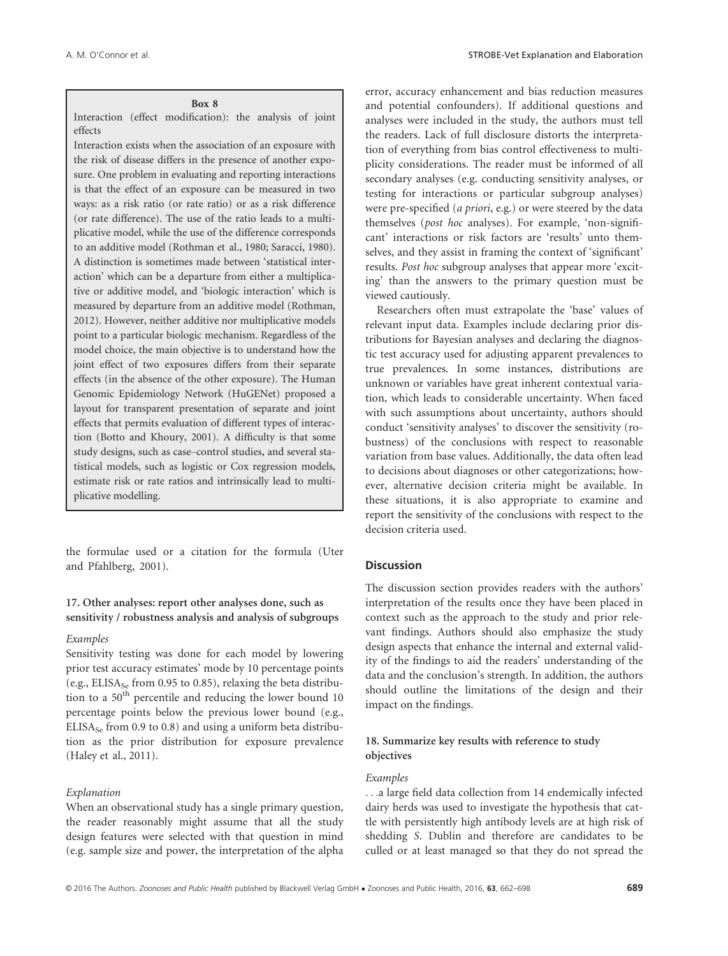#### $Box$  8

Interaction (effect modification): the analysis of joint effects

Interaction exists when the association of an exposure with the risk of disease differs in the presence of another exposure. One problem in evaluating and reporting interactions is that the effect of an exposure can be measured in two ways: as a risk ratio (or rate ratio) or as a risk difference (or rate difference). The use of the ratio leads to a multiplicative model, while the use of the difference corresponds to an additive model (Rothman et al., 1980; Saracci, 1980). A distinction is sometimes made between 'statistical interaction' which can be a departure from either a multiplicative or additive model, and 'biologic interaction' which is measured by departure from an additive model (Rothman, 2012). However, neither additive nor multiplicative models point to a particular biologic mechanism. Regardless of the model choice, the main objective is to understand how the joint effect of two exposures differs from their separate effects (in the absence of the other exposure). The Human Genomic Epidemiology Network (HuGENet) proposed a layout for transparent presentation of separate and joint effects that permits evaluation of different types of interaction (Botto and Khoury, 2001). A difficulty is that some study designs, such as case–control studies, and several statistical models, such as logistic or Cox regression models, estimate risk or rate ratios and intrinsically lead to multiplicative modelling.

the formulae used or a citation for the formula (Uter and Pfahlberg, 2001).

# 17. Other analyses: report other analyses done, such as sensitivity / robustness analysis and analysis of subgroups

#### Examples

Sensitivity testing was done for each model by lowering prior test accuracy estimates' mode by 10 percentage points (e.g., ELISA<sub>Se</sub> from 0.95 to 0.85), relaxing the beta distribution to a  $50<sup>th</sup>$  percentile and reducing the lower bound 10 percentage points below the previous lower bound (e.g.,  $ELISA<sub>Se</sub>$  from 0.9 to 0.8) and using a uniform beta distribution as the prior distribution for exposure prevalence (Haley et al., 2011).

#### Explanation

When an observational study has a single primary question, the reader reasonably might assume that all the study design features were selected with that question in mind (e.g. sample size and power, the interpretation of the alpha

error, accuracy enhancement and bias reduction measures and potential confounders). If additional questions and analyses were included in the study, the authors must tell the readers. Lack of full disclosure distorts the interpretation of everything from bias control effectiveness to multiplicity considerations. The reader must be informed of all secondary analyses (e.g. conducting sensitivity analyses, or testing for interactions or particular subgroup analyses) were pre-specified (a priori, e.g.) or were steered by the data themselves (post hoc analyses). For example, 'non-significant' interactions or risk factors are 'results' unto themselves, and they assist in framing the context of 'significant' results. Post hoc subgroup analyses that appear more 'exciting' than the answers to the primary question must be viewed cautiously.

Researchers often must extrapolate the 'base' values of relevant input data. Examples include declaring prior distributions for Bayesian analyses and declaring the diagnostic test accuracy used for adjusting apparent prevalences to true prevalences. In some instances, distributions are unknown or variables have great inherent contextual variation, which leads to considerable uncertainty. When faced with such assumptions about uncertainty, authors should conduct 'sensitivity analyses' to discover the sensitivity (robustness) of the conclusions with respect to reasonable variation from base values. Additionally, the data often lead to decisions about diagnoses or other categorizations; however, alternative decision criteria might be available. In these situations, it is also appropriate to examine and report the sensitivity of the conclusions with respect to the decision criteria used.

### Discussion

The discussion section provides readers with the authors' interpretation of the results once they have been placed in context such as the approach to the study and prior relevant findings. Authors should also emphasize the study design aspects that enhance the internal and external validity of the findings to aid the readers' understanding of the data and the conclusion's strength. In addition, the authors should outline the limitations of the design and their impact on the findings.

# 18. Summarize key results with reference to study objectives

#### Examples

...a large field data collection from 14 endemically infected dairy herds was used to investigate the hypothesis that cattle with persistently high antibody levels are at high risk of shedding S. Dublin and therefore are candidates to be culled or at least managed so that they do not spread the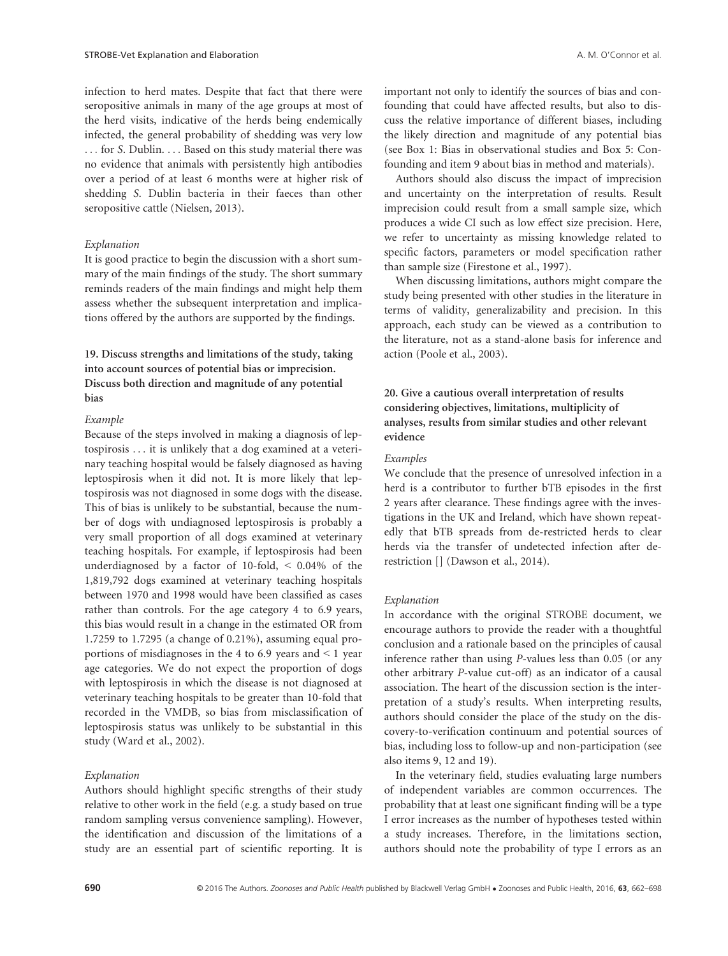infection to herd mates. Despite that fact that there were seropositive animals in many of the age groups at most of the herd visits, indicative of the herds being endemically infected, the general probability of shedding was very low ... for S. Dublin. ... Based on this study material there was no evidence that animals with persistently high antibodies over a period of at least 6 months were at higher risk of shedding S. Dublin bacteria in their faeces than other seropositive cattle (Nielsen, 2013).

#### Explanation

It is good practice to begin the discussion with a short summary of the main findings of the study. The short summary reminds readers of the main findings and might help them assess whether the subsequent interpretation and implications offered by the authors are supported by the findings.

# 19. Discuss strengths and limitations of the study, taking into account sources of potential bias or imprecision. Discuss both direction and magnitude of any potential bias

#### Example

Because of the steps involved in making a diagnosis of leptospirosis ... it is unlikely that a dog examined at a veterinary teaching hospital would be falsely diagnosed as having leptospirosis when it did not. It is more likely that leptospirosis was not diagnosed in some dogs with the disease. This of bias is unlikely to be substantial, because the number of dogs with undiagnosed leptospirosis is probably a very small proportion of all dogs examined at veterinary teaching hospitals. For example, if leptospirosis had been underdiagnosed by a factor of 10-fold,  $\leq$  0.04% of the 1,819,792 dogs examined at veterinary teaching hospitals between 1970 and 1998 would have been classified as cases rather than controls. For the age category 4 to 6.9 years, this bias would result in a change in the estimated OR from 1.7259 to 1.7295 (a change of 0.21%), assuming equal proportions of misdiagnoses in the 4 to 6.9 years and < 1 year age categories. We do not expect the proportion of dogs with leptospirosis in which the disease is not diagnosed at veterinary teaching hospitals to be greater than 10-fold that recorded in the VMDB, so bias from misclassification of leptospirosis status was unlikely to be substantial in this study (Ward et al., 2002).

#### Explanation

Authors should highlight specific strengths of their study relative to other work in the field (e.g. a study based on true random sampling versus convenience sampling). However, the identification and discussion of the limitations of a study are an essential part of scientific reporting. It is important not only to identify the sources of bias and confounding that could have affected results, but also to discuss the relative importance of different biases, including the likely direction and magnitude of any potential bias (see Box 1: Bias in observational studies and Box 5: Confounding and item 9 about bias in method and materials).

Authors should also discuss the impact of imprecision and uncertainty on the interpretation of results. Result imprecision could result from a small sample size, which produces a wide CI such as low effect size precision. Here, we refer to uncertainty as missing knowledge related to specific factors, parameters or model specification rather than sample size (Firestone et al., 1997).

When discussing limitations, authors might compare the study being presented with other studies in the literature in terms of validity, generalizability and precision. In this approach, each study can be viewed as a contribution to the literature, not as a stand-alone basis for inference and action (Poole et al., 2003).

# 20. Give a cautious overall interpretation of results considering objectives, limitations, multiplicity of analyses, results from similar studies and other relevant evidence

#### Examples

We conclude that the presence of unresolved infection in a herd is a contributor to further bTB episodes in the first 2 years after clearance. These findings agree with the investigations in the UK and Ireland, which have shown repeatedly that bTB spreads from de-restricted herds to clear herds via the transfer of undetected infection after derestriction [] (Dawson et al., 2014).

#### Explanation

In accordance with the original STROBE document, we encourage authors to provide the reader with a thoughtful conclusion and a rationale based on the principles of causal inference rather than using P-values less than 0.05 (or any other arbitrary P-value cut-off) as an indicator of a causal association. The heart of the discussion section is the interpretation of a study's results. When interpreting results, authors should consider the place of the study on the discovery-to-verification continuum and potential sources of bias, including loss to follow-up and non-participation (see also items 9, 12 and 19).

In the veterinary field, studies evaluating large numbers of independent variables are common occurrences. The probability that at least one significant finding will be a type I error increases as the number of hypotheses tested within a study increases. Therefore, in the limitations section, authors should note the probability of type I errors as an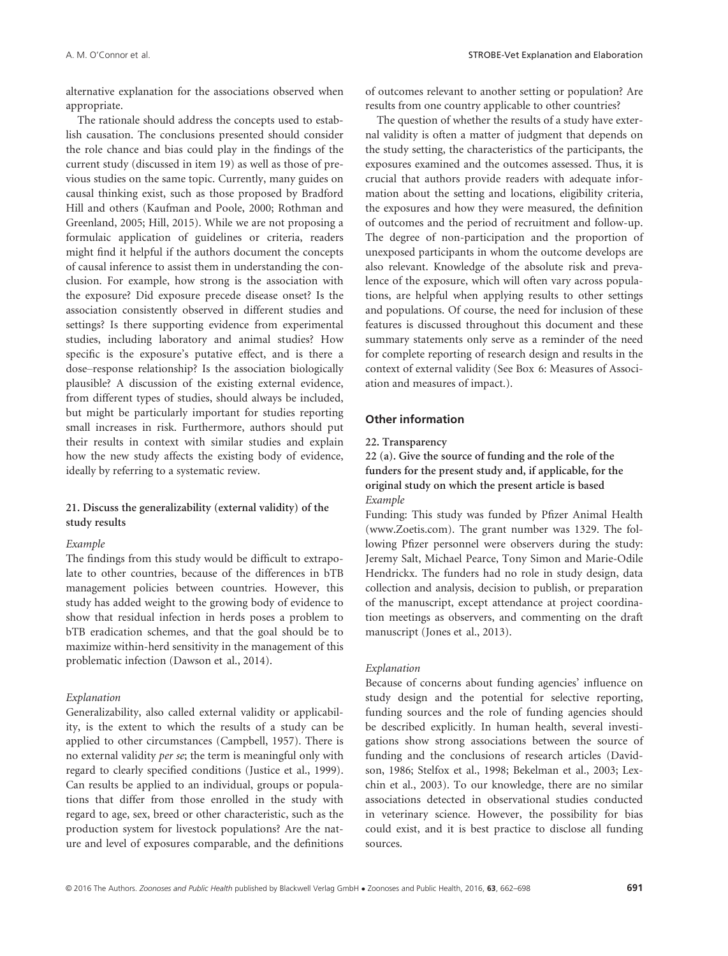alternative explanation for the associations observed when appropriate.

The rationale should address the concepts used to establish causation. The conclusions presented should consider the role chance and bias could play in the findings of the current study (discussed in item 19) as well as those of previous studies on the same topic. Currently, many guides on causal thinking exist, such as those proposed by Bradford Hill and others (Kaufman and Poole, 2000; Rothman and Greenland, 2005; Hill, 2015). While we are not proposing a formulaic application of guidelines or criteria, readers might find it helpful if the authors document the concepts of causal inference to assist them in understanding the conclusion. For example, how strong is the association with the exposure? Did exposure precede disease onset? Is the association consistently observed in different studies and settings? Is there supporting evidence from experimental studies, including laboratory and animal studies? How specific is the exposure's putative effect, and is there a dose–response relationship? Is the association biologically plausible? A discussion of the existing external evidence, from different types of studies, should always be included, but might be particularly important for studies reporting small increases in risk. Furthermore, authors should put their results in context with similar studies and explain how the new study affects the existing body of evidence, ideally by referring to a systematic review.

# 21. Discuss the generalizability (external validity) of the study results

### Example

The findings from this study would be difficult to extrapolate to other countries, because of the differences in bTB management policies between countries. However, this study has added weight to the growing body of evidence to show that residual infection in herds poses a problem to bTB eradication schemes, and that the goal should be to maximize within-herd sensitivity in the management of this problematic infection (Dawson et al., 2014).

#### Explanation

Generalizability, also called external validity or applicability, is the extent to which the results of a study can be applied to other circumstances (Campbell, 1957). There is no external validity per se; the term is meaningful only with regard to clearly specified conditions (Justice et al., 1999). Can results be applied to an individual, groups or populations that differ from those enrolled in the study with regard to age, sex, breed or other characteristic, such as the production system for livestock populations? Are the nature and level of exposures comparable, and the definitions

of outcomes relevant to another setting or population? Are results from one country applicable to other countries?

The question of whether the results of a study have external validity is often a matter of judgment that depends on the study setting, the characteristics of the participants, the exposures examined and the outcomes assessed. Thus, it is crucial that authors provide readers with adequate information about the setting and locations, eligibility criteria, the exposures and how they were measured, the definition of outcomes and the period of recruitment and follow-up. The degree of non-participation and the proportion of unexposed participants in whom the outcome develops are also relevant. Knowledge of the absolute risk and prevalence of the exposure, which will often vary across populations, are helpful when applying results to other settings and populations. Of course, the need for inclusion of these features is discussed throughout this document and these summary statements only serve as a reminder of the need for complete reporting of research design and results in the context of external validity (See Box 6: Measures of Association and measures of impact.).

### Other information

#### 22. Transparency

22 (a). Give the source of funding and the role of the funders for the present study and, if applicable, for the original study on which the present article is based Example

Funding: This study was funded by Pfizer Animal Health [\(www.Zoetis.com](http://www.Zoetis.com)). The grant number was 1329. The following Pfizer personnel were observers during the study: Jeremy Salt, Michael Pearce, Tony Simon and Marie-Odile Hendrickx. The funders had no role in study design, data collection and analysis, decision to publish, or preparation of the manuscript, except attendance at project coordination meetings as observers, and commenting on the draft manuscript (Jones et al., 2013).

#### Explanation

Because of concerns about funding agencies' influence on study design and the potential for selective reporting, funding sources and the role of funding agencies should be described explicitly. In human health, several investigations show strong associations between the source of funding and the conclusions of research articles (Davidson, 1986; Stelfox et al., 1998; Bekelman et al., 2003; Lexchin et al., 2003). To our knowledge, there are no similar associations detected in observational studies conducted in veterinary science. However, the possibility for bias could exist, and it is best practice to disclose all funding sources.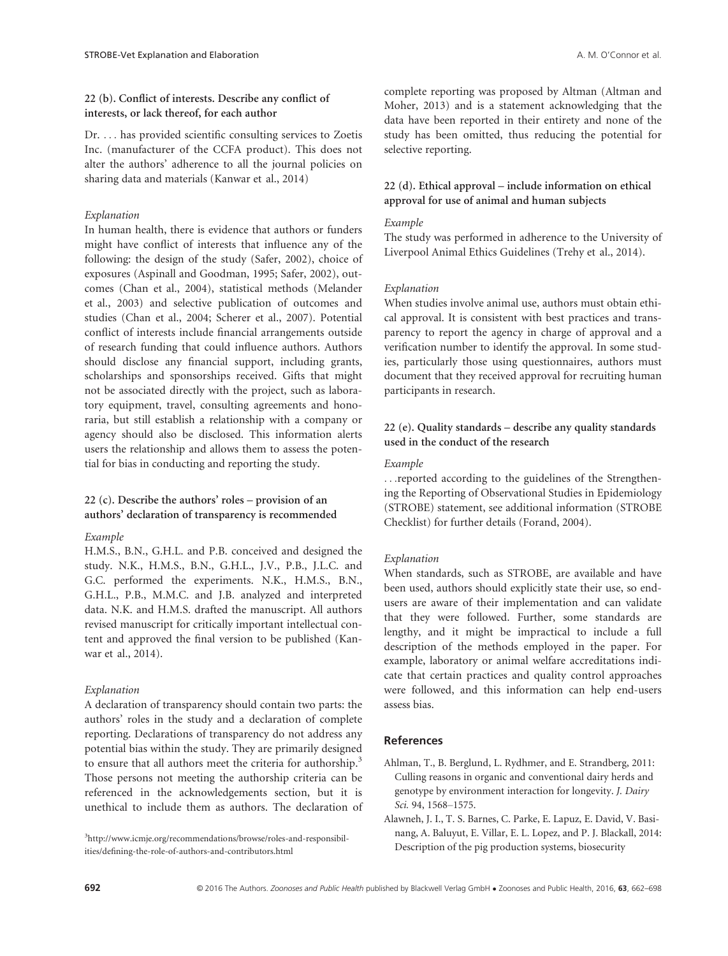# 22 (b). Conflict of interests. Describe any conflict of interests, or lack thereof, for each author

Dr. ... has provided scientific consulting services to Zoetis Inc. (manufacturer of the CCFA product). This does not alter the authors' adherence to all the journal policies on sharing data and materials (Kanwar et al., 2014)

### Explanation

In human health, there is evidence that authors or funders might have conflict of interests that influence any of the following: the design of the study (Safer, 2002), choice of exposures (Aspinall and Goodman, 1995; Safer, 2002), outcomes (Chan et al., 2004), statistical methods (Melander et al., 2003) and selective publication of outcomes and studies (Chan et al., 2004; Scherer et al., 2007). Potential conflict of interests include financial arrangements outside of research funding that could influence authors. Authors should disclose any financial support, including grants, scholarships and sponsorships received. Gifts that might not be associated directly with the project, such as laboratory equipment, travel, consulting agreements and honoraria, but still establish a relationship with a company or agency should also be disclosed. This information alerts users the relationship and allows them to assess the potential for bias in conducting and reporting the study.

# 22 (c). Describe the authors' roles – provision of an authors' declaration of transparency is recommended

#### Example

H.M.S., B.N., G.H.L. and P.B. conceived and designed the study. N.K., H.M.S., B.N., G.H.L., J.V., P.B., J.L.C. and G.C. performed the experiments. N.K., H.M.S., B.N., G.H.L., P.B., M.M.C. and J.B. analyzed and interpreted data. N.K. and H.M.S. drafted the manuscript. All authors revised manuscript for critically important intellectual content and approved the final version to be published (Kanwar et al., 2014).

#### Explanation

A declaration of transparency should contain two parts: the authors' roles in the study and a declaration of complete reporting. Declarations of transparency do not address any potential bias within the study. They are primarily designed to ensure that all authors meet the criteria for authorship.<sup>3</sup> Those persons not meeting the authorship criteria can be referenced in the acknowledgements section, but it is unethical to include them as authors. The declaration of

3 [http://www.icmje.org/recommendations/browse/roles-and-responsibil](http://www.icmje.org/recommendations/browse/roles-and-responsibilities/defining-the-role-of-authors-and-contributors.html)[ities/defining-the-role-of-authors-and-contributors.html](http://www.icmje.org/recommendations/browse/roles-and-responsibilities/defining-the-role-of-authors-and-contributors.html)

complete reporting was proposed by Altman (Altman and Moher, 2013) and is a statement acknowledging that the data have been reported in their entirety and none of the study has been omitted, thus reducing the potential for selective reporting.

# 22 (d). Ethical approval – include information on ethical approval for use of animal and human subjects

#### Example

The study was performed in adherence to the University of Liverpool Animal Ethics Guidelines (Trehy et al., 2014).

### Explanation

When studies involve animal use, authors must obtain ethical approval. It is consistent with best practices and transparency to report the agency in charge of approval and a verification number to identify the approval. In some studies, particularly those using questionnaires, authors must document that they received approval for recruiting human participants in research.

# 22 (e). Quality standards – describe any quality standards used in the conduct of the research

#### Example

...reported according to the guidelines of the Strengthening the Reporting of Observational Studies in Epidemiology (STROBE) statement, see additional information (STROBE Checklist) for further details (Forand, 2004).

### Explanation

When standards, such as STROBE, are available and have been used, authors should explicitly state their use, so endusers are aware of their implementation and can validate that they were followed. Further, some standards are lengthy, and it might be impractical to include a full description of the methods employed in the paper. For example, laboratory or animal welfare accreditations indicate that certain practices and quality control approaches were followed, and this information can help end-users assess bias.

### References

- Ahlman, T., B. Berglund, L. Rydhmer, and E. Strandberg, 2011: Culling reasons in organic and conventional dairy herds and genotype by environment interaction for longevity. J. Dairy Sci. 94, 1568–1575.
- Alawneh, J. I., T. S. Barnes, C. Parke, E. Lapuz, E. David, V. Basinang, A. Baluyut, E. Villar, E. L. Lopez, and P. J. Blackall, 2014: Description of the pig production systems, biosecurity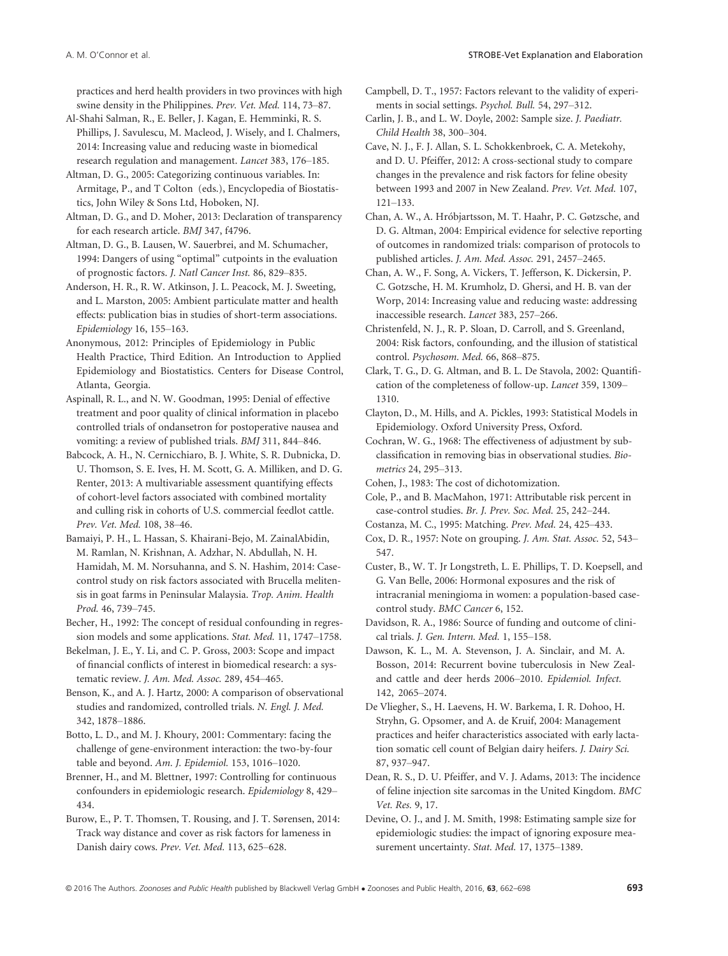practices and herd health providers in two provinces with high swine density in the Philippines. Prev. Vet. Med. 114, 73–87.

Al-Shahi Salman, R., E. Beller, J. Kagan, E. Hemminki, R. S. Phillips, J. Savulescu, M. Macleod, J. Wisely, and I. Chalmers, 2014: Increasing value and reducing waste in biomedical research regulation and management. Lancet 383, 176–185.

Altman, D. G., 2005: Categorizing continuous variables. In: Armitage, P., and T Colton (eds.), Encyclopedia of Biostatistics, John Wiley & Sons Ltd, Hoboken, NJ.

Altman, D. G., and D. Moher, 2013: Declaration of transparency for each research article. BMJ 347, f4796.

Altman, D. G., B. Lausen, W. Sauerbrei, and M. Schumacher, 1994: Dangers of using "optimal" cutpoints in the evaluation of prognostic factors. J. Natl Cancer Inst. 86, 829–835.

Anderson, H. R., R. W. Atkinson, J. L. Peacock, M. J. Sweeting, and L. Marston, 2005: Ambient particulate matter and health effects: publication bias in studies of short-term associations. Epidemiology 16, 155–163.

Anonymous, 2012: Principles of Epidemiology in Public Health Practice, Third Edition. An Introduction to Applied Epidemiology and Biostatistics. Centers for Disease Control, Atlanta, Georgia.

Aspinall, R. L., and N. W. Goodman, 1995: Denial of effective treatment and poor quality of clinical information in placebo controlled trials of ondansetron for postoperative nausea and vomiting: a review of published trials. BMJ 311, 844–846.

Babcock, A. H., N. Cernicchiaro, B. J. White, S. R. Dubnicka, D. U. Thomson, S. E. Ives, H. M. Scott, G. A. Milliken, and D. G. Renter, 2013: A multivariable assessment quantifying effects of cohort-level factors associated with combined mortality and culling risk in cohorts of U.S. commercial feedlot cattle. Prev. Vet. Med. 108, 38–46.

Bamaiyi, P. H., L. Hassan, S. Khairani-Bejo, M. ZainalAbidin, M. Ramlan, N. Krishnan, A. Adzhar, N. Abdullah, N. H. Hamidah, M. M. Norsuhanna, and S. N. Hashim, 2014: Casecontrol study on risk factors associated with Brucella melitensis in goat farms in Peninsular Malaysia. Trop. Anim. Health Prod. 46, 739–745.

Becher, H., 1992: The concept of residual confounding in regression models and some applications. Stat. Med. 11, 1747–1758.

Bekelman, J. E., Y. Li, and C. P. Gross, 2003: Scope and impact of financial conflicts of interest in biomedical research: a systematic review. J. Am. Med. Assoc. 289, 454–465.

Benson, K., and A. J. Hartz, 2000: A comparison of observational studies and randomized, controlled trials. N. Engl. J. Med. 342, 1878–1886.

Botto, L. D., and M. J. Khoury, 2001: Commentary: facing the challenge of gene-environment interaction: the two-by-four table and beyond. Am. J. Epidemiol. 153, 1016–1020.

Brenner, H., and M. Blettner, 1997: Controlling for continuous confounders in epidemiologic research. Epidemiology 8, 429– 434.

Burow, E., P. T. Thomsen, T. Rousing, and J. T. Sørensen, 2014: Track way distance and cover as risk factors for lameness in Danish dairy cows. Prev. Vet. Med. 113, 625–628.

Campbell, D. T., 1957: Factors relevant to the validity of experiments in social settings. Psychol. Bull. 54, 297–312.

Carlin, J. B., and L. W. Doyle, 2002: Sample size. J. Paediatr. Child Health 38, 300–304.

Cave, N. J., F. J. Allan, S. L. Schokkenbroek, C. A. Metekohy, and D. U. Pfeiffer, 2012: A cross-sectional study to compare changes in the prevalence and risk factors for feline obesity between 1993 and 2007 in New Zealand. Prev. Vet. Med. 107, 121–133.

Chan, A. W., A. Hrobjartsson, M. T. Haahr, P. C. Gøtzsche, and - D. G. Altman, 2004: Empirical evidence for selective reporting of outcomes in randomized trials: comparison of protocols to published articles. J. Am. Med. Assoc. 291, 2457–2465.

Chan, A. W., F. Song, A. Vickers, T. Jefferson, K. Dickersin, P. C. Gotzsche, H. M. Krumholz, D. Ghersi, and H. B. van der Worp, 2014: Increasing value and reducing waste: addressing inaccessible research. Lancet 383, 257–266.

Christenfeld, N. J., R. P. Sloan, D. Carroll, and S. Greenland, 2004: Risk factors, confounding, and the illusion of statistical control. Psychosom. Med. 66, 868–875.

Clark, T. G., D. G. Altman, and B. L. De Stavola, 2002: Quantification of the completeness of follow-up. Lancet 359, 1309– 1310.

Clayton, D., M. Hills, and A. Pickles, 1993: Statistical Models in Epidemiology. Oxford University Press, Oxford.

Cochran, W. G., 1968: The effectiveness of adjustment by subclassification in removing bias in observational studies. Biometrics 24, 295–313.

Cohen, J., 1983: The cost of dichotomization.

Cole, P., and B. MacMahon, 1971: Attributable risk percent in case-control studies. Br. J. Prev. Soc. Med. 25, 242–244.

Costanza, M. C., 1995: Matching. Prev. Med. 24, 425–433.

Cox, D. R., 1957: Note on grouping. J. Am. Stat. Assoc. 52, 543– 547.

Custer, B., W. T. Jr Longstreth, L. E. Phillips, T. D. Koepsell, and G. Van Belle, 2006: Hormonal exposures and the risk of intracranial meningioma in women: a population-based casecontrol study. BMC Cancer 6, 152.

Davidson, R. A., 1986: Source of funding and outcome of clinical trials. J. Gen. Intern. Med. 1, 155–158.

Dawson, K. L., M. A. Stevenson, J. A. Sinclair, and M. A. Bosson, 2014: Recurrent bovine tuberculosis in New Zealand cattle and deer herds 2006–2010. Epidemiol. Infect. 142, 2065–2074.

De Vliegher, S., H. Laevens, H. W. Barkema, I. R. Dohoo, H. Stryhn, G. Opsomer, and A. de Kruif, 2004: Management practices and heifer characteristics associated with early lactation somatic cell count of Belgian dairy heifers. J. Dairy Sci. 87, 937–947.

Dean, R. S., D. U. Pfeiffer, and V. J. Adams, 2013: The incidence of feline injection site sarcomas in the United Kingdom. BMC Vet. Res. 9, 17.

Devine, O. J., and J. M. Smith, 1998: Estimating sample size for epidemiologic studies: the impact of ignoring exposure measurement uncertainty. Stat. Med. 17, 1375–1389.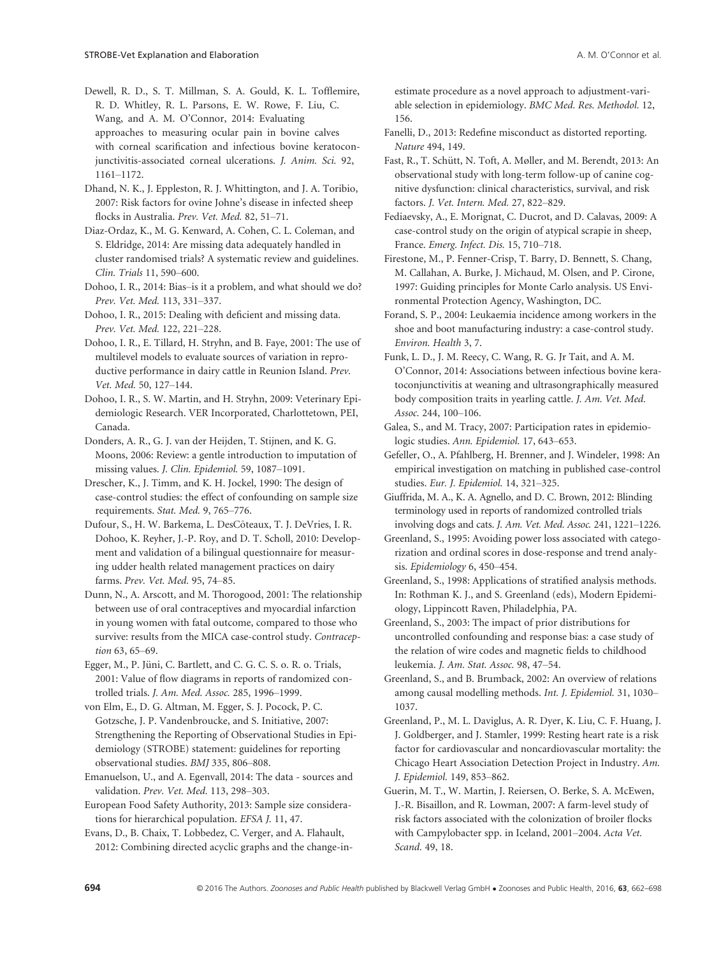Dewell, R. D., S. T. Millman, S. A. Gould, K. L. Tofflemire, R. D. Whitley, R. L. Parsons, E. W. Rowe, F. Liu, C. Wang, and A. M. O'Connor, 2014: Evaluating approaches to measuring ocular pain in bovine calves with corneal scarification and infectious bovine keratoconjunctivitis-associated corneal ulcerations. *J. Anim. Sci.* 92, 1161–1172.

Dhand, N. K., J. Eppleston, R. J. Whittington, and J. A. Toribio, 2007: Risk factors for ovine Johne's disease in infected sheep flocks in Australia. Prev. Vet. Med. 82, 51–71.

Diaz-Ordaz, K., M. G. Kenward, A. Cohen, C. L. Coleman, and S. Eldridge, 2014: Are missing data adequately handled in cluster randomised trials? A systematic review and guidelines. Clin. Trials 11, 590–600.

Dohoo, I. R., 2014: Bias–is it a problem, and what should we do? Prev. Vet. Med. 113, 331–337.

Dohoo, I. R., 2015: Dealing with deficient and missing data. Prev. Vet. Med. 122, 221–228.

Dohoo, I. R., E. Tillard, H. Stryhn, and B. Faye, 2001: The use of multilevel models to evaluate sources of variation in reproductive performance in dairy cattle in Reunion Island. Prev. Vet. Med. 50, 127–144.

Dohoo, I. R., S. W. Martin, and H. Stryhn, 2009: Veterinary Epidemiologic Research. VER Incorporated, Charlottetown, PEI, Canada.

Donders, A. R., G. J. van der Heijden, T. Stijnen, and K. G. Moons, 2006: Review: a gentle introduction to imputation of missing values. J. Clin. Epidemiol. 59, 1087–1091.

Drescher, K., J. Timm, and K. H. Jockel, 1990: The design of case-control studies: the effect of confounding on sample size requirements. Stat. Med. 9, 765–776.

Dufour, S., H. W. Barkema, L. DesCôteaux, T. J. DeVries, I. R. Dohoo, K. Reyher, J.-P. Roy, and D. T. Scholl, 2010: Development and validation of a bilingual questionnaire for measuring udder health related management practices on dairy farms. Prev. Vet. Med. 95, 74–85.

Dunn, N., A. Arscott, and M. Thorogood, 2001: The relationship between use of oral contraceptives and myocardial infarction in young women with fatal outcome, compared to those who survive: results from the MICA case-control study. Contraception 63, 65–69.

Egger, M., P. Jüni, C. Bartlett, and C. G. C. S. o. R. o. Trials, 2001: Value of flow diagrams in reports of randomized controlled trials. J. Am. Med. Assoc. 285, 1996–1999.

von Elm, E., D. G. Altman, M. Egger, S. J. Pocock, P. C. Gotzsche, J. P. Vandenbroucke, and S. Initiative, 2007: Strengthening the Reporting of Observational Studies in Epidemiology (STROBE) statement: guidelines for reporting observational studies. BMJ 335, 806–808.

Emanuelson, U., and A. Egenvall, 2014: The data - sources and validation. Prev. Vet. Med. 113, 298–303.

European Food Safety Authority, 2013: Sample size considerations for hierarchical population. EFSA J. 11, 47.

Evans, D., B. Chaix, T. Lobbedez, C. Verger, and A. Flahault, 2012: Combining directed acyclic graphs and the change-inestimate procedure as a novel approach to adjustment-variable selection in epidemiology. BMC Med. Res. Methodol. 12, 156.

- Fanelli, D., 2013: Redefine misconduct as distorted reporting. Nature 494, 149.
- Fast, R., T. Schütt, N. Toft, A. Møller, and M. Berendt, 2013: An observational study with long-term follow-up of canine cognitive dysfunction: clinical characteristics, survival, and risk factors. J. Vet. Intern. Med. 27, 822–829.

Fediaevsky, A., E. Morignat, C. Ducrot, and D. Calavas, 2009: A case-control study on the origin of atypical scrapie in sheep, France. Emerg. Infect. Dis. 15, 710–718.

Firestone, M., P. Fenner-Crisp, T. Barry, D. Bennett, S. Chang, M. Callahan, A. Burke, J. Michaud, M. Olsen, and P. Cirone, 1997: Guiding principles for Monte Carlo analysis. US Environmental Protection Agency, Washington, DC.

Forand, S. P., 2004: Leukaemia incidence among workers in the shoe and boot manufacturing industry: a case-control study. Environ. Health 3, 7.

Funk, L. D., J. M. Reecy, C. Wang, R. G. Jr Tait, and A. M. O'Connor, 2014: Associations between infectious bovine keratoconjunctivitis at weaning and ultrasongraphically measured body composition traits in yearling cattle. J. Am. Vet. Med. Assoc. 244, 100–106.

Galea, S., and M. Tracy, 2007: Participation rates in epidemiologic studies. Ann. Epidemiol. 17, 643–653.

Gefeller, O., A. Pfahlberg, H. Brenner, and J. Windeler, 1998: An empirical investigation on matching in published case-control studies. Eur. J. Epidemiol. 14, 321–325.

Giuffrida, M. A., K. A. Agnello, and D. C. Brown, 2012: Blinding terminology used in reports of randomized controlled trials involving dogs and cats. J. Am. Vet. Med. Assoc. 241, 1221–1226.

Greenland, S., 1995: Avoiding power loss associated with categorization and ordinal scores in dose-response and trend analysis. Epidemiology 6, 450–454.

Greenland, S., 1998: Applications of stratified analysis methods. In: Rothman K. J., and S. Greenland (eds), Modern Epidemiology, Lippincott Raven, Philadelphia, PA.

Greenland, S., 2003: The impact of prior distributions for uncontrolled confounding and response bias: a case study of the relation of wire codes and magnetic fields to childhood leukemia. J. Am. Stat. Assoc. 98, 47–54.

Greenland, S., and B. Brumback, 2002: An overview of relations among causal modelling methods. Int. J. Epidemiol. 31, 1030– 1037.

Greenland, P., M. L. Daviglus, A. R. Dyer, K. Liu, C. F. Huang, J. J. Goldberger, and J. Stamler, 1999: Resting heart rate is a risk factor for cardiovascular and noncardiovascular mortality: the Chicago Heart Association Detection Project in Industry. Am. J. Epidemiol. 149, 853–862.

Guerin, M. T., W. Martin, J. Reiersen, O. Berke, S. A. McEwen, J.-R. Bisaillon, and R. Lowman, 2007: A farm-level study of risk factors associated with the colonization of broiler flocks with Campylobacter spp. in Iceland, 2001–2004. Acta Vet. Scand. 49, 18.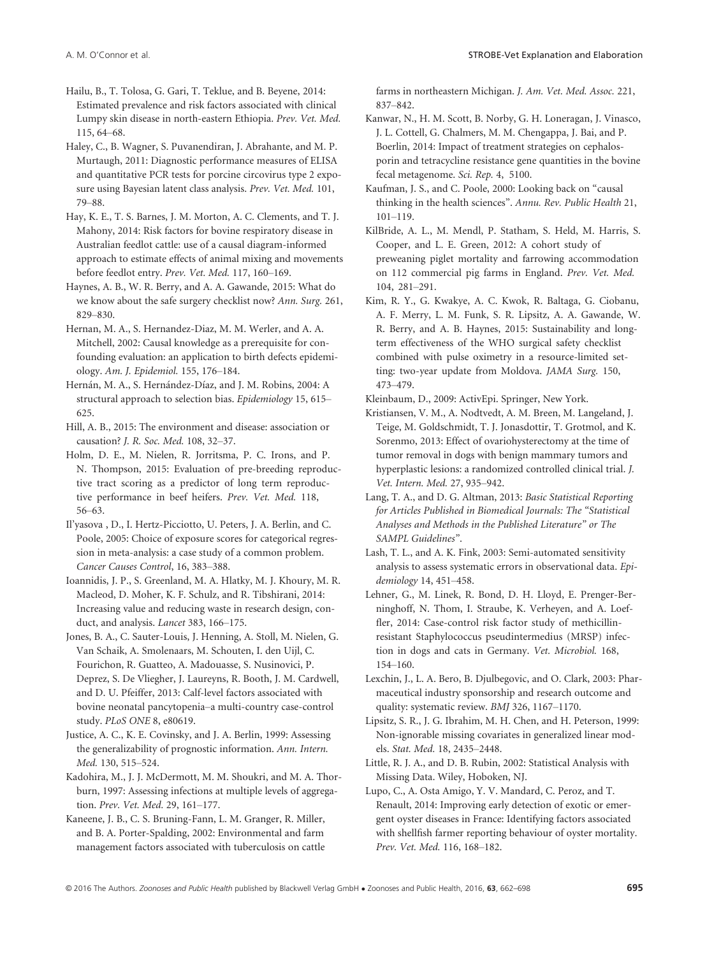Hailu, B., T. Tolosa, G. Gari, T. Teklue, and B. Beyene, 2014: Estimated prevalence and risk factors associated with clinical Lumpy skin disease in north-eastern Ethiopia. Prev. Vet. Med. 115, 64–68.

Haley, C., B. Wagner, S. Puvanendiran, J. Abrahante, and M. P. Murtaugh, 2011: Diagnostic performance measures of ELISA and quantitative PCR tests for porcine circovirus type 2 exposure using Bayesian latent class analysis. Prev. Vet. Med. 101, 79–88.

Hay, K. E., T. S. Barnes, J. M. Morton, A. C. Clements, and T. J. Mahony, 2014: Risk factors for bovine respiratory disease in Australian feedlot cattle: use of a causal diagram-informed approach to estimate effects of animal mixing and movements before feedlot entry. Prev. Vet. Med. 117, 160–169.

Haynes, A. B., W. R. Berry, and A. A. Gawande, 2015: What do we know about the safe surgery checklist now? Ann. Surg. 261, 829–830.

Hernan, M. A., S. Hernandez-Diaz, M. M. Werler, and A. A. Mitchell, 2002: Causal knowledge as a prerequisite for confounding evaluation: an application to birth defects epidemiology. Am. J. Epidemiol. 155, 176–184.

Hernán, M. A., S. Hernández-Díaz, and J. M. Robins, 2004: A structural approach to selection bias. Epidemiology 15, 615– 625.

Hill, A. B., 2015: The environment and disease: association or causation? J. R. Soc. Med. 108, 32–37.

Holm, D. E., M. Nielen, R. Jorritsma, P. C. Irons, and P. N. Thompson, 2015: Evaluation of pre-breeding reproductive tract scoring as a predictor of long term reproductive performance in beef heifers. Prev. Vet. Med. 118, 56–63.

Il'yasova , D., I. Hertz-Picciotto, U. Peters, J. A. Berlin, and C. Poole, 2005: Choice of exposure scores for categorical regression in meta-analysis: a case study of a common problem. Cancer Causes Control, 16, 383–388.

Ioannidis, J. P., S. Greenland, M. A. Hlatky, M. J. Khoury, M. R. Macleod, D. Moher, K. F. Schulz, and R. Tibshirani, 2014: Increasing value and reducing waste in research design, conduct, and analysis. Lancet 383, 166–175.

Jones, B. A., C. Sauter-Louis, J. Henning, A. Stoll, M. Nielen, G. Van Schaik, A. Smolenaars, M. Schouten, I. den Uijl, C. Fourichon, R. Guatteo, A. Madouasse, S. Nusinovici, P. Deprez, S. De Vliegher, J. Laureyns, R. Booth, J. M. Cardwell, and D. U. Pfeiffer, 2013: Calf-level factors associated with bovine neonatal pancytopenia–a multi-country case-control study. PLoS ONE 8, e80619.

Justice, A. C., K. E. Covinsky, and J. A. Berlin, 1999: Assessing the generalizability of prognostic information. Ann. Intern. Med. 130, 515–524.

Kadohira, M., J. J. McDermott, M. M. Shoukri, and M. A. Thorburn, 1997: Assessing infections at multiple levels of aggregation. Prev. Vet. Med. 29, 161–177.

Kaneene, J. B., C. S. Bruning-Fann, L. M. Granger, R. Miller, and B. A. Porter-Spalding, 2002: Environmental and farm management factors associated with tuberculosis on cattle

farms in northeastern Michigan. J. Am. Vet. Med. Assoc. 221, 837–842.

Kanwar, N., H. M. Scott, B. Norby, G. H. Loneragan, J. Vinasco, J. L. Cottell, G. Chalmers, M. M. Chengappa, J. Bai, and P. Boerlin, 2014: Impact of treatment strategies on cephalosporin and tetracycline resistance gene quantities in the bovine fecal metagenome. Sci. Rep. 4, 5100.

Kaufman, J. S., and C. Poole, 2000: Looking back on "causal thinking in the health sciences". Annu. Rev. Public Health 21, 101–119.

KilBride, A. L., M. Mendl, P. Statham, S. Held, M. Harris, S. Cooper, and L. E. Green, 2012: A cohort study of preweaning piglet mortality and farrowing accommodation on 112 commercial pig farms in England. Prev. Vet. Med. 104, 281–291.

Kim, R. Y., G. Kwakye, A. C. Kwok, R. Baltaga, G. Ciobanu, A. F. Merry, L. M. Funk, S. R. Lipsitz, A. A. Gawande, W. R. Berry, and A. B. Haynes, 2015: Sustainability and longterm effectiveness of the WHO surgical safety checklist combined with pulse oximetry in a resource-limited setting: two-year update from Moldova. JAMA Surg. 150, 473–479.

Kleinbaum, D., 2009: ActivEpi. Springer, New York.

- Kristiansen, V. M., A. Nodtvedt, A. M. Breen, M. Langeland, J. Teige, M. Goldschmidt, T. J. Jonasdottir, T. Grotmol, and K. Sorenmo, 2013: Effect of ovariohysterectomy at the time of tumor removal in dogs with benign mammary tumors and hyperplastic lesions: a randomized controlled clinical trial. J. Vet. Intern. Med. 27, 935–942.
- Lang, T. A., and D. G. Altman, 2013: Basic Statistical Reporting for Articles Published in Biomedical Journals: The "Statistical Analyses and Methods in the Published Literature" or The SAMPL Guidelines".

Lash, T. L., and A. K. Fink, 2003: Semi-automated sensitivity analysis to assess systematic errors in observational data. Epidemiology 14, 451–458.

Lehner, G., M. Linek, R. Bond, D. H. Lloyd, E. Prenger-Berninghoff, N. Thom, I. Straube, K. Verheyen, and A. Loeffler, 2014: Case-control risk factor study of methicillinresistant Staphylococcus pseudintermedius (MRSP) infection in dogs and cats in Germany. Vet. Microbiol. 168, 154–160.

Lexchin, J., L. A. Bero, B. Djulbegovic, and O. Clark, 2003: Pharmaceutical industry sponsorship and research outcome and quality: systematic review. BMJ 326, 1167–1170.

Lipsitz, S. R., J. G. Ibrahim, M. H. Chen, and H. Peterson, 1999: Non-ignorable missing covariates in generalized linear models. Stat. Med. 18, 2435–2448.

Little, R. J. A., and D. B. Rubin, 2002: Statistical Analysis with Missing Data. Wiley, Hoboken, NJ.

Lupo, C., A. Osta Amigo, Y. V. Mandard, C. Peroz, and T. Renault, 2014: Improving early detection of exotic or emergent oyster diseases in France: Identifying factors associated with shellfish farmer reporting behaviour of oyster mortality. Prev. Vet. Med. 116, 168–182.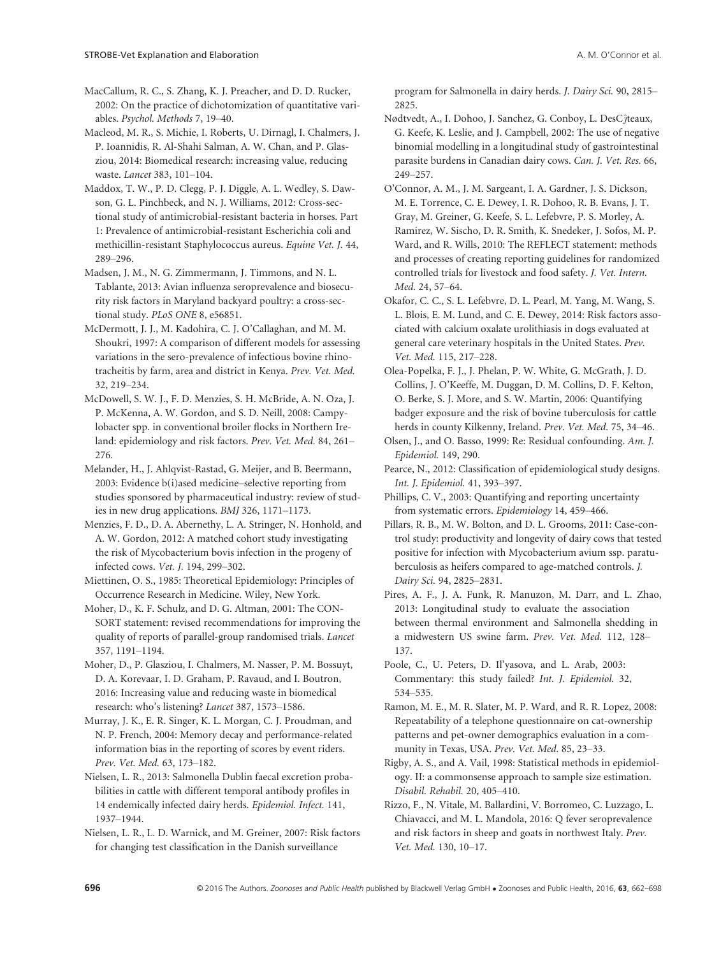MacCallum, R. C., S. Zhang, K. J. Preacher, and D. D. Rucker, 2002: On the practice of dichotomization of quantitative variables. Psychol. Methods 7, 19–40.

Macleod, M. R., S. Michie, I. Roberts, U. Dirnagl, I. Chalmers, J. P. Ioannidis, R. Al-Shahi Salman, A. W. Chan, and P. Glasziou, 2014: Biomedical research: increasing value, reducing waste. Lancet 383, 101–104.

Maddox, T. W., P. D. Clegg, P. J. Diggle, A. L. Wedley, S. Dawson, G. L. Pinchbeck, and N. J. Williams, 2012: Cross-sectional study of antimicrobial-resistant bacteria in horses. Part 1: Prevalence of antimicrobial-resistant Escherichia coli and methicillin-resistant Staphylococcus aureus. Equine Vet. J. 44, 289–296.

Madsen, J. M., N. G. Zimmermann, J. Timmons, and N. L. Tablante, 2013: Avian influenza seroprevalence and biosecurity risk factors in Maryland backyard poultry: a cross-sectional study. PLoS ONE 8, e56851.

McDermott, J. J., M. Kadohira, C. J. O'Callaghan, and M. M. Shoukri, 1997: A comparison of different models for assessing variations in the sero-prevalence of infectious bovine rhinotracheitis by farm, area and district in Kenya. Prev. Vet. Med. 32, 219–234.

McDowell, S. W. J., F. D. Menzies, S. H. McBride, A. N. Oza, J. P. McKenna, A. W. Gordon, and S. D. Neill, 2008: Campylobacter spp. in conventional broiler flocks in Northern Ireland: epidemiology and risk factors. Prev. Vet. Med. 84, 261– 276.

Melander, H., J. Ahlqvist-Rastad, G. Meijer, and B. Beermann, 2003: Evidence b(i)ased medicine–selective reporting from studies sponsored by pharmaceutical industry: review of studies in new drug applications. BMJ 326, 1171–1173.

Menzies, F. D., D. A. Abernethy, L. A. Stringer, N. Honhold, and A. W. Gordon, 2012: A matched cohort study investigating the risk of Mycobacterium bovis infection in the progeny of infected cows. Vet. J. 194, 299–302.

Miettinen, O. S., 1985: Theoretical Epidemiology: Principles of Occurrence Research in Medicine. Wiley, New York.

Moher, D., K. F. Schulz, and D. G. Altman, 2001: The CON-SORT statement: revised recommendations for improving the quality of reports of parallel-group randomised trials. Lancet 357, 1191–1194.

Moher, D., P. Glasziou, I. Chalmers, M. Nasser, P. M. Bossuyt, D. A. Korevaar, I. D. Graham, P. Ravaud, and I. Boutron, 2016: Increasing value and reducing waste in biomedical research: who's listening? Lancet 387, 1573–1586.

Murray, J. K., E. R. Singer, K. L. Morgan, C. J. Proudman, and N. P. French, 2004: Memory decay and performance-related information bias in the reporting of scores by event riders. Prev. Vet. Med. 63, 173–182.

Nielsen, L. R., 2013: Salmonella Dublin faecal excretion probabilities in cattle with different temporal antibody profiles in 14 endemically infected dairy herds. Epidemiol. Infect. 141, 1937–1944.

Nielsen, L. R., L. D. Warnick, and M. Greiner, 2007: Risk factors for changing test classification in the Danish surveillance

program for Salmonella in dairy herds. J. Dairy Sci. 90, 2815– 2825.

- Nødtvedt, A., I. Dohoo, J. Sanchez, G. Conboy, L. DesC^|teaux, G. Keefe, K. Leslie, and J. Campbell, 2002: The use of negative binomial modelling in a longitudinal study of gastrointestinal parasite burdens in Canadian dairy cows. Can. J. Vet. Res. 66, 249–257.
- O'Connor, A. M., J. M. Sargeant, I. A. Gardner, J. S. Dickson, M. E. Torrence, C. E. Dewey, I. R. Dohoo, R. B. Evans, J. T. Gray, M. Greiner, G. Keefe, S. L. Lefebvre, P. S. Morley, A. Ramirez, W. Sischo, D. R. Smith, K. Snedeker, J. Sofos, M. P. Ward, and R. Wills, 2010: The REFLECT statement: methods and processes of creating reporting guidelines for randomized controlled trials for livestock and food safety. J. Vet. Intern. Med. 24, 57–64.
- Okafor, C. C., S. L. Lefebvre, D. L. Pearl, M. Yang, M. Wang, S. L. Blois, E. M. Lund, and C. E. Dewey, 2014: Risk factors associated with calcium oxalate urolithiasis in dogs evaluated at general care veterinary hospitals in the United States. Prev. Vet. Med. 115, 217–228.
- Olea-Popelka, F. J., J. Phelan, P. W. White, G. McGrath, J. D. Collins, J. O'Keeffe, M. Duggan, D. M. Collins, D. F. Kelton, O. Berke, S. J. More, and S. W. Martin, 2006: Quantifying badger exposure and the risk of bovine tuberculosis for cattle herds in county Kilkenny, Ireland. Prev. Vet. Med. 75, 34–46.
- Olsen, J., and O. Basso, 1999: Re: Residual confounding. Am. J. Epidemiol. 149, 290.
- Pearce, N., 2012: Classification of epidemiological study designs. Int. J. Epidemiol. 41, 393–397.
- Phillips, C. V., 2003: Quantifying and reporting uncertainty from systematic errors. Epidemiology 14, 459–466.
- Pillars, R. B., M. W. Bolton, and D. L. Grooms, 2011: Case-control study: productivity and longevity of dairy cows that tested positive for infection with Mycobacterium avium ssp. paratuberculosis as heifers compared to age-matched controls. J. Dairy Sci. 94, 2825–2831.
- Pires, A. F., J. A. Funk, R. Manuzon, M. Darr, and L. Zhao, 2013: Longitudinal study to evaluate the association between thermal environment and Salmonella shedding in a midwestern US swine farm. Prev. Vet. Med. 112, 128– 137.
- Poole, C., U. Peters, D. Il'yasova, and L. Arab, 2003: Commentary: this study failed? Int. J. Epidemiol. 32, 534–535.

Ramon, M. E., M. R. Slater, M. P. Ward, and R. R. Lopez, 2008: Repeatability of a telephone questionnaire on cat-ownership patterns and pet-owner demographics evaluation in a community in Texas, USA. Prev. Vet. Med. 85, 23–33.

- Rigby, A. S., and A. Vail, 1998: Statistical methods in epidemiology. II: a commonsense approach to sample size estimation. Disabil. Rehabil. 20, 405–410.
- Rizzo, F., N. Vitale, M. Ballardini, V. Borromeo, C. Luzzago, L. Chiavacci, and M. L. Mandola, 2016: Q fever seroprevalence and risk factors in sheep and goats in northwest Italy. Prev. Vet. Med. 130, 10–17.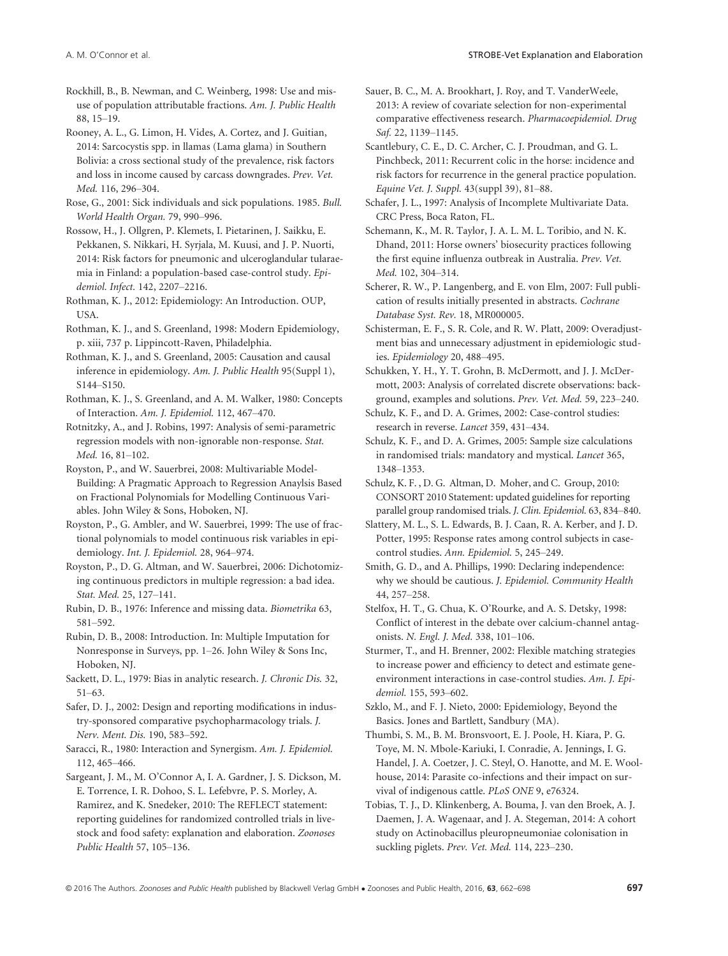Rockhill, B., B. Newman, and C. Weinberg, 1998: Use and misuse of population attributable fractions. Am. J. Public Health 88, 15–19.

Rooney, A. L., G. Limon, H. Vides, A. Cortez, and J. Guitian, 2014: Sarcocystis spp. in llamas (Lama glama) in Southern Bolivia: a cross sectional study of the prevalence, risk factors and loss in income caused by carcass downgrades. Prev. Vet. Med. 116, 296–304.

Rose, G., 2001: Sick individuals and sick populations. 1985. Bull. World Health Organ. 79, 990–996.

Rossow, H., J. Ollgren, P. Klemets, I. Pietarinen, J. Saikku, E. Pekkanen, S. Nikkari, H. Syrjala, M. Kuusi, and J. P. Nuorti, 2014: Risk factors for pneumonic and ulceroglandular tularaemia in Finland: a population-based case-control study. Epidemiol. Infect. 142, 2207–2216.

Rothman, K. J., 2012: Epidemiology: An Introduction. OUP, USA.

Rothman, K. J., and S. Greenland, 1998: Modern Epidemiology, p. xiii, 737 p. Lippincott-Raven, Philadelphia.

Rothman, K. J., and S. Greenland, 2005: Causation and causal inference in epidemiology. Am. J. Public Health 95(Suppl 1), S144–S150.

Rothman, K. J., S. Greenland, and A. M. Walker, 1980: Concepts of Interaction. Am. J. Epidemiol. 112, 467–470.

Rotnitzky, A., and J. Robins, 1997: Analysis of semi-parametric regression models with non-ignorable non-response. Stat. Med. 16, 81–102.

Royston, P., and W. Sauerbrei, 2008: Multivariable Model-Building: A Pragmatic Approach to Regression Anaylsis Based on Fractional Polynomials for Modelling Continuous Variables. John Wiley & Sons, Hoboken, NJ.

Royston, P., G. Ambler, and W. Sauerbrei, 1999: The use of fractional polynomials to model continuous risk variables in epidemiology. Int. J. Epidemiol. 28, 964–974.

Royston, P., D. G. Altman, and W. Sauerbrei, 2006: Dichotomizing continuous predictors in multiple regression: a bad idea. Stat. Med. 25, 127–141.

Rubin, D. B., 1976: Inference and missing data. Biometrika 63, 581–592.

Rubin, D. B., 2008: Introduction. In: Multiple Imputation for Nonresponse in Surveys, pp. 1–26. John Wiley & Sons Inc, Hoboken, NJ.

Sackett, D. L., 1979: Bias in analytic research. J. Chronic Dis. 32, 51–63.

Safer, D. J., 2002: Design and reporting modifications in industry-sponsored comparative psychopharmacology trials. J. Nerv. Ment. Dis. 190, 583–592.

Saracci, R., 1980: Interaction and Synergism. Am. J. Epidemiol. 112, 465–466.

Sargeant, J. M., M. O'Connor A, I. A. Gardner, J. S. Dickson, M. E. Torrence, I. R. Dohoo, S. L. Lefebvre, P. S. Morley, A. Ramirez, and K. Snedeker, 2010: The REFLECT statement: reporting guidelines for randomized controlled trials in livestock and food safety: explanation and elaboration. Zoonoses Public Health 57, 105–136.

Sauer, B. C., M. A. Brookhart, J. Roy, and T. VanderWeele, 2013: A review of covariate selection for non-experimental comparative effectiveness research. Pharmacoepidemiol. Drug Saf. 22, 1139–1145.

Scantlebury, C. E., D. C. Archer, C. J. Proudman, and G. L. Pinchbeck, 2011: Recurrent colic in the horse: incidence and risk factors for recurrence in the general practice population. Equine Vet. J. Suppl. 43(suppl 39), 81–88.

Schafer, J. L., 1997: Analysis of Incomplete Multivariate Data. CRC Press, Boca Raton, FL.

Schemann, K., M. R. Taylor, J. A. L. M. L. Toribio, and N. K. Dhand, 2011: Horse owners' biosecurity practices following the first equine influenza outbreak in Australia. Prev. Vet. Med. 102, 304–314.

Scherer, R. W., P. Langenberg, and E. von Elm, 2007: Full publication of results initially presented in abstracts. Cochrane Database Syst. Rev. 18, MR000005.

Schisterman, E. F., S. R. Cole, and R. W. Platt, 2009: Overadjustment bias and unnecessary adjustment in epidemiologic studies. Epidemiology 20, 488–495.

Schukken, Y. H., Y. T. Grohn, B. McDermott, and J. J. McDermott, 2003: Analysis of correlated discrete observations: background, examples and solutions. Prev. Vet. Med. 59, 223–240.

Schulz, K. F., and D. A. Grimes, 2002: Case-control studies: research in reverse. Lancet 359, 431–434.

Schulz, K. F., and D. A. Grimes, 2005: Sample size calculations in randomised trials: mandatory and mystical. Lancet 365, 1348–1353.

Schulz, K. F. , D. G. Altman, D. Moher, and C. Group, 2010: CONSORT 2010 Statement: updated guidelines for reporting parallel group randomised trials. J. Clin. Epidemiol. 63, 834–840.

Slattery, M. L., S. L. Edwards, B. J. Caan, R. A. Kerber, and J. D. Potter, 1995: Response rates among control subjects in casecontrol studies. Ann. Epidemiol. 5, 245–249.

Smith, G. D., and A. Phillips, 1990: Declaring independence: why we should be cautious. J. Epidemiol. Community Health 44, 257–258.

Stelfox, H. T., G. Chua, K. O'Rourke, and A. S. Detsky, 1998: Conflict of interest in the debate over calcium-channel antagonists. N. Engl. J. Med. 338, 101–106.

Sturmer, T., and H. Brenner, 2002: Flexible matching strategies to increase power and efficiency to detect and estimate geneenvironment interactions in case-control studies. Am. J. Epidemiol. 155, 593–602.

Szklo, M., and F. J. Nieto, 2000: Epidemiology, Beyond the Basics. Jones and Bartlett, Sandbury (MA).

Thumbi, S. M., B. M. Bronsvoort, E. J. Poole, H. Kiara, P. G. Toye, M. N. Mbole-Kariuki, I. Conradie, A. Jennings, I. G. Handel, J. A. Coetzer, J. C. Steyl, O. Hanotte, and M. E. Woolhouse, 2014: Parasite co-infections and their impact on survival of indigenous cattle. PLoS ONE 9, e76324.

Tobias, T. J., D. Klinkenberg, A. Bouma, J. van den Broek, A. J. Daemen, J. A. Wagenaar, and J. A. Stegeman, 2014: A cohort study on Actinobacillus pleuropneumoniae colonisation in suckling piglets. Prev. Vet. Med. 114, 223–230.